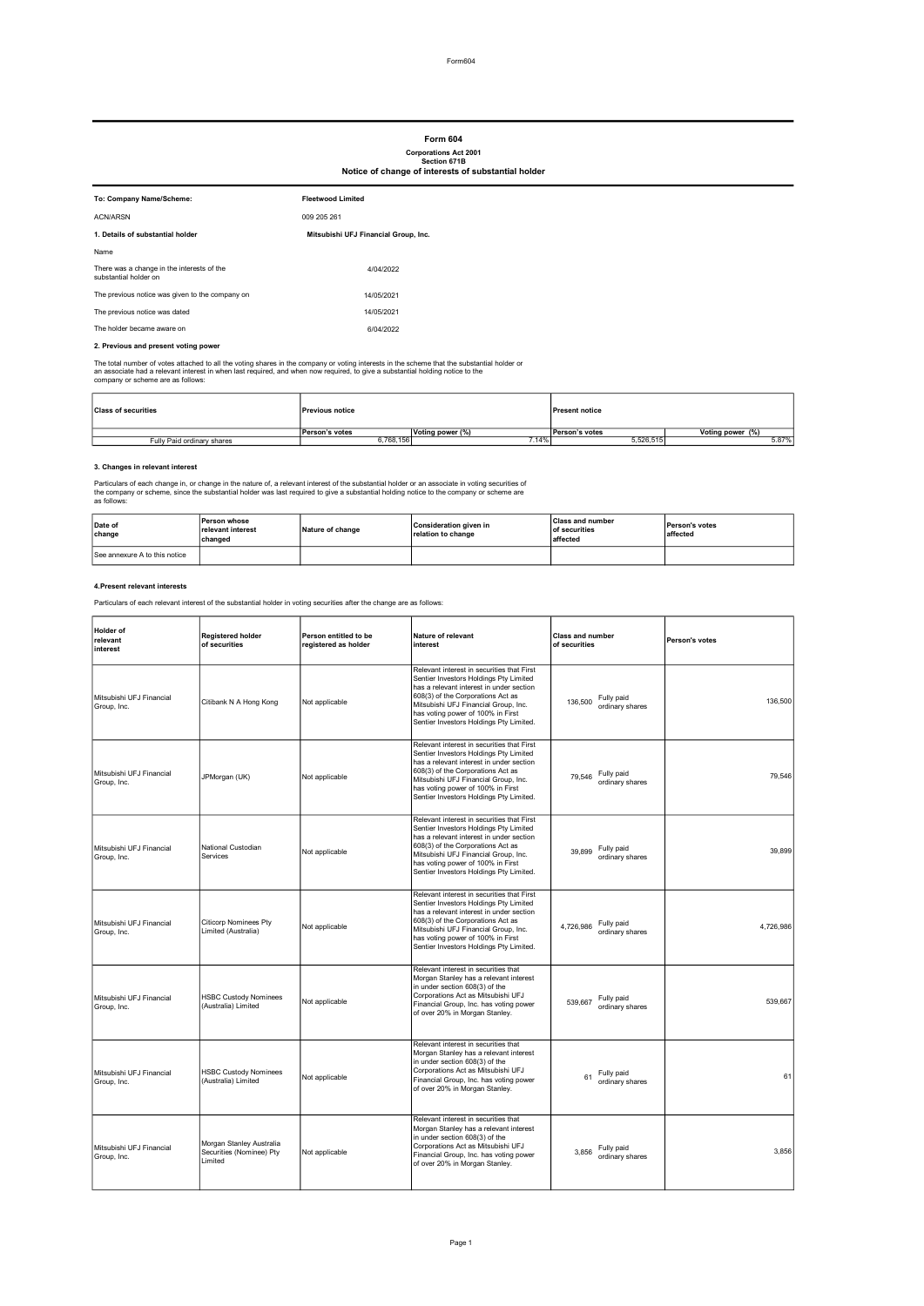## Form 604

# Corporations Act 2001 Section 671B Notice of change of interests of substantial holder

| To: Company Name/Scheme:                                            | <b>Fleetwood Limited</b>             |
|---------------------------------------------------------------------|--------------------------------------|
| <b>ACN/ARSN</b>                                                     | 009 205 261                          |
| 1. Details of substantial holder                                    | Mitsubishi UFJ Financial Group, Inc. |
| Name                                                                |                                      |
| There was a change in the interests of the<br>substantial holder on | 4/04/2022                            |
| The previous notice was given to the company on                     | 14/05/2021                           |
| The previous notice was dated                                       | 14/05/2021                           |
| The holder became aware on                                          | 6/04/2022                            |
|                                                                     |                                      |

# 2. Previous and present voting power

The total number of votes attached to all the voting shares in the company or voting interests in the scheme that the substantial holder or<br>an associate had a relevant interest in when last required, and when now required,

| <b>Class of securities</b> | <b>Previous notice</b> |                  | <b>Present notice</b> |                  |
|----------------------------|------------------------|------------------|-----------------------|------------------|
|                            | <b>Person's votes</b>  | Voting power (%) | Person's votes        | Voting power (%) |
| Fully Paid ordinary shares | o.768.156              | 14%              | 5.526.515             | 5.87%            |

#### 3. Changes in relevant interest

Particulars of each change in, or change in the nature of, a relevant interest of the substantial holder or an associate in voting securities of<br>the company or scheme, since the substantial holder was last required to give

| Date of<br>change             | Person whose<br>relevant interest<br>changed | Nature of change | Consideration given in<br>relation to change | <b>Class and number</b><br><b>of securities</b><br>affected | <b>Person's votes</b><br>affected |
|-------------------------------|----------------------------------------------|------------------|----------------------------------------------|-------------------------------------------------------------|-----------------------------------|
| See annexure A to this notice |                                              |                  |                                              |                                                             |                                   |

#### 4.Present relevant interests

Particulars of each relevant interest of the substantial holder in voting securities after the change are as follows:

| <b>Holder</b> of<br>relevant<br>interest | <b>Registered holder</b><br>of securities                       | Person entitled to be<br>registered as holder | <b>Nature of relevant</b><br>interest                                                                                                                                                                                                                                                         | <b>Class and number</b><br>of securities   | Person's votes |
|------------------------------------------|-----------------------------------------------------------------|-----------------------------------------------|-----------------------------------------------------------------------------------------------------------------------------------------------------------------------------------------------------------------------------------------------------------------------------------------------|--------------------------------------------|----------------|
| Mitsubishi UFJ Financial<br>Group, Inc.  | Citibank N A Hong Kong                                          | Not applicable                                | Relevant interest in securities that First<br>Sentier Investors Holdings Pty Limited<br>has a relevant interest in under section<br>608(3) of the Corporations Act as<br>Mitsubishi UFJ Financial Group, Inc.<br>has voting power of 100% in First<br>Sentier Investors Holdings Pty Limited. | Fully paid<br>136,500<br>ordinary shares   | 136,500        |
| Mitsubishi UFJ Financial<br>Group, Inc.  | JPMorgan (UK)                                                   | Not applicable                                | Relevant interest in securities that First<br>Sentier Investors Holdings Pty Limited<br>has a relevant interest in under section<br>608(3) of the Corporations Act as<br>Mitsubishi UFJ Financial Group, Inc.<br>has voting power of 100% in First<br>Sentier Investors Holdings Pty Limited. | Fully paid<br>79.546<br>ordinary shares    | 79.546         |
| Mitsubishi UFJ Financial<br>Group, Inc.  | National Custodian<br>Services                                  | Not applicable                                | Relevant interest in securities that First<br>Sentier Investors Holdings Pty Limited<br>has a relevant interest in under section<br>608(3) of the Corporations Act as<br>Mitsubishi UFJ Financial Group, Inc.<br>has voting power of 100% in First<br>Sentier Investors Holdings Pty Limited. | Fully paid<br>39,899<br>ordinary shares    | 39,899         |
| Mitsubishi UFJ Financial<br>Group, Inc.  | <b>Citicorp Nominees Pty</b><br>Limited (Australia)             | Not applicable                                | Relevant interest in securities that First<br>Sentier Investors Holdings Pty Limited<br>has a relevant interest in under section<br>608(3) of the Corporations Act as<br>Mitsubishi UFJ Financial Group, Inc.<br>has voting power of 100% in First<br>Sentier Investors Holdings Pty Limited. | Fully paid<br>4,726,986<br>ordinary shares | 4,726,986      |
| Mitsubishi UFJ Financial<br>Group, Inc.  | <b>HSBC Custody Nominees</b><br>(Australia) Limited             | Not applicable                                | Relevant interest in securities that<br>Morgan Stanley has a relevant interest<br>in under section 608(3) of the<br>Corporations Act as Mitsubishi UFJ<br>Financial Group, Inc. has voting power<br>of over 20% in Morgan Stanley.                                                            | Fully paid<br>539,667<br>ordinary shares   | 539,667        |
| Mitsubishi UFJ Financial<br>Group, Inc.  | <b>HSBC Custody Nominees</b><br>(Australia) Limited             | Not applicable                                | Relevant interest in securities that<br>Morgan Stanley has a relevant interest<br>in under section 608(3) of the<br>Corporations Act as Mitsubishi UFJ<br>Financial Group, Inc. has voting power<br>of over 20% in Morgan Stanley.                                                            | Fully paid<br>61<br>ordinary shares        | 61             |
| Mitsubishi UFJ Financial<br>Group, Inc.  | Morgan Stanley Australia<br>Securities (Nominee) Pty<br>Limited | Not applicable                                | Relevant interest in securities that<br>Morgan Stanley has a relevant interest<br>in under section 608(3) of the<br>Corporations Act as Mitsubishi UFJ<br>Financial Group, Inc. has voting power<br>of over 20% in Morgan Stanley.                                                            | Fully paid<br>3.856<br>ordinary shares     | 3,856          |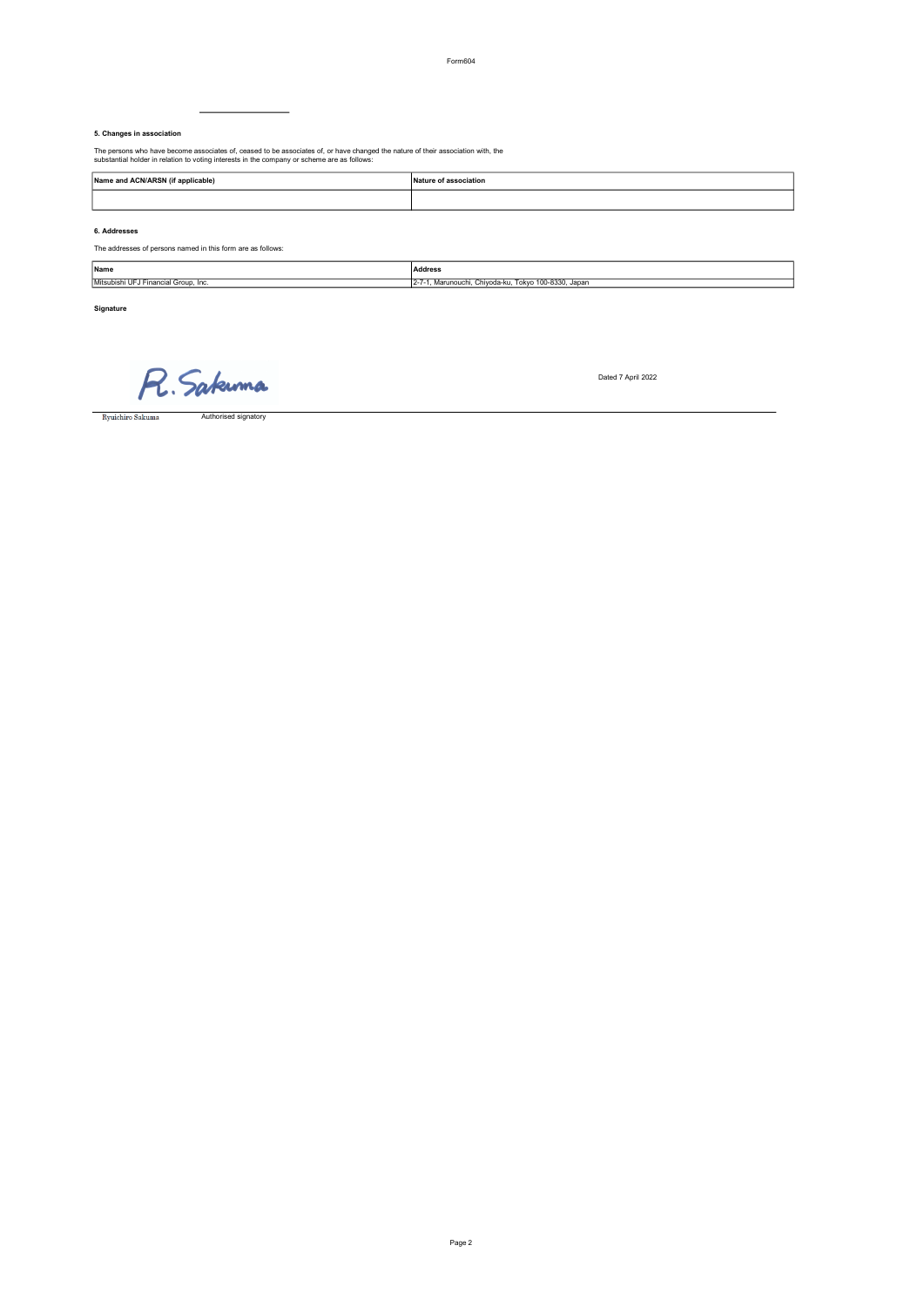#### 5. Changes in association

The persons who have become associates of, ceased to be associates of, or have changed the nature of their association with, the substantial holder in relation to voting interests in the company or scheme are as follows:

 $\overline{\phantom{0}}$ 

| Name and ACN/ARSN (if applicable) | Nature of association<br>.<br>. |
|-----------------------------------|---------------------------------|
|                                   |                                 |

6. Addresses

The addresses of persons named in this form are as follows:

| Name                                      | Address                                                                       |
|-------------------------------------------|-------------------------------------------------------------------------------|
| Mitsubishi<br>i UFJ Financial Group. Inc. | $100 - 8330$ .<br>. Japan<br>Tokvo<br>Chivoda-ku.<br>. Marunouchi<br>$-2 - 1$ |

Signature

R. Sakuma

Dated 7 April 2022

 $\begin{tabular}{c} \hline \textbf{Ryuichiro Sakuma} \end{tabular}$ Authorised signatory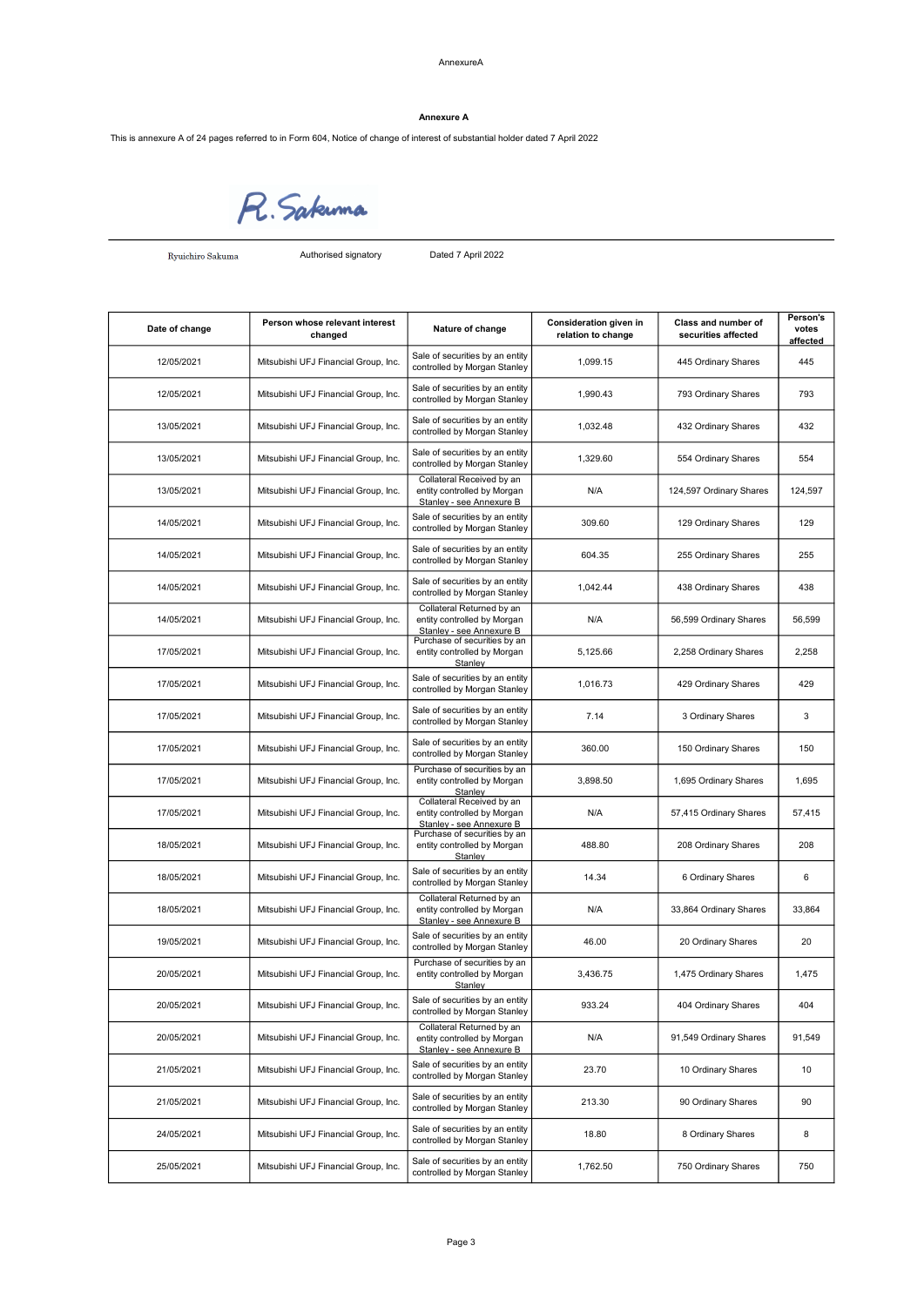This is annexure A of 24 pages referred to in Form 604, Notice of change of interest of substantial holder dated 7 April 2022



 ${\hbox{\bf Ryuichiro Sakuma}}$ 

Authorised signatory Dated 7 April 2022

| Date of change | Person whose relevant interest<br>changed | Nature of change                                                                     | Consideration given in<br>relation to change | Class and number of<br>securities affected | Person's<br>votes<br>affected |
|----------------|-------------------------------------------|--------------------------------------------------------------------------------------|----------------------------------------------|--------------------------------------------|-------------------------------|
| 12/05/2021     | Mitsubishi UFJ Financial Group, Inc.      | Sale of securities by an entity<br>controlled by Morgan Stanley                      | 1,099.15                                     | 445 Ordinary Shares                        | 445                           |
| 12/05/2021     | Mitsubishi UFJ Financial Group, Inc.      | Sale of securities by an entity<br>controlled by Morgan Stanley                      | 1,990.43                                     | 793 Ordinary Shares                        | 793                           |
| 13/05/2021     | Mitsubishi UFJ Financial Group, Inc.      | Sale of securities by an entity<br>controlled by Morgan Stanley                      | 1,032.48                                     | 432 Ordinary Shares                        | 432                           |
| 13/05/2021     | Mitsubishi UFJ Financial Group, Inc.      | Sale of securities by an entity<br>controlled by Morgan Stanley                      | 1,329.60                                     | 554 Ordinary Shares                        | 554                           |
| 13/05/2021     | Mitsubishi UFJ Financial Group, Inc.      | Collateral Received by an<br>entity controlled by Morgan<br>Stanley - see Annexure B | N/A                                          | 124,597 Ordinary Shares                    | 124,597                       |
| 14/05/2021     | Mitsubishi UFJ Financial Group, Inc.      | Sale of securities by an entity<br>controlled by Morgan Stanley                      | 309.60                                       | 129 Ordinary Shares                        | 129                           |
| 14/05/2021     | Mitsubishi UFJ Financial Group, Inc.      | Sale of securities by an entity<br>controlled by Morgan Stanley                      | 604.35                                       | 255 Ordinary Shares                        | 255                           |
| 14/05/2021     | Mitsubishi UFJ Financial Group, Inc.      | Sale of securities by an entity<br>controlled by Morgan Stanley                      | 1,042.44                                     | 438 Ordinary Shares                        | 438                           |
| 14/05/2021     | Mitsubishi UFJ Financial Group, Inc.      | Collateral Returned by an<br>entity controlled by Morgan<br>Stanley - see Annexure B | N/A                                          | 56,599 Ordinary Shares                     | 56,599                        |
| 17/05/2021     | Mitsubishi UFJ Financial Group, Inc.      | Purchase of securities by an<br>entity controlled by Morgan<br>Stanley               | 5.125.66                                     | 2,258 Ordinary Shares                      | 2,258                         |
| 17/05/2021     | Mitsubishi UFJ Financial Group, Inc.      | Sale of securities by an entity<br>controlled by Morgan Stanley                      | 1,016.73                                     | 429 Ordinary Shares                        | 429                           |
| 17/05/2021     | Mitsubishi UFJ Financial Group, Inc.      | Sale of securities by an entity<br>controlled by Morgan Stanley                      | 7.14                                         | 3 Ordinary Shares                          | 3                             |
| 17/05/2021     | Mitsubishi UFJ Financial Group, Inc.      | Sale of securities by an entity<br>controlled by Morgan Stanley                      | 360.00                                       | 150 Ordinary Shares                        | 150                           |
| 17/05/2021     | Mitsubishi UFJ Financial Group, Inc.      | Purchase of securities by an<br>entity controlled by Morgan<br>Stanley               | 3,898.50                                     | 1,695 Ordinary Shares                      | 1,695                         |
| 17/05/2021     | Mitsubishi UFJ Financial Group, Inc.      | Collateral Received by an<br>entity controlled by Morgan<br>Stanley - see Annexure B | N/A                                          | 57,415 Ordinary Shares                     | 57,415                        |
| 18/05/2021     | Mitsubishi UFJ Financial Group, Inc.      | Purchase of securities by an<br>entity controlled by Morgan<br>Stanley               | 488.80                                       | 208 Ordinary Shares                        | 208                           |
| 18/05/2021     | Mitsubishi UFJ Financial Group, Inc.      | Sale of securities by an entity<br>controlled by Morgan Stanley                      | 14.34                                        | 6 Ordinary Shares                          | 6                             |
| 18/05/2021     | Mitsubishi UFJ Financial Group, Inc.      | Collateral Returned by an<br>entity controlled by Morgan<br>Stanley - see Annexure B | N/A                                          | 33,864 Ordinary Shares                     | 33,864                        |
| 19/05/2021     | Mitsubishi UFJ Financial Group, Inc.      | Sale of securities by an entity<br>controlled by Morgan Stanley                      | 46.00                                        | 20 Ordinary Shares                         | 20                            |
| 20/05/2021     | Mitsubishi UFJ Financial Group, Inc.      | Purchase of securities by an<br>entity controlled by Morgan<br>Stanley               | 3,436.75                                     | 1,475 Ordinary Shares                      | 1,475                         |
| 20/05/2021     | Mitsubishi UFJ Financial Group, Inc.      | Sale of securities by an entity<br>controlled by Morgan Stanley                      | 933.24                                       | 404 Ordinary Shares                        | 404                           |
| 20/05/2021     | Mitsubishi UFJ Financial Group, Inc.      | Collateral Returned by an<br>entity controlled by Morgan<br>Stanley - see Annexure B | N/A                                          | 91,549 Ordinary Shares                     | 91,549                        |
| 21/05/2021     | Mitsubishi UFJ Financial Group, Inc.      | Sale of securities by an entity<br>controlled by Morgan Stanley                      | 23.70                                        | 10 Ordinary Shares                         | 10                            |
| 21/05/2021     | Mitsubishi UFJ Financial Group, Inc.      | Sale of securities by an entity<br>controlled by Morgan Stanley                      | 213.30                                       | 90 Ordinary Shares                         | 90                            |
| 24/05/2021     | Mitsubishi UFJ Financial Group, Inc.      | Sale of securities by an entity<br>controlled by Morgan Stanley                      | 18.80                                        | 8 Ordinary Shares                          | 8                             |
| 25/05/2021     | Mitsubishi UFJ Financial Group, Inc.      | Sale of securities by an entity<br>controlled by Morgan Stanley                      | 1,762.50                                     | 750 Ordinary Shares                        | 750                           |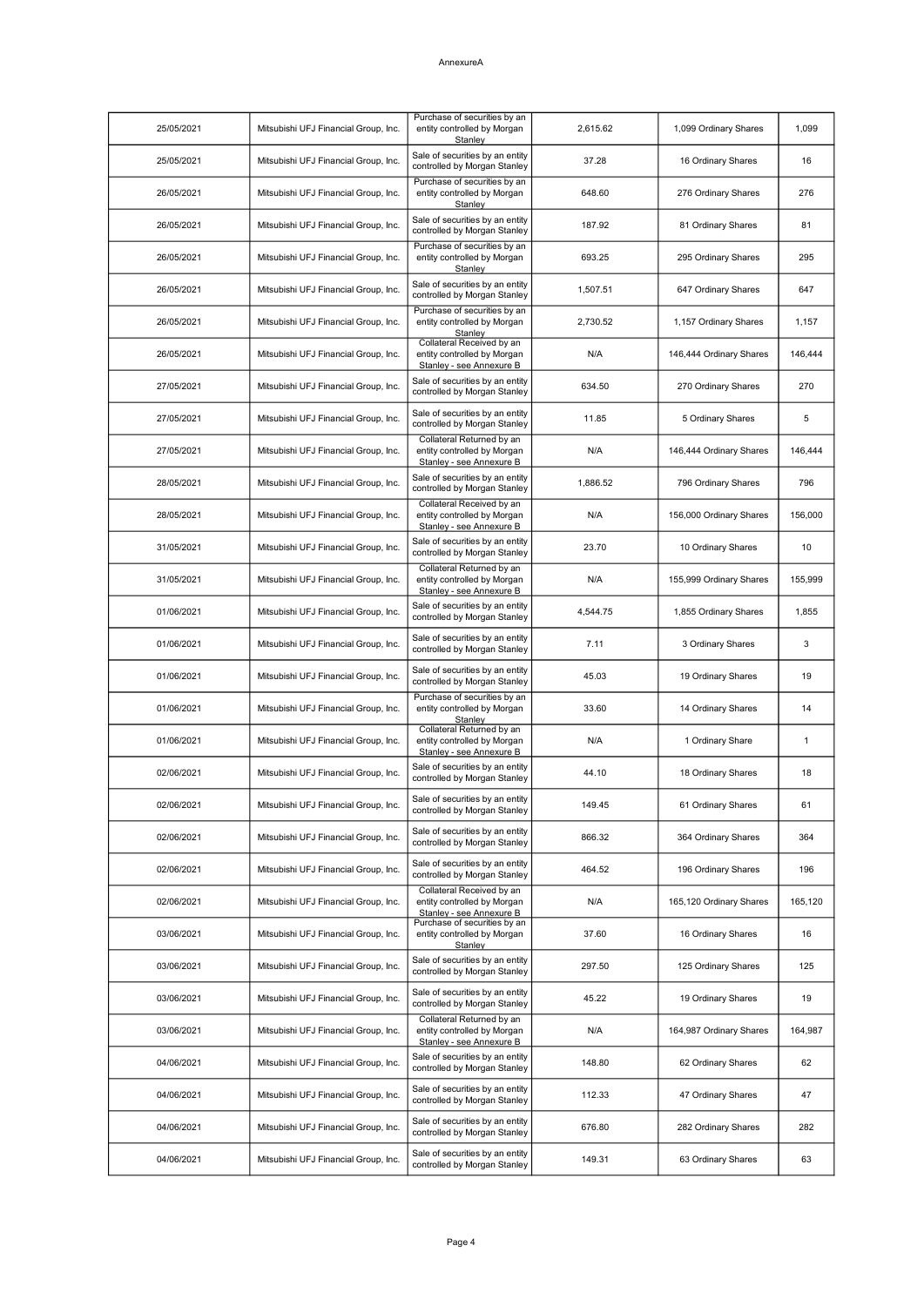| 25/05/2021 | Mitsubishi UFJ Financial Group, Inc. | Purchase of securities by an<br>entity controlled by Morgan<br>Stanley               | 2,615.62 | 1,099 Ordinary Shares   | 1,099   |
|------------|--------------------------------------|--------------------------------------------------------------------------------------|----------|-------------------------|---------|
| 25/05/2021 | Mitsubishi UFJ Financial Group, Inc. | Sale of securities by an entity<br>controlled by Morgan Stanley                      | 37.28    | 16 Ordinary Shares      | 16      |
| 26/05/2021 | Mitsubishi UFJ Financial Group, Inc. | Purchase of securities by an<br>entity controlled by Morgan<br>Stanley               | 648.60   | 276 Ordinary Shares     | 276     |
| 26/05/2021 | Mitsubishi UFJ Financial Group, Inc. | Sale of securities by an entity<br>controlled by Morgan Stanley                      | 187.92   | 81 Ordinary Shares      | 81      |
| 26/05/2021 | Mitsubishi UFJ Financial Group, Inc. | Purchase of securities by an<br>entity controlled by Morgan<br>Stanley               | 693.25   | 295 Ordinary Shares     | 295     |
| 26/05/2021 | Mitsubishi UFJ Financial Group, Inc. | Sale of securities by an entity<br>controlled by Morgan Stanley                      | 1,507.51 | 647 Ordinary Shares     | 647     |
| 26/05/2021 | Mitsubishi UFJ Financial Group, Inc. | Purchase of securities by an<br>entity controlled by Morgan<br>Stanley               | 2,730.52 | 1,157 Ordinary Shares   | 1,157   |
| 26/05/2021 | Mitsubishi UFJ Financial Group, Inc. | Collateral Received by an<br>entity controlled by Morgan<br>Stanley - see Annexure B | N/A      | 146,444 Ordinary Shares | 146,444 |
| 27/05/2021 | Mitsubishi UFJ Financial Group, Inc. | Sale of securities by an entity<br>controlled by Morgan Stanley                      | 634.50   | 270 Ordinary Shares     | 270     |
| 27/05/2021 | Mitsubishi UFJ Financial Group, Inc. | Sale of securities by an entity<br>controlled by Morgan Stanley                      | 11.85    | 5 Ordinary Shares       | 5       |
| 27/05/2021 | Mitsubishi UFJ Financial Group, Inc. | Collateral Returned by an<br>entity controlled by Morgan<br>Stanley - see Annexure B | N/A      | 146,444 Ordinary Shares | 146,444 |
| 28/05/2021 | Mitsubishi UFJ Financial Group, Inc. | Sale of securities by an entity<br>controlled by Morgan Stanley                      | 1,886.52 | 796 Ordinary Shares     | 796     |
| 28/05/2021 | Mitsubishi UFJ Financial Group, Inc. | Collateral Received by an<br>entity controlled by Morgan<br>Stanley - see Annexure B | N/A      | 156,000 Ordinary Shares | 156,000 |
| 31/05/2021 | Mitsubishi UFJ Financial Group, Inc. | Sale of securities by an entity<br>controlled by Morgan Stanley                      | 23.70    | 10 Ordinary Shares      | 10      |
| 31/05/2021 | Mitsubishi UFJ Financial Group, Inc. | Collateral Returned by an<br>entity controlled by Morgan<br>Stanley - see Annexure B | N/A      | 155,999 Ordinary Shares | 155,999 |
| 01/06/2021 | Mitsubishi UFJ Financial Group, Inc. | Sale of securities by an entity<br>controlled by Morgan Stanley                      | 4,544.75 | 1,855 Ordinary Shares   | 1,855   |
| 01/06/2021 | Mitsubishi UFJ Financial Group, Inc. | Sale of securities by an entity<br>controlled by Morgan Stanley                      | 7.11     | 3 Ordinary Shares       | 3       |
| 01/06/2021 | Mitsubishi UFJ Financial Group, Inc. | Sale of securities by an entity<br>controlled by Morgan Stanley                      | 45.03    | 19 Ordinary Shares      | 19      |
| 01/06/2021 | Mitsubishi UFJ Financial Group, Inc. | Purchase of securities by an<br>entity controlled by Morgan<br>Stanley               | 33.60    | 14 Ordinary Shares      | 14      |
| 01/06/2021 | Mitsubishi UFJ Financial Group, Inc. | Collateral Returned by an<br>entity controlled by Morgan<br>Stanley - see Annexure B | N/A      | 1 Ordinary Share        | 1       |
| 02/06/2021 | Mitsubishi UFJ Financial Group, Inc. | Sale of securities by an entity<br>controlled by Morgan Stanley                      | 44.10    | 18 Ordinary Shares      | 18      |
| 02/06/2021 | Mitsubishi UFJ Financial Group, Inc. | Sale of securities by an entity<br>controlled by Morgan Stanley                      | 149.45   | 61 Ordinary Shares      | 61      |
| 02/06/2021 | Mitsubishi UFJ Financial Group, Inc. | Sale of securities by an entity<br>controlled by Morgan Stanley                      | 866.32   | 364 Ordinary Shares     | 364     |
| 02/06/2021 | Mitsubishi UFJ Financial Group, Inc. | Sale of securities by an entity<br>controlled by Morgan Stanley                      | 464.52   | 196 Ordinary Shares     | 196     |
| 02/06/2021 | Mitsubishi UFJ Financial Group, Inc. | Collateral Received by an<br>entity controlled by Morgan<br>Stanley - see Annexure B | N/A      | 165,120 Ordinary Shares | 165,120 |
| 03/06/2021 | Mitsubishi UFJ Financial Group, Inc. | Purchase of securities by an<br>entity controlled by Morgan<br>Stanley               | 37.60    | 16 Ordinary Shares      | 16      |
| 03/06/2021 | Mitsubishi UFJ Financial Group, Inc. | Sale of securities by an entity<br>controlled by Morgan Stanley                      | 297.50   | 125 Ordinary Shares     | 125     |
| 03/06/2021 | Mitsubishi UFJ Financial Group, Inc. | Sale of securities by an entity<br>controlled by Morgan Stanley                      | 45.22    | 19 Ordinary Shares      | 19      |
| 03/06/2021 | Mitsubishi UFJ Financial Group, Inc. | Collateral Returned by an<br>entity controlled by Morgan<br>Stanley - see Annexure B | N/A      | 164,987 Ordinary Shares | 164,987 |
| 04/06/2021 | Mitsubishi UFJ Financial Group, Inc. | Sale of securities by an entity<br>controlled by Morgan Stanley                      | 148.80   | 62 Ordinary Shares      | 62      |
| 04/06/2021 | Mitsubishi UFJ Financial Group, Inc. | Sale of securities by an entity<br>controlled by Morgan Stanley                      | 112.33   | 47 Ordinary Shares      | 47      |
| 04/06/2021 | Mitsubishi UFJ Financial Group, Inc. | Sale of securities by an entity<br>controlled by Morgan Stanley                      | 676.80   | 282 Ordinary Shares     | 282     |
| 04/06/2021 | Mitsubishi UFJ Financial Group, Inc. | Sale of securities by an entity<br>controlled by Morgan Stanley                      | 149.31   | 63 Ordinary Shares      | 63      |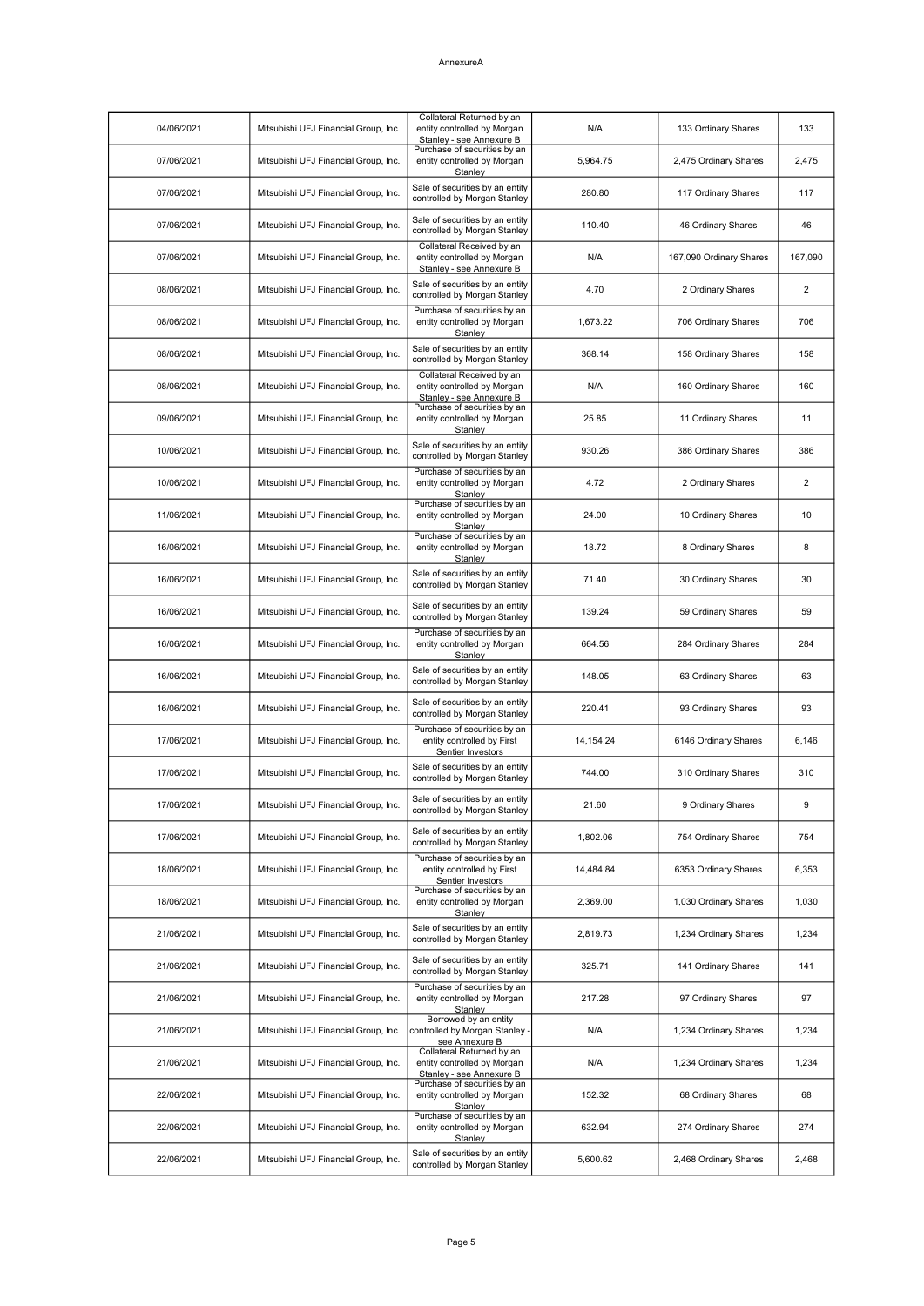| 04/06/2021 | Mitsubishi UFJ Financial Group, Inc. | Collateral Returned by an<br>entity controlled by Morgan<br>Stanley - see Annexure B | N/A         | 133 Ordinary Shares     | 133            |
|------------|--------------------------------------|--------------------------------------------------------------------------------------|-------------|-------------------------|----------------|
| 07/06/2021 | Mitsubishi UFJ Financial Group, Inc. | Purchase of securities by an<br>entity controlled by Morgan<br>Stanley               | 5,964.75    | 2,475 Ordinary Shares   | 2,475          |
| 07/06/2021 | Mitsubishi UFJ Financial Group, Inc. | Sale of securities by an entity<br>controlled by Morgan Stanley                      | 280.80      | 117 Ordinary Shares     | 117            |
| 07/06/2021 | Mitsubishi UFJ Financial Group, Inc. | Sale of securities by an entity<br>controlled by Morgan Stanley                      | 110.40      | 46 Ordinary Shares      | 46             |
| 07/06/2021 | Mitsubishi UFJ Financial Group, Inc. | Collateral Received by an<br>entity controlled by Morgan<br>Stanley - see Annexure B | N/A         | 167,090 Ordinary Shares | 167,090        |
| 08/06/2021 | Mitsubishi UFJ Financial Group, Inc. | Sale of securities by an entity<br>controlled by Morgan Stanley                      | 4.70        | 2 Ordinary Shares       | $\overline{2}$ |
| 08/06/2021 | Mitsubishi UFJ Financial Group, Inc. | Purchase of securities by an<br>entity controlled by Morgan<br>Stanley               | 1,673.22    | 706 Ordinary Shares     | 706            |
| 08/06/2021 | Mitsubishi UFJ Financial Group, Inc. | Sale of securities by an entity<br>controlled by Morgan Stanley                      | 368.14      | 158 Ordinary Shares     | 158            |
| 08/06/2021 | Mitsubishi UFJ Financial Group, Inc. | Collateral Received by an<br>entity controlled by Morgan<br>Stanley - see Annexure B | N/A         | 160 Ordinary Shares     | 160            |
| 09/06/2021 | Mitsubishi UFJ Financial Group, Inc. | Purchase of securities by an<br>entity controlled by Morgan<br>Stanley               | 25.85       | 11 Ordinary Shares      | 11             |
| 10/06/2021 | Mitsubishi UFJ Financial Group, Inc. | Sale of securities by an entity<br>controlled by Morgan Stanley                      | 930.26      | 386 Ordinary Shares     | 386            |
| 10/06/2021 | Mitsubishi UFJ Financial Group, Inc. | Purchase of securities by an<br>entity controlled by Morgan<br>Stanley               | 4.72        | 2 Ordinary Shares       | $\overline{2}$ |
| 11/06/2021 | Mitsubishi UFJ Financial Group, Inc. | Purchase of securities by an<br>entity controlled by Morgan<br>Stanley               | 24.00       | 10 Ordinary Shares      | 10             |
| 16/06/2021 | Mitsubishi UFJ Financial Group, Inc. | Purchase of securities by an<br>entity controlled by Morgan<br>Stanley               | 18.72       | 8 Ordinary Shares       | 8              |
| 16/06/2021 | Mitsubishi UFJ Financial Group, Inc. | Sale of securities by an entity<br>controlled by Morgan Stanley                      | 71.40       | 30 Ordinary Shares      | 30             |
| 16/06/2021 | Mitsubishi UFJ Financial Group, Inc. | Sale of securities by an entity<br>controlled by Morgan Stanley                      | 139.24      | 59 Ordinary Shares      | 59             |
| 16/06/2021 | Mitsubishi UFJ Financial Group, Inc. | Purchase of securities by an<br>entity controlled by Morgan<br>Stanlev               | 664.56      | 284 Ordinary Shares     | 284            |
| 16/06/2021 | Mitsubishi UFJ Financial Group, Inc. | Sale of securities by an entity<br>controlled by Morgan Stanley                      | 148.05      | 63 Ordinary Shares      | 63             |
| 16/06/2021 | Mitsubishi UFJ Financial Group, Inc. | Sale of securities by an entity<br>controlled by Morgan Stanley                      | 220.41      | 93 Ordinary Shares      | 93             |
| 17/06/2021 | Mitsubishi UFJ Financial Group, Inc. | Purchase of securities by an<br>entity controlled by First<br>Sentier Investors      | 14, 154. 24 | 6146 Ordinary Shares    | 6,146          |
| 17/06/2021 | Mitsubishi UFJ Financial Group, Inc. | Sale of securities by an entity<br>controlled by Morgan Stanley                      | 744.00      | 310 Ordinary Shares     | 310            |
| 17/06/2021 | Mitsubishi UFJ Financial Group, Inc. | Sale of securities by an entity<br>controlled by Morgan Stanley                      | 21.60       | 9 Ordinary Shares       | 9              |
| 17/06/2021 | Mitsubishi UFJ Financial Group, Inc. | Sale of securities by an entity<br>controlled by Morgan Stanley                      | 1,802.06    | 754 Ordinary Shares     | 754            |
| 18/06/2021 | Mitsubishi UFJ Financial Group, Inc. | Purchase of securities by an<br>entity controlled by First<br>Sentier Investors      | 14,484.84   | 6353 Ordinary Shares    | 6,353          |
| 18/06/2021 | Mitsubishi UFJ Financial Group, Inc. | Purchase of securities by an<br>entity controlled by Morgan<br>Stanley               | 2,369.00    | 1,030 Ordinary Shares   | 1,030          |
| 21/06/2021 | Mitsubishi UFJ Financial Group, Inc. | Sale of securities by an entity<br>controlled by Morgan Stanley                      | 2,819.73    | 1,234 Ordinary Shares   | 1,234          |
| 21/06/2021 | Mitsubishi UFJ Financial Group, Inc. | Sale of securities by an entity<br>controlled by Morgan Stanley                      | 325.71      | 141 Ordinary Shares     | 141            |
| 21/06/2021 | Mitsubishi UFJ Financial Group, Inc. | Purchase of securities by an<br>entity controlled by Morgan<br>Stanley               | 217.28      | 97 Ordinary Shares      | 97             |
| 21/06/2021 | Mitsubishi UFJ Financial Group, Inc. | Borrowed by an entity<br>controlled by Morgan Stanley -<br>see Annexure B            | N/A         | 1,234 Ordinary Shares   | 1,234          |
| 21/06/2021 | Mitsubishi UFJ Financial Group, Inc. | Collateral Returned by an<br>entity controlled by Morgan<br>Stanley - see Annexure B | N/A         | 1,234 Ordinary Shares   | 1,234          |
| 22/06/2021 | Mitsubishi UFJ Financial Group, Inc. | Purchase of securities by an<br>entity controlled by Morgan<br>Stanley               | 152.32      | 68 Ordinary Shares      | 68             |
| 22/06/2021 | Mitsubishi UFJ Financial Group, Inc. | Purchase of securities by an<br>entity controlled by Morgan<br>Stanley               | 632.94      | 274 Ordinary Shares     | 274            |
| 22/06/2021 | Mitsubishi UFJ Financial Group, Inc. | Sale of securities by an entity<br>controlled by Morgan Stanley                      | 5,600.62    | 2,468 Ordinary Shares   | 2,468          |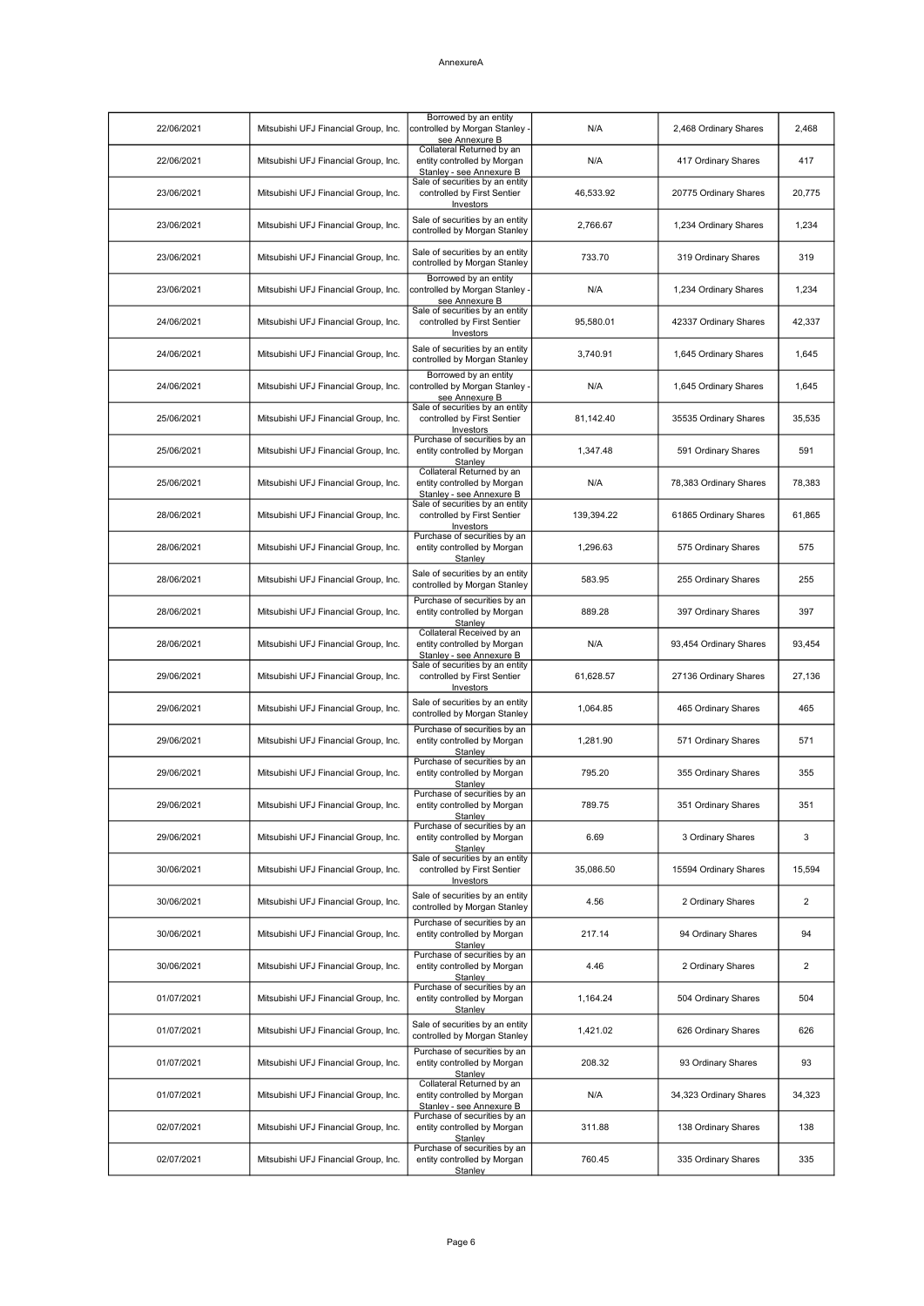| 22/06/2021 | Mitsubishi UFJ Financial Group, Inc. | Borrowed by an entity<br>controlled by Morgan Stanley -<br>see Annexure B            | N/A        | 2,468 Ordinary Shares  | 2,468  |
|------------|--------------------------------------|--------------------------------------------------------------------------------------|------------|------------------------|--------|
| 22/06/2021 | Mitsubishi UFJ Financial Group, Inc. | Collateral Returned by an<br>entity controlled by Morgan<br>Stanley - see Annexure B | N/A        | 417 Ordinary Shares    | 417    |
| 23/06/2021 | Mitsubishi UFJ Financial Group, Inc. | Sale of securities by an entity<br>controlled by First Sentier<br>Investors          | 46,533.92  | 20775 Ordinary Shares  | 20,775 |
| 23/06/2021 | Mitsubishi UFJ Financial Group, Inc. | Sale of securities by an entity<br>controlled by Morgan Stanley                      | 2,766.67   | 1,234 Ordinary Shares  | 1,234  |
| 23/06/2021 | Mitsubishi UFJ Financial Group, Inc. | Sale of securities by an entity<br>controlled by Morgan Stanley                      | 733.70     | 319 Ordinary Shares    | 319    |
| 23/06/2021 | Mitsubishi UFJ Financial Group, Inc. | Borrowed by an entity<br>controlled by Morgan Stanley -<br>see Annexure B            | N/A        | 1,234 Ordinary Shares  | 1,234  |
| 24/06/2021 | Mitsubishi UFJ Financial Group, Inc. | Sale of securities by an entity<br>controlled by First Sentier<br>Investors          | 95,580.01  | 42337 Ordinary Shares  | 42,337 |
| 24/06/2021 | Mitsubishi UFJ Financial Group, Inc. | Sale of securities by an entity<br>controlled by Morgan Stanley                      | 3,740.91   | 1,645 Ordinary Shares  | 1,645  |
| 24/06/2021 | Mitsubishi UFJ Financial Group, Inc. | Borrowed by an entity<br>controlled by Morgan Stanley -<br>see Annexure B            | N/A        | 1,645 Ordinary Shares  | 1,645  |
| 25/06/2021 | Mitsubishi UFJ Financial Group, Inc. | Sale of securities by an entity<br>controlled by First Sentier<br>Investors          | 81,142.40  | 35535 Ordinary Shares  | 35,535 |
| 25/06/2021 | Mitsubishi UFJ Financial Group, Inc. | Purchase of securities by an<br>entity controlled by Morgan<br>Stanley               | 1,347.48   | 591 Ordinary Shares    | 591    |
| 25/06/2021 | Mitsubishi UFJ Financial Group, Inc. | Collateral Returned by an<br>entity controlled by Morgan<br>Stanley - see Annexure B | N/A        | 78,383 Ordinary Shares | 78,383 |
| 28/06/2021 | Mitsubishi UFJ Financial Group, Inc. | Sale of securities by an entity<br>controlled by First Sentier<br>Investors          | 139,394.22 | 61865 Ordinary Shares  | 61,865 |
| 28/06/2021 | Mitsubishi UFJ Financial Group, Inc. | Purchase of securities by an<br>entity controlled by Morgan<br>Stanley               | 1,296.63   | 575 Ordinary Shares    | 575    |
| 28/06/2021 | Mitsubishi UFJ Financial Group, Inc. | Sale of securities by an entity<br>controlled by Morgan Stanley                      | 583.95     | 255 Ordinary Shares    | 255    |
| 28/06/2021 | Mitsubishi UFJ Financial Group, Inc. | Purchase of securities by an<br>entity controlled by Morgan<br>Stanley               | 889.28     | 397 Ordinary Shares    | 397    |
| 28/06/2021 | Mitsubishi UFJ Financial Group, Inc. | Collateral Received by an<br>entity controlled by Morgan<br>Stanley - see Annexure B | N/A        | 93,454 Ordinary Shares | 93,454 |
| 29/06/2021 | Mitsubishi UFJ Financial Group, Inc. | Sale of securities by an entity<br>controlled by First Sentier<br>Investors          | 61,628.57  | 27136 Ordinary Shares  | 27,136 |
| 29/06/2021 | Mitsubishi UFJ Financial Group, Inc. | Sale of securities by an entity<br>controlled by Morgan Stanley                      | 1.064.85   | 465 Ordinary Shares    | 465    |
| 29/06/2021 | Mitsubishi UFJ Financial Group, Inc. | Purchase of securities by an<br>entity controlled by Morgan<br>Stanley               | 1,281.90   | 571 Ordinary Shares    | 571    |
| 29/06/2021 | Mitsubishi UFJ Financial Group, Inc. | Purchase of securities by an<br>entity controlled by Morgan<br>Stanley               | 795.20     | 355 Ordinary Shares    | 355    |
| 29/06/2021 | Mitsubishi UFJ Financial Group, Inc. | Purchase of securities by an<br>entity controlled by Morgan<br>Stanley               | 789.75     | 351 Ordinary Shares    | 351    |
| 29/06/2021 | Mitsubishi UFJ Financial Group, Inc. | Purchase of securities by an<br>entity controlled by Morgan<br>Stanley               | 6.69       | 3 Ordinary Shares      | 3      |
| 30/06/2021 | Mitsubishi UFJ Financial Group, Inc. | Sale of securities by an entity<br>controlled by First Sentier<br>Investors          | 35,086.50  | 15594 Ordinary Shares  | 15,594 |
| 30/06/2021 | Mitsubishi UFJ Financial Group, Inc. | Sale of securities by an entity<br>controlled by Morgan Stanley                      | 4.56       | 2 Ordinary Shares      | 2      |
| 30/06/2021 | Mitsubishi UFJ Financial Group, Inc. | Purchase of securities by an<br>entity controlled by Morgan<br>Stanley               | 217.14     | 94 Ordinary Shares     | 94     |
| 30/06/2021 | Mitsubishi UFJ Financial Group, Inc. | Purchase of securities by an<br>entity controlled by Morgan<br>Stanley               | 4.46       | 2 Ordinary Shares      | 2      |
| 01/07/2021 | Mitsubishi UFJ Financial Group, Inc. | Purchase of securities by an<br>entity controlled by Morgan<br>Stanley               | 1,164.24   | 504 Ordinary Shares    | 504    |
| 01/07/2021 | Mitsubishi UFJ Financial Group, Inc. | Sale of securities by an entity<br>controlled by Morgan Stanley                      | 1,421.02   | 626 Ordinary Shares    | 626    |
| 01/07/2021 | Mitsubishi UFJ Financial Group, Inc. | Purchase of securities by an<br>entity controlled by Morgan<br>Stanley               | 208.32     | 93 Ordinary Shares     | 93     |
| 01/07/2021 | Mitsubishi UFJ Financial Group, Inc. | Collateral Returned by an<br>entity controlled by Morgan<br>Stanley - see Annexure B | N/A        | 34,323 Ordinary Shares | 34,323 |
| 02/07/2021 | Mitsubishi UFJ Financial Group, Inc. | Purchase of securities by an<br>entity controlled by Morgan<br>Stanley               | 311.88     | 138 Ordinary Shares    | 138    |
| 02/07/2021 | Mitsubishi UFJ Financial Group, Inc. | Purchase of securities by an<br>entity controlled by Morgan<br>Stanley               | 760.45     | 335 Ordinary Shares    | 335    |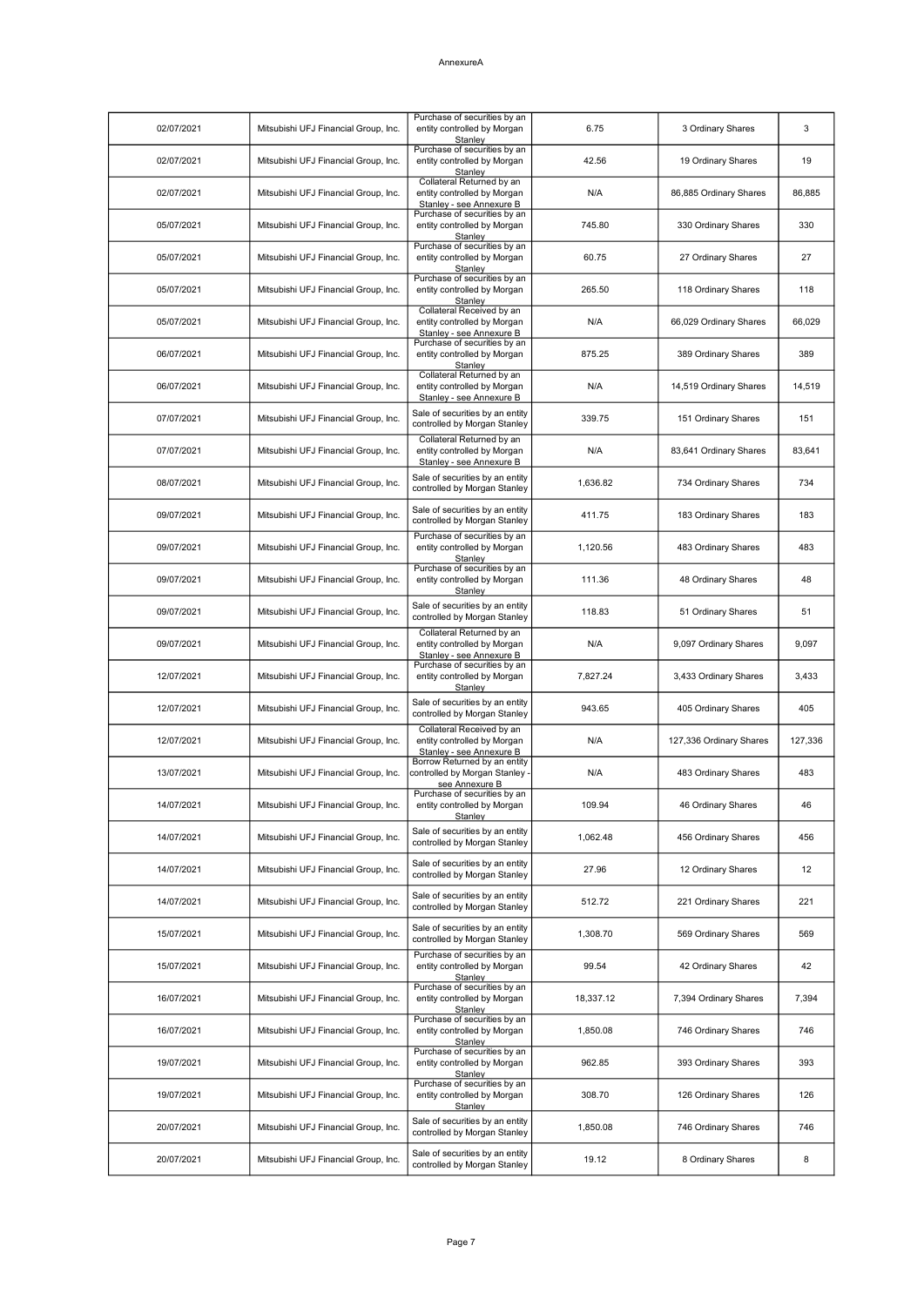| 02/07/2021 | Mitsubishi UFJ Financial Group, Inc. | Purchase of securities by an<br>entity controlled by Morgan<br>Stanley               | 6.75      | 3 Ordinary Shares       | 3       |
|------------|--------------------------------------|--------------------------------------------------------------------------------------|-----------|-------------------------|---------|
| 02/07/2021 | Mitsubishi UFJ Financial Group, Inc. | Purchase of securities by an<br>entity controlled by Morgan<br>Stanlev               | 42.56     | 19 Ordinary Shares      | 19      |
| 02/07/2021 | Mitsubishi UFJ Financial Group, Inc. | Collateral Returned by an<br>entity controlled by Morgan<br>Stanley - see Annexure B | N/A       | 86,885 Ordinary Shares  | 86,885  |
| 05/07/2021 | Mitsubishi UFJ Financial Group, Inc. | Purchase of securities by an<br>entity controlled by Morgan<br>Stanley               | 745.80    | 330 Ordinary Shares     | 330     |
| 05/07/2021 | Mitsubishi UFJ Financial Group, Inc. | Purchase of securities by an<br>entity controlled by Morgan<br>Stanley               | 60.75     | 27 Ordinary Shares      | 27      |
| 05/07/2021 | Mitsubishi UFJ Financial Group, Inc. | Purchase of securities by an<br>entity controlled by Morgan<br>Stanley               | 265.50    | 118 Ordinary Shares     | 118     |
| 05/07/2021 | Mitsubishi UFJ Financial Group, Inc. | Collateral Received by an<br>entity controlled by Morgan<br>Stanley - see Annexure B | N/A       | 66,029 Ordinary Shares  | 66,029  |
| 06/07/2021 | Mitsubishi UFJ Financial Group, Inc. | Purchase of securities by an<br>entity controlled by Morgan<br>Stanley               | 875.25    | 389 Ordinary Shares     | 389     |
| 06/07/2021 | Mitsubishi UFJ Financial Group, Inc. | Collateral Returned by an<br>entity controlled by Morgan<br>Stanley - see Annexure B | N/A       | 14,519 Ordinary Shares  | 14,519  |
| 07/07/2021 | Mitsubishi UFJ Financial Group, Inc. | Sale of securities by an entity<br>controlled by Morgan Stanley                      | 339.75    | 151 Ordinary Shares     | 151     |
| 07/07/2021 | Mitsubishi UFJ Financial Group, Inc. | Collateral Returned by an<br>entity controlled by Morgan<br>Stanley - see Annexure B | N/A       | 83,641 Ordinary Shares  | 83,641  |
| 08/07/2021 | Mitsubishi UFJ Financial Group, Inc. | Sale of securities by an entity<br>controlled by Morgan Stanley                      | 1.636.82  | 734 Ordinary Shares     | 734     |
| 09/07/2021 | Mitsubishi UFJ Financial Group, Inc. | Sale of securities by an entity<br>controlled by Morgan Stanley                      | 411.75    | 183 Ordinary Shares     | 183     |
| 09/07/2021 | Mitsubishi UFJ Financial Group, Inc. | Purchase of securities by an<br>entity controlled by Morgan<br>Stanley               | 1,120.56  | 483 Ordinary Shares     | 483     |
| 09/07/2021 | Mitsubishi UFJ Financial Group, Inc. | Purchase of securities by an<br>entity controlled by Morgan<br>Stanley               | 111.36    | 48 Ordinary Shares      | 48      |
| 09/07/2021 | Mitsubishi UFJ Financial Group, Inc. | Sale of securities by an entity<br>controlled by Morgan Stanley                      | 118.83    | 51 Ordinary Shares      | 51      |
| 09/07/2021 | Mitsubishi UFJ Financial Group, Inc. | Collateral Returned by an<br>entity controlled by Morgan<br>Stanley - see Annexure B | N/A       | 9,097 Ordinary Shares   | 9,097   |
| 12/07/2021 | Mitsubishi UFJ Financial Group, Inc. | Purchase of securities by an<br>entity controlled by Morgan<br>Stanley               | 7,827.24  | 3,433 Ordinary Shares   | 3,433   |
| 12/07/2021 | Mitsubishi UFJ Financial Group, Inc. | Sale of securities by an entity<br>controlled by Morgan Stanley                      | 943.65    | 405 Ordinary Shares     | 405     |
| 12/07/2021 | Mitsubishi UFJ Financial Group, Inc. | Collateral Received by an<br>entity controlled by Morgan<br>Stanley - see Annexure B | N/A       | 127,336 Ordinary Shares | 127,336 |
| 13/07/2021 | Mitsubishi UFJ Financial Group, Inc. | Borrow Returned by an entity<br>controlled by Morgan Stanley -<br>see Annexure B     | N/A       | 483 Ordinary Shares     | 483     |
| 14/07/2021 | Mitsubishi UFJ Financial Group, Inc. | Purchase of securities by an<br>entity controlled by Morgan<br>Stanley               | 109.94    | 46 Ordinary Shares      | 46      |
| 14/07/2021 | Mitsubishi UFJ Financial Group, Inc. | Sale of securities by an entity<br>controlled by Morgan Stanley                      | 1,062.48  | 456 Ordinary Shares     | 456     |
| 14/07/2021 | Mitsubishi UFJ Financial Group, Inc. | Sale of securities by an entity<br>controlled by Morgan Stanley                      | 27.96     | 12 Ordinary Shares      | 12      |
| 14/07/2021 | Mitsubishi UFJ Financial Group, Inc. | Sale of securities by an entity<br>controlled by Morgan Stanley                      | 512.72    | 221 Ordinary Shares     | 221     |
| 15/07/2021 | Mitsubishi UFJ Financial Group, Inc. | Sale of securities by an entity<br>controlled by Morgan Stanley                      | 1,308.70  | 569 Ordinary Shares     | 569     |
| 15/07/2021 | Mitsubishi UFJ Financial Group, Inc. | Purchase of securities by an<br>entity controlled by Morgan<br>Stanley               | 99.54     | 42 Ordinary Shares      | 42      |
| 16/07/2021 | Mitsubishi UFJ Financial Group, Inc. | Purchase of securities by an<br>entity controlled by Morgan<br>Stanley               | 18,337.12 | 7,394 Ordinary Shares   | 7,394   |
| 16/07/2021 | Mitsubishi UFJ Financial Group, Inc. | Purchase of securities by an<br>entity controlled by Morgan<br>Stanley               | 1,850.08  | 746 Ordinary Shares     | 746     |
| 19/07/2021 | Mitsubishi UFJ Financial Group, Inc. | Purchase of securities by an<br>entity controlled by Morgan<br>Stanley               | 962.85    | 393 Ordinary Shares     | 393     |
| 19/07/2021 | Mitsubishi UFJ Financial Group, Inc. | Purchase of securities by an<br>entity controlled by Morgan<br>Stanley               | 308.70    | 126 Ordinary Shares     | 126     |
| 20/07/2021 | Mitsubishi UFJ Financial Group, Inc. | Sale of securities by an entity<br>controlled by Morgan Stanley                      | 1,850.08  | 746 Ordinary Shares     | 746     |
| 20/07/2021 | Mitsubishi UFJ Financial Group, Inc. | Sale of securities by an entity<br>controlled by Morgan Stanley                      | 19.12     | 8 Ordinary Shares       | 8       |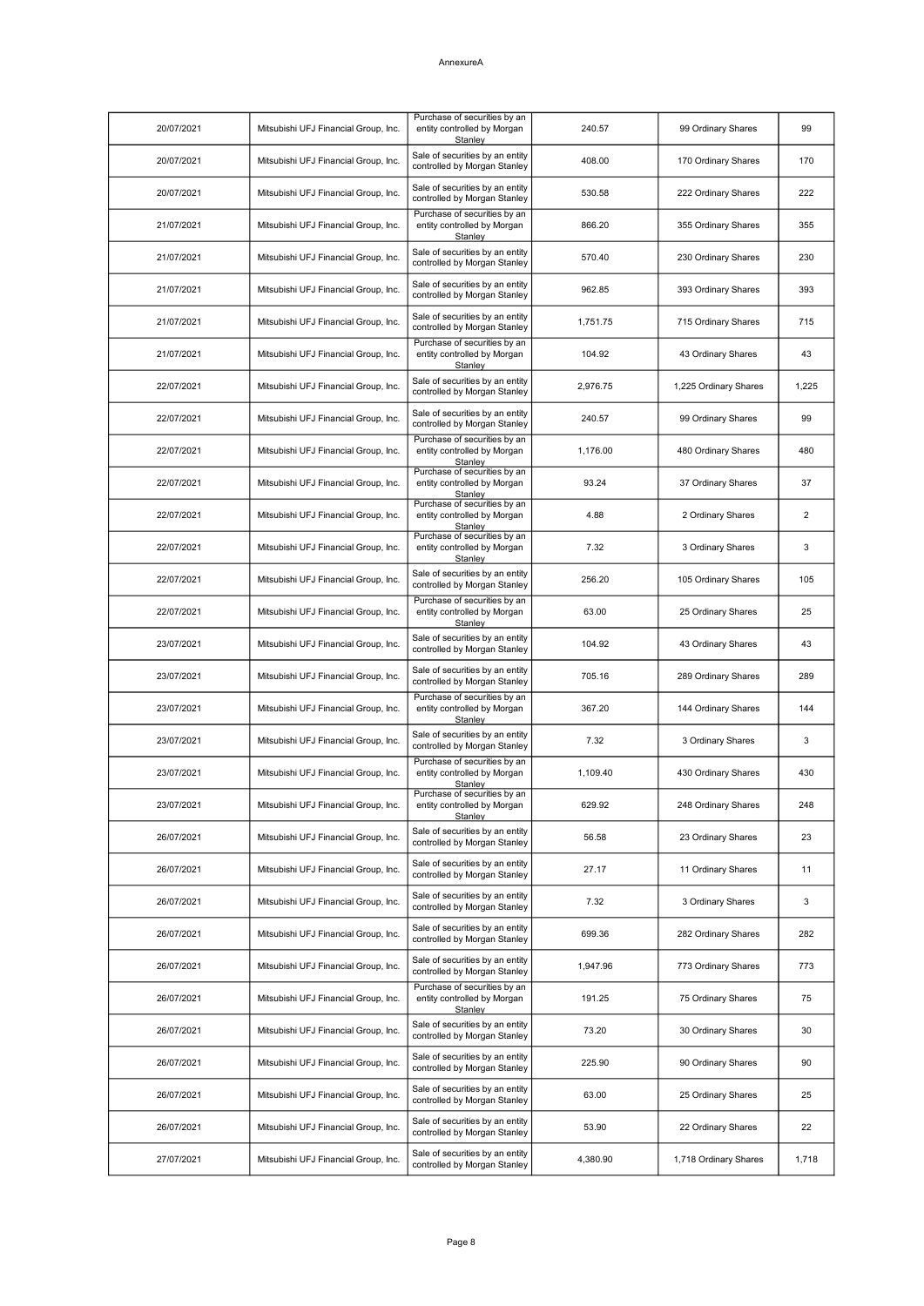| 20/07/2021 | Mitsubishi UFJ Financial Group, Inc. | Purchase of securities by an<br>entity controlled by Morgan<br>Stanley | 240.57   | 99 Ordinary Shares    | 99    |
|------------|--------------------------------------|------------------------------------------------------------------------|----------|-----------------------|-------|
| 20/07/2021 | Mitsubishi UFJ Financial Group, Inc. | Sale of securities by an entity<br>controlled by Morgan Stanley        | 408.00   | 170 Ordinary Shares   | 170   |
| 20/07/2021 | Mitsubishi UFJ Financial Group, Inc. | Sale of securities by an entity<br>controlled by Morgan Stanley        | 530.58   | 222 Ordinary Shares   | 222   |
| 21/07/2021 | Mitsubishi UFJ Financial Group, Inc. | Purchase of securities by an<br>entity controlled by Morgan<br>Stanley | 866.20   | 355 Ordinary Shares   | 355   |
| 21/07/2021 | Mitsubishi UFJ Financial Group, Inc. | Sale of securities by an entity<br>controlled by Morgan Stanley        | 570.40   | 230 Ordinary Shares   | 230   |
| 21/07/2021 | Mitsubishi UFJ Financial Group, Inc. | Sale of securities by an entity<br>controlled by Morgan Stanley        | 962.85   | 393 Ordinary Shares   | 393   |
| 21/07/2021 | Mitsubishi UFJ Financial Group, Inc. | Sale of securities by an entity<br>controlled by Morgan Stanley        | 1,751.75 | 715 Ordinary Shares   | 715   |
| 21/07/2021 | Mitsubishi UFJ Financial Group, Inc. | Purchase of securities by an<br>entity controlled by Morgan<br>Stanley | 104.92   | 43 Ordinary Shares    | 43    |
| 22/07/2021 | Mitsubishi UFJ Financial Group, Inc. | Sale of securities by an entity<br>controlled by Morgan Stanley        | 2,976.75 | 1,225 Ordinary Shares | 1,225 |
| 22/07/2021 | Mitsubishi UFJ Financial Group, Inc. | Sale of securities by an entity<br>controlled by Morgan Stanley        | 240.57   | 99 Ordinary Shares    | 99    |
| 22/07/2021 | Mitsubishi UFJ Financial Group, Inc. | Purchase of securities by an<br>entity controlled by Morgan<br>Stanley | 1,176.00 | 480 Ordinary Shares   | 480   |
| 22/07/2021 | Mitsubishi UFJ Financial Group, Inc. | Purchase of securities by an<br>entity controlled by Morgan<br>Stanley | 93.24    | 37 Ordinary Shares    | 37    |
| 22/07/2021 | Mitsubishi UFJ Financial Group, Inc. | Purchase of securities by an<br>entity controlled by Morgan<br>Stanley | 4.88     | 2 Ordinary Shares     | 2     |
| 22/07/2021 | Mitsubishi UFJ Financial Group, Inc. | Purchase of securities by an<br>entity controlled by Morgan<br>Stanley | 7.32     | 3 Ordinary Shares     | 3     |
| 22/07/2021 | Mitsubishi UFJ Financial Group, Inc. | Sale of securities by an entity<br>controlled by Morgan Stanley        | 256.20   | 105 Ordinary Shares   | 105   |
| 22/07/2021 | Mitsubishi UFJ Financial Group, Inc. | Purchase of securities by an<br>entity controlled by Morgan<br>Stanley | 63.00    | 25 Ordinary Shares    | 25    |
| 23/07/2021 | Mitsubishi UFJ Financial Group, Inc. | Sale of securities by an entity<br>controlled by Morgan Stanley        | 104.92   | 43 Ordinary Shares    | 43    |
| 23/07/2021 | Mitsubishi UFJ Financial Group, Inc. | Sale of securities by an entity<br>controlled by Morgan Stanley        | 705.16   | 289 Ordinary Shares   | 289   |
| 23/07/2021 | Mitsubishi UFJ Financial Group, Inc. | Purchase of securities by an<br>entity controlled by Morgan<br>Stanley | 367.20   | 144 Ordinary Shares   | 144   |
| 23/07/2021 | Mitsubishi UFJ Financial Group, Inc. | Sale of securities by an entity<br>controlled by Morgan Stanley        | 7.32     | 3 Ordinary Shares     | 3     |
| 23/07/2021 | Mitsubishi UFJ Financial Group, Inc. | Purchase of securities by an<br>entity controlled by Morgan<br>Stanley | 1,109.40 | 430 Ordinary Shares   | 430   |
| 23/07/2021 | Mitsubishi UFJ Financial Group, Inc. | Purchase of securities by an<br>entity controlled by Morgan<br>Stanley | 629.92   | 248 Ordinary Shares   | 248   |
| 26/07/2021 | Mitsubishi UFJ Financial Group, Inc. | Sale of securities by an entity<br>controlled by Morgan Stanley        | 56.58    | 23 Ordinary Shares    | 23    |
| 26/07/2021 | Mitsubishi UFJ Financial Group, Inc. | Sale of securities by an entity<br>controlled by Morgan Stanley        | 27.17    | 11 Ordinary Shares    | 11    |
| 26/07/2021 | Mitsubishi UFJ Financial Group, Inc. | Sale of securities by an entity<br>controlled by Morgan Stanley        | 7.32     | 3 Ordinary Shares     | 3     |
| 26/07/2021 | Mitsubishi UFJ Financial Group, Inc. | Sale of securities by an entity<br>controlled by Morgan Stanley        | 699.36   | 282 Ordinary Shares   | 282   |
| 26/07/2021 | Mitsubishi UFJ Financial Group, Inc. | Sale of securities by an entity<br>controlled by Morgan Stanley        | 1,947.96 | 773 Ordinary Shares   | 773   |
| 26/07/2021 | Mitsubishi UFJ Financial Group, Inc. | Purchase of securities by an<br>entity controlled by Morgan<br>Stanley | 191.25   | 75 Ordinary Shares    | 75    |
| 26/07/2021 | Mitsubishi UFJ Financial Group, Inc. | Sale of securities by an entity<br>controlled by Morgan Stanley        | 73.20    | 30 Ordinary Shares    | 30    |
| 26/07/2021 | Mitsubishi UFJ Financial Group, Inc. | Sale of securities by an entity<br>controlled by Morgan Stanley        | 225.90   | 90 Ordinary Shares    | 90    |
| 26/07/2021 | Mitsubishi UFJ Financial Group, Inc. | Sale of securities by an entity<br>controlled by Morgan Stanley        | 63.00    | 25 Ordinary Shares    | 25    |
| 26/07/2021 | Mitsubishi UFJ Financial Group, Inc. | Sale of securities by an entity<br>controlled by Morgan Stanley        | 53.90    | 22 Ordinary Shares    | 22    |
| 27/07/2021 | Mitsubishi UFJ Financial Group, Inc. | Sale of securities by an entity<br>controlled by Morgan Stanley        | 4,380.90 | 1,718 Ordinary Shares | 1,718 |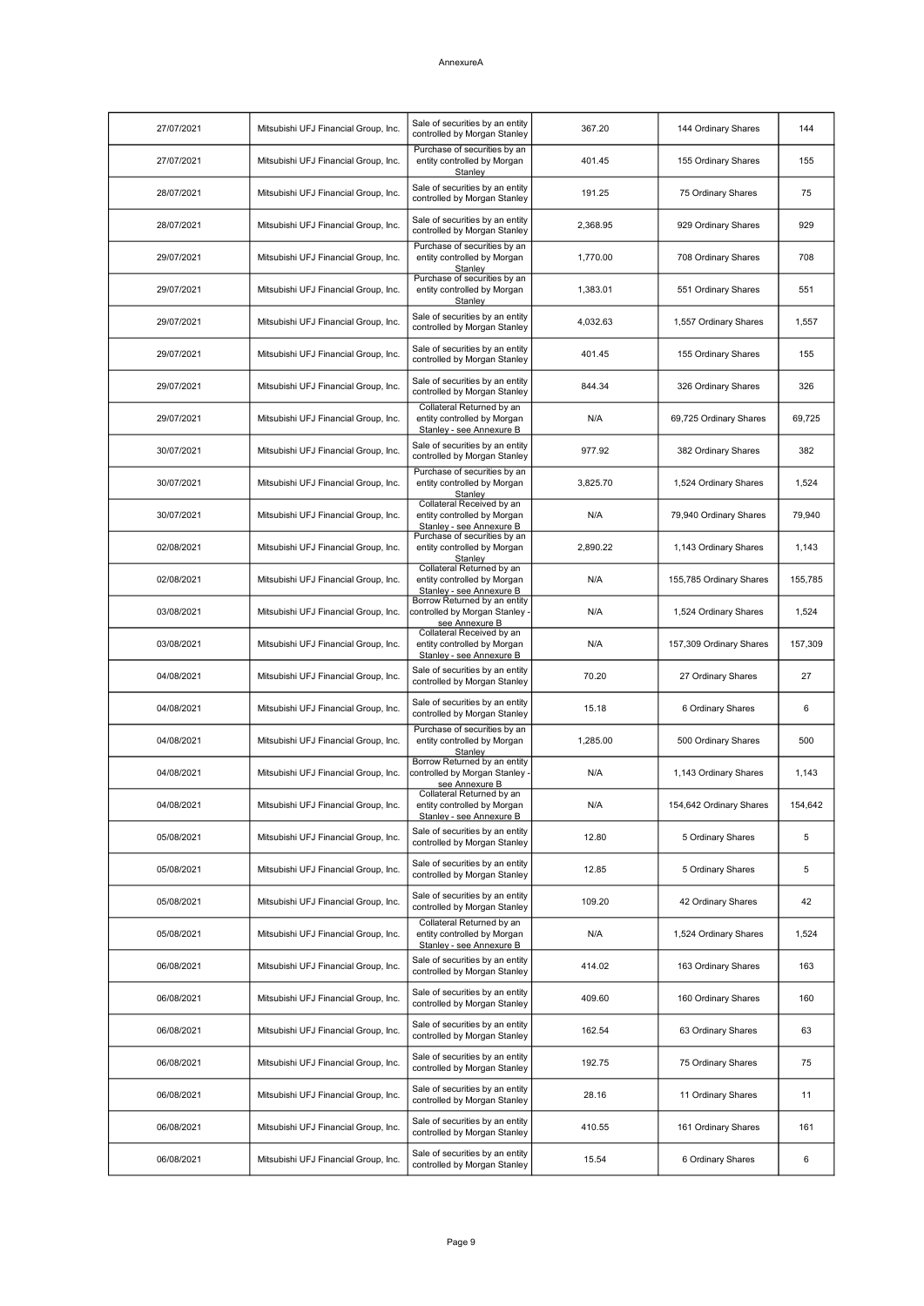| 27/07/2021 | Mitsubishi UFJ Financial Group, Inc. | Sale of securities by an entity<br>controlled by Morgan Stanley                      | 367.20   | 144 Ordinary Shares     | 144     |
|------------|--------------------------------------|--------------------------------------------------------------------------------------|----------|-------------------------|---------|
| 27/07/2021 | Mitsubishi UFJ Financial Group, Inc. | Purchase of securities by an<br>entity controlled by Morgan<br>Stanley               | 401.45   | 155 Ordinary Shares     | 155     |
| 28/07/2021 | Mitsubishi UFJ Financial Group, Inc. | Sale of securities by an entity<br>controlled by Morgan Stanley                      | 191.25   | 75 Ordinary Shares      | 75      |
| 28/07/2021 | Mitsubishi UFJ Financial Group, Inc. | Sale of securities by an entity<br>controlled by Morgan Stanley                      | 2,368.95 | 929 Ordinary Shares     | 929     |
| 29/07/2021 | Mitsubishi UFJ Financial Group, Inc. | Purchase of securities by an<br>entity controlled by Morgan<br>Stanley               | 1,770.00 | 708 Ordinary Shares     | 708     |
| 29/07/2021 | Mitsubishi UFJ Financial Group, Inc. | Purchase of securities by an<br>entity controlled by Morgan<br>Stanley               | 1,383.01 | 551 Ordinary Shares     | 551     |
| 29/07/2021 | Mitsubishi UFJ Financial Group, Inc. | Sale of securities by an entity<br>controlled by Morgan Stanley                      | 4,032.63 | 1,557 Ordinary Shares   | 1,557   |
| 29/07/2021 | Mitsubishi UFJ Financial Group, Inc. | Sale of securities by an entity<br>controlled by Morgan Stanley                      | 401.45   | 155 Ordinary Shares     | 155     |
| 29/07/2021 | Mitsubishi UFJ Financial Group, Inc. | Sale of securities by an entity<br>controlled by Morgan Stanley                      | 844.34   | 326 Ordinary Shares     | 326     |
| 29/07/2021 | Mitsubishi UFJ Financial Group, Inc. | Collateral Returned by an<br>entity controlled by Morgan<br>Stanley - see Annexure B | N/A      | 69,725 Ordinary Shares  | 69,725  |
| 30/07/2021 | Mitsubishi UFJ Financial Group, Inc. | Sale of securities by an entity<br>controlled by Morgan Stanley                      | 977.92   | 382 Ordinary Shares     | 382     |
| 30/07/2021 | Mitsubishi UFJ Financial Group, Inc. | Purchase of securities by an<br>entity controlled by Morgan<br>Stanley               | 3,825.70 | 1,524 Ordinary Shares   | 1,524   |
| 30/07/2021 | Mitsubishi UFJ Financial Group, Inc. | Collateral Received by an<br>entity controlled by Morgan<br>Stanley - see Annexure B | N/A      | 79,940 Ordinary Shares  | 79,940  |
| 02/08/2021 | Mitsubishi UFJ Financial Group, Inc. | Purchase of securities by an<br>entity controlled by Morgan<br>Stanley               | 2,890.22 | 1,143 Ordinary Shares   | 1,143   |
| 02/08/2021 | Mitsubishi UFJ Financial Group, Inc. | Collateral Returned by an<br>entity controlled by Morgan<br>Stanley - see Annexure B | N/A      | 155,785 Ordinary Shares | 155,785 |
| 03/08/2021 | Mitsubishi UFJ Financial Group, Inc. | Borrow Returned by an entity<br>controlled by Morgan Stanley -<br>see Annexure B     | N/A      | 1,524 Ordinary Shares   | 1,524   |
| 03/08/2021 | Mitsubishi UFJ Financial Group, Inc. | Collateral Received by an<br>entity controlled by Morgan<br>Stanley - see Annexure B | N/A      | 157,309 Ordinary Shares | 157,309 |
| 04/08/2021 | Mitsubishi UFJ Financial Group, Inc. | Sale of securities by an entity<br>controlled by Morgan Stanley                      | 70.20    | 27 Ordinary Shares      | 27      |
| 04/08/2021 | Mitsubishi UFJ Financial Group, Inc. | Sale of securities by an entity<br>controlled by Morgan Stanley                      | 15.18    | 6 Ordinary Shares       | 6       |
| 04/08/2021 | Mitsubishi UFJ Financial Group, Inc. | Purchase of securities by an<br>entity controlled by Morgan<br>Stanley               | 1,285.00 | 500 Ordinary Shares     | 500     |
| 04/08/2021 | Mitsubishi UFJ Financial Group, Inc. | Borrow Returned by an entity<br>controlled by Morgan Stanley -<br>see Annexure B     | N/A      | 1,143 Ordinary Shares   | 1,143   |
| 04/08/2021 | Mitsubishi UFJ Financial Group, Inc. | Collateral Returned by an<br>entity controlled by Morgan<br>Stanley - see Annexure B | N/A      | 154,642 Ordinary Shares | 154,642 |
| 05/08/2021 | Mitsubishi UFJ Financial Group, Inc. | Sale of securities by an entity<br>controlled by Morgan Stanley                      | 12.80    | 5 Ordinary Shares       | 5       |
| 05/08/2021 | Mitsubishi UFJ Financial Group, Inc. | Sale of securities by an entity<br>controlled by Morgan Stanley                      | 12.85    | 5 Ordinary Shares       | 5       |
| 05/08/2021 | Mitsubishi UFJ Financial Group, Inc. | Sale of securities by an entity<br>controlled by Morgan Stanley                      | 109.20   | 42 Ordinary Shares      | 42      |
| 05/08/2021 | Mitsubishi UFJ Financial Group, Inc. | Collateral Returned by an<br>entity controlled by Morgan<br>Stanley - see Annexure B | N/A      | 1,524 Ordinary Shares   | 1,524   |
| 06/08/2021 | Mitsubishi UFJ Financial Group, Inc. | Sale of securities by an entity<br>controlled by Morgan Stanley                      | 414.02   | 163 Ordinary Shares     | 163     |
| 06/08/2021 | Mitsubishi UFJ Financial Group, Inc. | Sale of securities by an entity<br>controlled by Morgan Stanley                      | 409.60   | 160 Ordinary Shares     | 160     |
| 06/08/2021 | Mitsubishi UFJ Financial Group, Inc. | Sale of securities by an entity<br>controlled by Morgan Stanley                      | 162.54   | 63 Ordinary Shares      | 63      |
| 06/08/2021 | Mitsubishi UFJ Financial Group, Inc. | Sale of securities by an entity<br>controlled by Morgan Stanley                      | 192.75   | 75 Ordinary Shares      | 75      |
| 06/08/2021 | Mitsubishi UFJ Financial Group, Inc. | Sale of securities by an entity<br>controlled by Morgan Stanley                      | 28.16    | 11 Ordinary Shares      | 11      |
| 06/08/2021 | Mitsubishi UFJ Financial Group, Inc. | Sale of securities by an entity<br>controlled by Morgan Stanley                      | 410.55   | 161 Ordinary Shares     | 161     |
| 06/08/2021 | Mitsubishi UFJ Financial Group, Inc. | Sale of securities by an entity<br>controlled by Morgan Stanley                      | 15.54    | 6 Ordinary Shares       | 6       |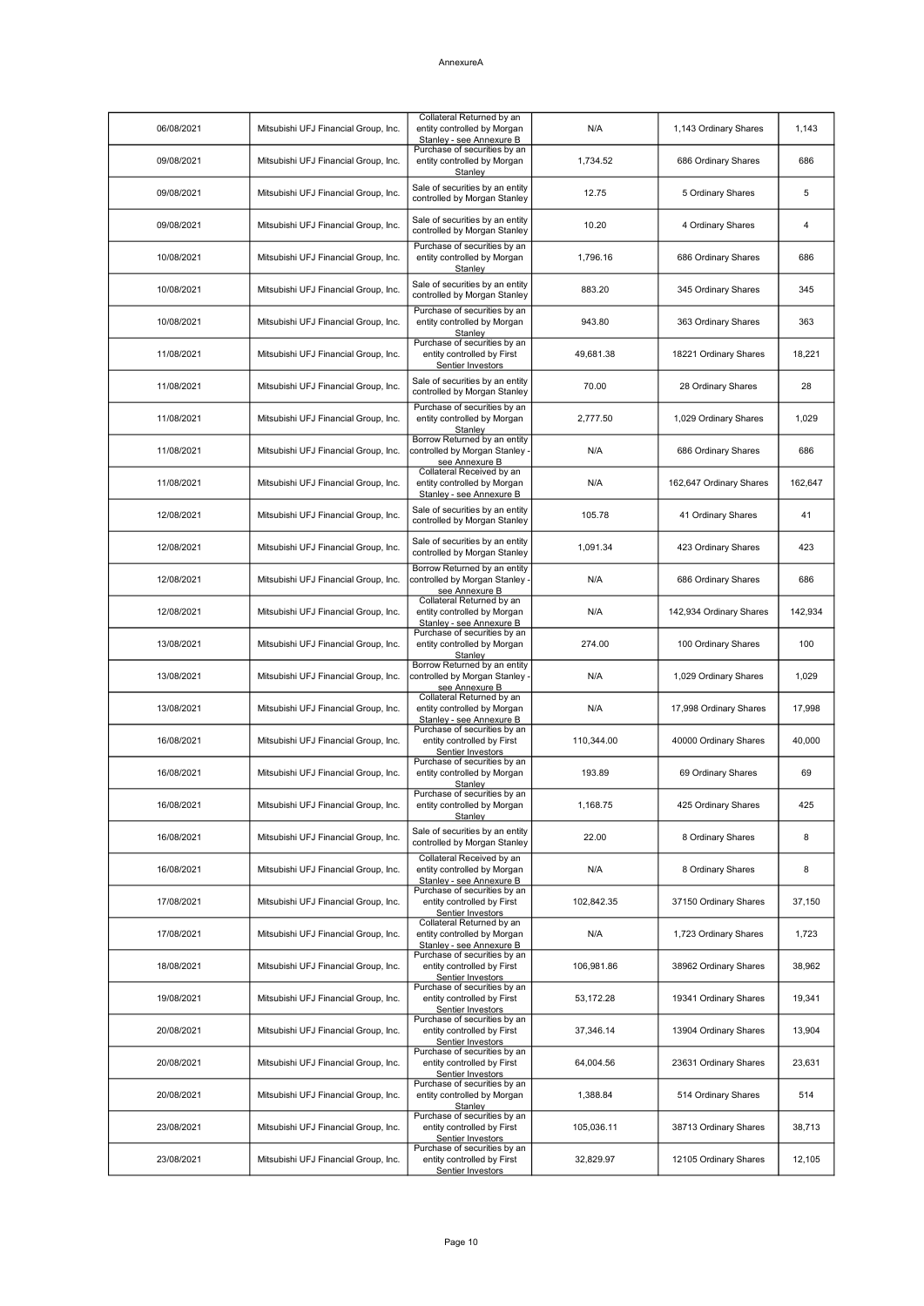| 06/08/2021 | Mitsubishi UFJ Financial Group, Inc. | Collateral Returned by an<br>entity controlled by Morgan<br>Stanley - see Annexure B | N/A        | 1,143 Ordinary Shares   | 1,143   |
|------------|--------------------------------------|--------------------------------------------------------------------------------------|------------|-------------------------|---------|
| 09/08/2021 | Mitsubishi UFJ Financial Group, Inc. | Purchase of securities by an<br>entity controlled by Morgan<br>Stanley               | 1,734.52   | 686 Ordinary Shares     | 686     |
| 09/08/2021 | Mitsubishi UFJ Financial Group, Inc. | Sale of securities by an entity<br>controlled by Morgan Stanley                      | 12.75      | 5 Ordinary Shares       | 5       |
| 09/08/2021 | Mitsubishi UFJ Financial Group, Inc. | Sale of securities by an entity<br>controlled by Morgan Stanley                      | 10.20      | 4 Ordinary Shares       | 4       |
| 10/08/2021 | Mitsubishi UFJ Financial Group, Inc. | Purchase of securities by an<br>entity controlled by Morgan<br>Stanley               | 1,796.16   | 686 Ordinary Shares     | 686     |
| 10/08/2021 | Mitsubishi UFJ Financial Group, Inc. | Sale of securities by an entity<br>controlled by Morgan Stanley                      | 883.20     | 345 Ordinary Shares     | 345     |
| 10/08/2021 | Mitsubishi UFJ Financial Group, Inc. | Purchase of securities by an<br>entity controlled by Morgan<br>Stanley               | 943.80     | 363 Ordinary Shares     | 363     |
| 11/08/2021 | Mitsubishi UFJ Financial Group, Inc. | Purchase of securities by an<br>entity controlled by First<br>Sentier Investors      | 49,681.38  | 18221 Ordinary Shares   | 18,221  |
| 11/08/2021 | Mitsubishi UFJ Financial Group, Inc. | Sale of securities by an entity<br>controlled by Morgan Stanley                      | 70.00      | 28 Ordinary Shares      | 28      |
| 11/08/2021 | Mitsubishi UFJ Financial Group, Inc. | Purchase of securities by an<br>entity controlled by Morgan<br>Stanley               | 2.777.50   | 1,029 Ordinary Shares   | 1,029   |
| 11/08/2021 | Mitsubishi UFJ Financial Group, Inc. | Borrow Returned by an entity<br>controlled by Morgan Stanley -<br>see Annexure B     | N/A        | 686 Ordinary Shares     | 686     |
| 11/08/2021 | Mitsubishi UFJ Financial Group, Inc. | Collateral Received by an<br>entity controlled by Morgan<br>Stanley - see Annexure B | N/A        | 162,647 Ordinary Shares | 162,647 |
| 12/08/2021 | Mitsubishi UFJ Financial Group, Inc. | Sale of securities by an entity<br>controlled by Morgan Stanley                      | 105.78     | 41 Ordinary Shares      | 41      |
| 12/08/2021 | Mitsubishi UFJ Financial Group, Inc. | Sale of securities by an entity<br>controlled by Morgan Stanley                      | 1,091.34   | 423 Ordinary Shares     | 423     |
| 12/08/2021 | Mitsubishi UFJ Financial Group, Inc. | Borrow Returned by an entity<br>controlled by Morgan Stanley -<br>see Annexure B     | N/A        | 686 Ordinary Shares     | 686     |
| 12/08/2021 | Mitsubishi UFJ Financial Group, Inc. | Collateral Returned by an<br>entity controlled by Morgan<br>Stanley - see Annexure B | N/A        | 142,934 Ordinary Shares | 142,934 |
| 13/08/2021 | Mitsubishi UFJ Financial Group, Inc. | Purchase of securities by an<br>entity controlled by Morgan<br>Stanley               | 274.00     | 100 Ordinary Shares     | 100     |
| 13/08/2021 | Mitsubishi UFJ Financial Group, Inc. | Borrow Returned by an entity<br>controlled by Morgan Stanley -<br>see Annexure B     | N/A        | 1,029 Ordinary Shares   | 1,029   |
| 13/08/2021 | Mitsubishi UFJ Financial Group, Inc. | Collateral Returned by an<br>entity controlled by Morgan<br>Stanley - see Annexure B | N/A        | 17,998 Ordinary Shares  | 17,998  |
| 16/08/2021 | Mitsubishi UFJ Financial Group, Inc. | Purchase of securities by an<br>entity controlled by First<br>Sentier Investors      | 110,344.00 | 40000 Ordinary Shares   | 40,000  |
| 16/08/2021 | Mitsubishi UFJ Financial Group, Inc. | Purchase of securities by an<br>entity controlled by Morgan<br><b>Stanley</b>        | 193.89     | 69 Ordinary Shares      | 69      |
| 16/08/2021 | Mitsubishi UFJ Financial Group, Inc. | Purchase of securities by an<br>entity controlled by Morgan<br>Stanley               | 1,168.75   | 425 Ordinary Shares     | 425     |
| 16/08/2021 | Mitsubishi UFJ Financial Group, Inc. | Sale of securities by an entity<br>controlled by Morgan Stanley                      | 22.00      | 8 Ordinary Shares       | 8       |
| 16/08/2021 | Mitsubishi UFJ Financial Group, Inc. | Collateral Received by an<br>entity controlled by Morgan<br>Stanley - see Annexure B | N/A        | 8 Ordinary Shares       | 8       |
| 17/08/2021 | Mitsubishi UFJ Financial Group, Inc. | Purchase of securities by an<br>entity controlled by First<br>Sentier Investors      | 102,842.35 | 37150 Ordinary Shares   | 37,150  |
| 17/08/2021 | Mitsubishi UFJ Financial Group, Inc. | Collateral Returned by an<br>entity controlled by Morgan<br>Stanley - see Annexure B | N/A        | 1,723 Ordinary Shares   | 1,723   |
| 18/08/2021 | Mitsubishi UFJ Financial Group, Inc. | Purchase of securities by an<br>entity controlled by First<br>Sentier Investors      | 106,981.86 | 38962 Ordinary Shares   | 38,962  |
| 19/08/2021 | Mitsubishi UFJ Financial Group, Inc. | Purchase of securities by an<br>entity controlled by First<br>Sentier Investors      | 53,172.28  | 19341 Ordinary Shares   | 19,341  |
| 20/08/2021 | Mitsubishi UFJ Financial Group, Inc. | Purchase of securities by an<br>entity controlled by First<br>Sentier Investors      | 37,346.14  | 13904 Ordinary Shares   | 13,904  |
| 20/08/2021 | Mitsubishi UFJ Financial Group, Inc. | Purchase of securities by an<br>entity controlled by First<br>Sentier Investors      | 64,004.56  | 23631 Ordinary Shares   | 23,631  |
| 20/08/2021 | Mitsubishi UFJ Financial Group, Inc. | Purchase of securities by an<br>entity controlled by Morgan<br>Stanley               | 1,388.84   | 514 Ordinary Shares     | 514     |
| 23/08/2021 | Mitsubishi UFJ Financial Group, Inc. | Purchase of securities by an<br>entity controlled by First<br>Sentier Investors      | 105,036.11 | 38713 Ordinary Shares   | 38,713  |
| 23/08/2021 | Mitsubishi UFJ Financial Group, Inc. | Purchase of securities by an<br>entity controlled by First<br>Sentier Investors      | 32,829.97  | 12105 Ordinary Shares   | 12,105  |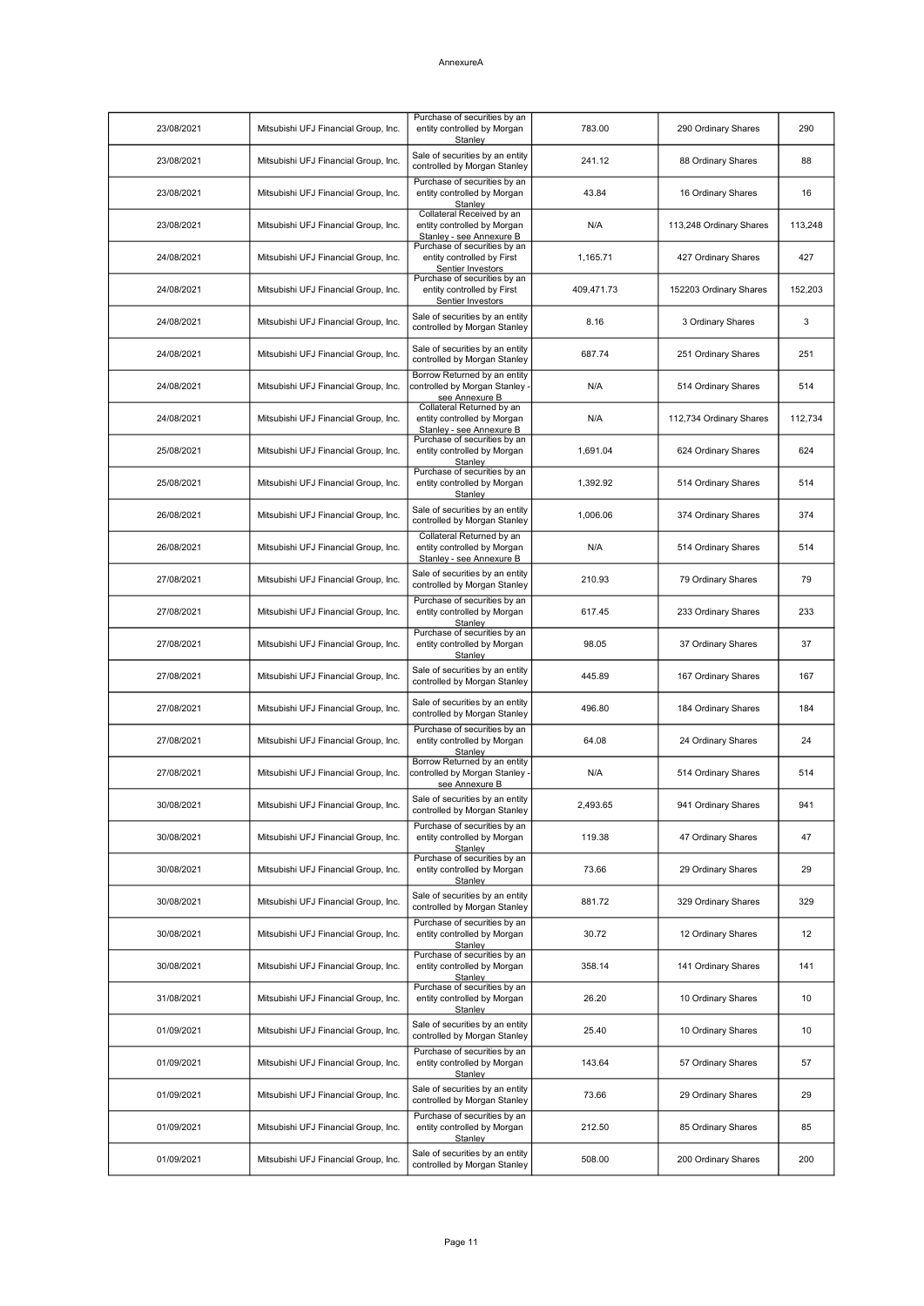| 23/08/2021 | Mitsubishi UFJ Financial Group, Inc. | Purchase of securities by an<br>entity controlled by Morgan<br>Stanley                      | 783.00     | 290 Ordinary Shares     | 290     |
|------------|--------------------------------------|---------------------------------------------------------------------------------------------|------------|-------------------------|---------|
| 23/08/2021 | Mitsubishi UFJ Financial Group, Inc. | Sale of securities by an entity<br>controlled by Morgan Stanley                             | 241.12     | 88 Ordinary Shares      | 88      |
| 23/08/2021 | Mitsubishi UFJ Financial Group, Inc. | Purchase of securities by an<br>entity controlled by Morgan<br>Stanley                      | 43.84      | 16 Ordinary Shares      | 16      |
| 23/08/2021 | Mitsubishi UFJ Financial Group, Inc. | Collateral Received by an<br>entity controlled by Morgan<br>Stanley - see Annexure B        | N/A        | 113,248 Ordinary Shares | 113,248 |
| 24/08/2021 | Mitsubishi UFJ Financial Group, Inc. | Purchase of securities by an<br>entity controlled by First<br>Sentier Investors             | 1,165.71   | 427 Ordinary Shares     | 427     |
| 24/08/2021 | Mitsubishi UFJ Financial Group, Inc. | Purchase of securities by an<br>entity controlled by First<br>Sentier Investors             | 409,471.73 | 152203 Ordinary Shares  | 152,203 |
| 24/08/2021 | Mitsubishi UFJ Financial Group, Inc. | Sale of securities by an entity<br>controlled by Morgan Stanley                             | 8.16       | 3 Ordinary Shares       | 3       |
| 24/08/2021 | Mitsubishi UFJ Financial Group, Inc. | Sale of securities by an entity<br>controlled by Morgan Stanley                             | 687.74     | 251 Ordinary Shares     | 251     |
| 24/08/2021 | Mitsubishi UFJ Financial Group, Inc. | Borrow Returned by an entity<br>controlled by Morgan Stanley <sub>'</sub><br>see Annexure B | N/A        | 514 Ordinary Shares     | 514     |
| 24/08/2021 | Mitsubishi UFJ Financial Group, Inc. | Collateral Returned by an<br>entity controlled by Morgan<br>Stanley - see Annexure B        | N/A        | 112,734 Ordinary Shares | 112,734 |
| 25/08/2021 | Mitsubishi UFJ Financial Group, Inc. | Purchase of securities by an<br>entity controlled by Morgan<br>Stanley                      | 1,691.04   | 624 Ordinary Shares     | 624     |
| 25/08/2021 | Mitsubishi UFJ Financial Group, Inc. | Purchase of securities by an<br>entity controlled by Morgan<br>Stanley                      | 1,392.92   | 514 Ordinary Shares     | 514     |
| 26/08/2021 | Mitsubishi UFJ Financial Group, Inc. | Sale of securities by an entity<br>controlled by Morgan Stanley                             | 1,006.06   | 374 Ordinary Shares     | 374     |
| 26/08/2021 | Mitsubishi UFJ Financial Group, Inc. | Collateral Returned by an<br>entity controlled by Morgan<br>Stanley - see Annexure B        | N/A        | 514 Ordinary Shares     | 514     |
| 27/08/2021 | Mitsubishi UFJ Financial Group, Inc. | Sale of securities by an entity<br>controlled by Morgan Stanley                             | 210.93     | 79 Ordinary Shares      | 79      |
| 27/08/2021 | Mitsubishi UFJ Financial Group, Inc. | Purchase of securities by an<br>entity controlled by Morgan<br>Stanley                      | 617.45     | 233 Ordinary Shares     | 233     |
| 27/08/2021 | Mitsubishi UFJ Financial Group, Inc. | Purchase of securities by an<br>entity controlled by Morgan<br>Stanley                      | 98.05      | 37 Ordinary Shares      | 37      |
| 27/08/2021 | Mitsubishi UFJ Financial Group, Inc. | Sale of securities by an entity<br>controlled by Morgan Stanley                             | 445.89     | 167 Ordinary Shares     | 167     |
| 27/08/2021 | Mitsubishi UFJ Financial Group, Inc. | Sale of securities by an entity<br>controlled by Morgan Stanley                             | 496.80     | 184 Ordinary Shares     | 184     |
| 27/08/2021 | Mitsubishi UFJ Financial Group, Inc. | Purchase of securities by an<br>entity controlled by Morgan<br>Stanley                      | 64.08      | 24 Ordinary Shares      | 24      |
| 27/08/2021 | Mitsubishi UFJ Financial Group, Inc. | Borrow Returned by an entity<br>controlled by Morgan Stanley -<br>see Annexure B            | N/A        | 514 Ordinary Shares     | 514     |
| 30/08/2021 | Mitsubishi UFJ Financial Group, Inc. | Sale of securities by an entity<br>controlled by Morgan Stanley                             | 2,493.65   | 941 Ordinary Shares     | 941     |
| 30/08/2021 | Mitsubishi UFJ Financial Group, Inc. | Purchase of securities by an<br>entity controlled by Morgan<br>Stanley                      | 119.38     | 47 Ordinary Shares      | 47      |
| 30/08/2021 | Mitsubishi UFJ Financial Group, Inc. | Purchase of securities by an<br>entity controlled by Morgan<br>Stanley                      | 73.66      | 29 Ordinary Shares      | 29      |
| 30/08/2021 | Mitsubishi UFJ Financial Group, Inc. | Sale of securities by an entity<br>controlled by Morgan Stanley                             | 881.72     | 329 Ordinary Shares     | 329     |
| 30/08/2021 | Mitsubishi UFJ Financial Group, Inc. | Purchase of securities by an<br>entity controlled by Morgan<br>Stanley                      | 30.72      | 12 Ordinary Shares      | 12      |
| 30/08/2021 | Mitsubishi UFJ Financial Group, Inc. | Purchase of securities by an<br>entity controlled by Morgan<br>Stanley                      | 358.14     | 141 Ordinary Shares     | 141     |
| 31/08/2021 | Mitsubishi UFJ Financial Group, Inc. | Purchase of securities by an<br>entity controlled by Morgan<br>Stanley                      | 26.20      | 10 Ordinary Shares      | 10      |
| 01/09/2021 | Mitsubishi UFJ Financial Group, Inc. | Sale of securities by an entity<br>controlled by Morgan Stanley                             | 25.40      | 10 Ordinary Shares      | 10      |
| 01/09/2021 | Mitsubishi UFJ Financial Group, Inc. | Purchase of securities by an<br>entity controlled by Morgan<br>Stanley                      | 143.64     | 57 Ordinary Shares      | 57      |
| 01/09/2021 | Mitsubishi UFJ Financial Group, Inc. | Sale of securities by an entity<br>controlled by Morgan Stanley                             | 73.66      | 29 Ordinary Shares      | 29      |
| 01/09/2021 | Mitsubishi UFJ Financial Group, Inc. | Purchase of securities by an<br>entity controlled by Morgan<br>Stanley                      | 212.50     | 85 Ordinary Shares      | 85      |
| 01/09/2021 | Mitsubishi UFJ Financial Group, Inc. | Sale of securities by an entity<br>controlled by Morgan Stanley                             | 508.00     | 200 Ordinary Shares     | 200     |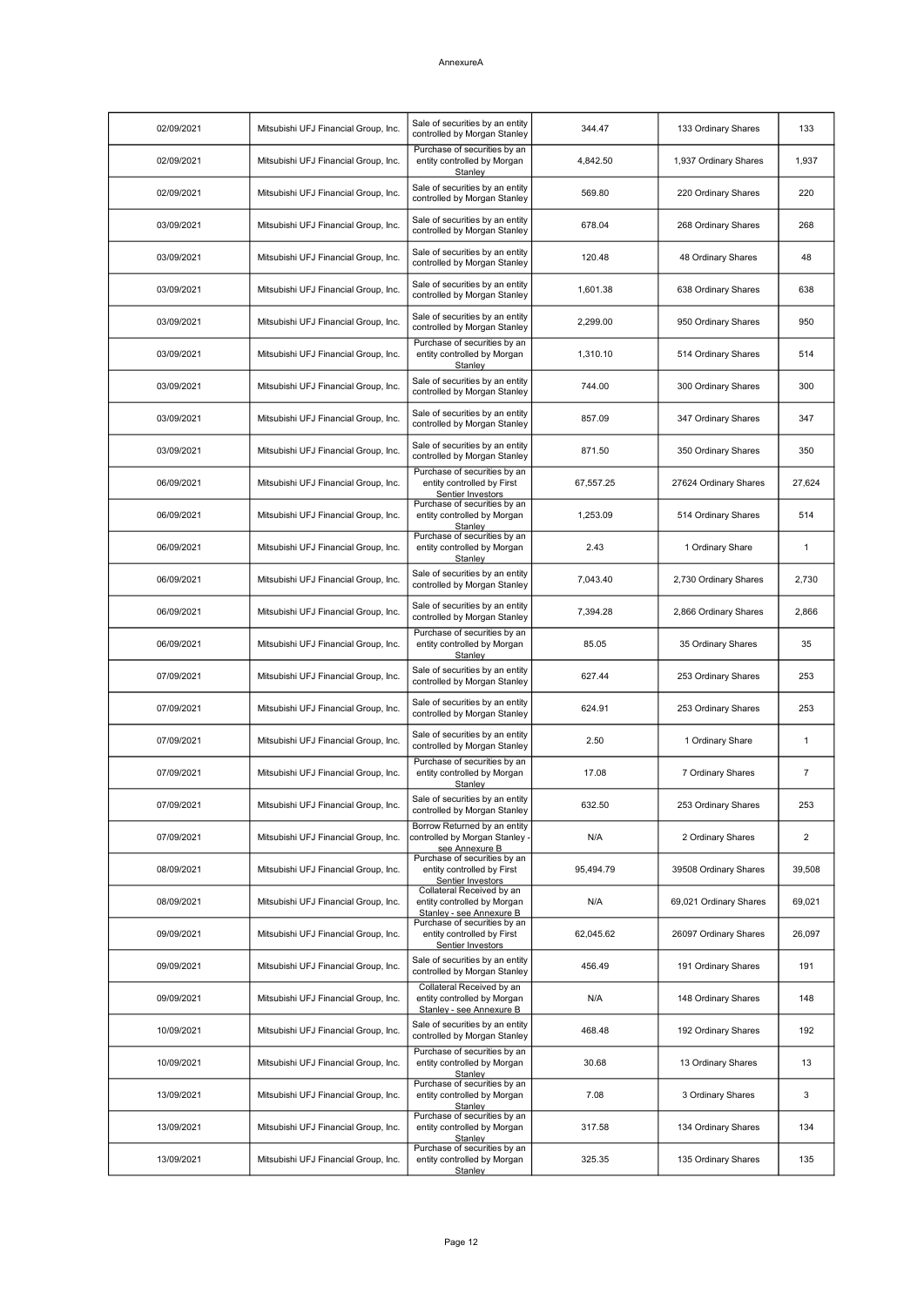| 02/09/2021 | Mitsubishi UFJ Financial Group, Inc. | Sale of securities by an entity<br>controlled by Morgan Stanley                      | 344.47    | 133 Ordinary Shares    | 133            |
|------------|--------------------------------------|--------------------------------------------------------------------------------------|-----------|------------------------|----------------|
| 02/09/2021 | Mitsubishi UFJ Financial Group, Inc. | Purchase of securities by an<br>entity controlled by Morgan<br>Stanley               | 4,842.50  | 1,937 Ordinary Shares  | 1,937          |
| 02/09/2021 | Mitsubishi UFJ Financial Group, Inc. | Sale of securities by an entity<br>controlled by Morgan Stanley                      | 569.80    | 220 Ordinary Shares    | 220            |
| 03/09/2021 | Mitsubishi UFJ Financial Group, Inc. | Sale of securities by an entity<br>controlled by Morgan Stanley                      | 678.04    | 268 Ordinary Shares    | 268            |
| 03/09/2021 | Mitsubishi UFJ Financial Group, Inc. | Sale of securities by an entity<br>controlled by Morgan Stanley                      | 120.48    | 48 Ordinary Shares     | 48             |
| 03/09/2021 | Mitsubishi UFJ Financial Group, Inc. | Sale of securities by an entity<br>controlled by Morgan Stanley                      | 1,601.38  | 638 Ordinary Shares    | 638            |
| 03/09/2021 | Mitsubishi UFJ Financial Group, Inc. | Sale of securities by an entity<br>controlled by Morgan Stanley                      | 2,299.00  | 950 Ordinary Shares    | 950            |
| 03/09/2021 | Mitsubishi UFJ Financial Group, Inc. | Purchase of securities by an<br>entity controlled by Morgan<br>Stanley               | 1,310.10  | 514 Ordinary Shares    | 514            |
| 03/09/2021 | Mitsubishi UFJ Financial Group, Inc. | Sale of securities by an entity<br>controlled by Morgan Stanley                      | 744.00    | 300 Ordinary Shares    | 300            |
| 03/09/2021 | Mitsubishi UFJ Financial Group, Inc. | Sale of securities by an entity<br>controlled by Morgan Stanley                      | 857.09    | 347 Ordinary Shares    | 347            |
| 03/09/2021 | Mitsubishi UFJ Financial Group, Inc. | Sale of securities by an entity<br>controlled by Morgan Stanley                      | 871.50    | 350 Ordinary Shares    | 350            |
| 06/09/2021 | Mitsubishi UFJ Financial Group, Inc. | Purchase of securities by an<br>entity controlled by First<br>Sentier Investors      | 67,557.25 | 27624 Ordinary Shares  | 27,624         |
| 06/09/2021 | Mitsubishi UFJ Financial Group, Inc. | Purchase of securities by an<br>entity controlled by Morgan<br>Stanlev               | 1,253.09  | 514 Ordinary Shares    | 514            |
| 06/09/2021 | Mitsubishi UFJ Financial Group, Inc. | Purchase of securities by an<br>entity controlled by Morgan<br>Stanley               | 2.43      | 1 Ordinary Share       | 1              |
| 06/09/2021 | Mitsubishi UFJ Financial Group, Inc. | Sale of securities by an entity<br>controlled by Morgan Stanley                      | 7,043.40  | 2,730 Ordinary Shares  | 2,730          |
| 06/09/2021 | Mitsubishi UFJ Financial Group, Inc. | Sale of securities by an entity<br>controlled by Morgan Stanley                      | 7,394.28  | 2,866 Ordinary Shares  | 2,866          |
| 06/09/2021 | Mitsubishi UFJ Financial Group, Inc. | Purchase of securities by an<br>entity controlled by Morgan<br>Stanley               | 85.05     | 35 Ordinary Shares     | 35             |
| 07/09/2021 | Mitsubishi UFJ Financial Group, Inc. | Sale of securities by an entity<br>controlled by Morgan Stanley                      | 627.44    | 253 Ordinary Shares    | 253            |
| 07/09/2021 | Mitsubishi UFJ Financial Group, Inc. | Sale of securities by an entity<br>controlled by Morgan Stanley                      | 624.91    | 253 Ordinary Shares    | 253            |
| 07/09/2021 | Mitsubishi UFJ Financial Group, Inc. | Sale of securities by an entity<br>controlled by Morgan Stanley                      | 2.50      | 1 Ordinary Share       | 1              |
| 07/09/2021 | Mitsubishi UFJ Financial Group, Inc. | Purchase of securities by an<br>entity controlled by Morgan<br>Stanley               | 17.08     | 7 Ordinary Shares      | 7              |
| 07/09/2021 | Mitsubishi UFJ Financial Group, Inc. | Sale of securities by an entity<br>controlled by Morgan Stanley                      | 632.50    | 253 Ordinary Shares    | 253            |
| 07/09/2021 | Mitsubishi UFJ Financial Group, Inc. | Borrow Returned by an entity<br>controlled by Morgan Stanley -<br>see Annexure B     | N/A       | 2 Ordinary Shares      | $\overline{2}$ |
| 08/09/2021 | Mitsubishi UFJ Financial Group, Inc. | Purchase of securities by an<br>entity controlled by First<br>Sentier Investors      | 95,494.79 | 39508 Ordinary Shares  | 39,508         |
| 08/09/2021 | Mitsubishi UFJ Financial Group, Inc. | Collateral Received by an<br>entity controlled by Morgan<br>Stanley - see Annexure B | N/A       | 69,021 Ordinary Shares | 69,021         |
| 09/09/2021 | Mitsubishi UFJ Financial Group, Inc. | Purchase of securities by an<br>entity controlled by First<br>Sentier Investors      | 62,045.62 | 26097 Ordinary Shares  | 26,097         |
| 09/09/2021 | Mitsubishi UFJ Financial Group, Inc. | Sale of securities by an entity<br>controlled by Morgan Stanley                      | 456.49    | 191 Ordinary Shares    | 191            |
| 09/09/2021 | Mitsubishi UFJ Financial Group, Inc. | Collateral Received by an<br>entity controlled by Morgan<br>Stanley - see Annexure B | N/A       | 148 Ordinary Shares    | 148            |
| 10/09/2021 | Mitsubishi UFJ Financial Group, Inc. | Sale of securities by an entity<br>controlled by Morgan Stanley                      | 468.48    | 192 Ordinary Shares    | 192            |
| 10/09/2021 | Mitsubishi UFJ Financial Group, Inc. | Purchase of securities by an<br>entity controlled by Morgan<br>Stanley               | 30.68     | 13 Ordinary Shares     | 13             |
| 13/09/2021 | Mitsubishi UFJ Financial Group, Inc. | Purchase of securities by an<br>entity controlled by Morgan<br>Stanley               | 7.08      | 3 Ordinary Shares      | 3              |
| 13/09/2021 | Mitsubishi UFJ Financial Group, Inc. | Purchase of securities by an<br>entity controlled by Morgan<br>Stanley               | 317.58    | 134 Ordinary Shares    | 134            |
| 13/09/2021 | Mitsubishi UFJ Financial Group, Inc. | Purchase of securities by an<br>entity controlled by Morgan<br>Stanley               | 325.35    | 135 Ordinary Shares    | 135            |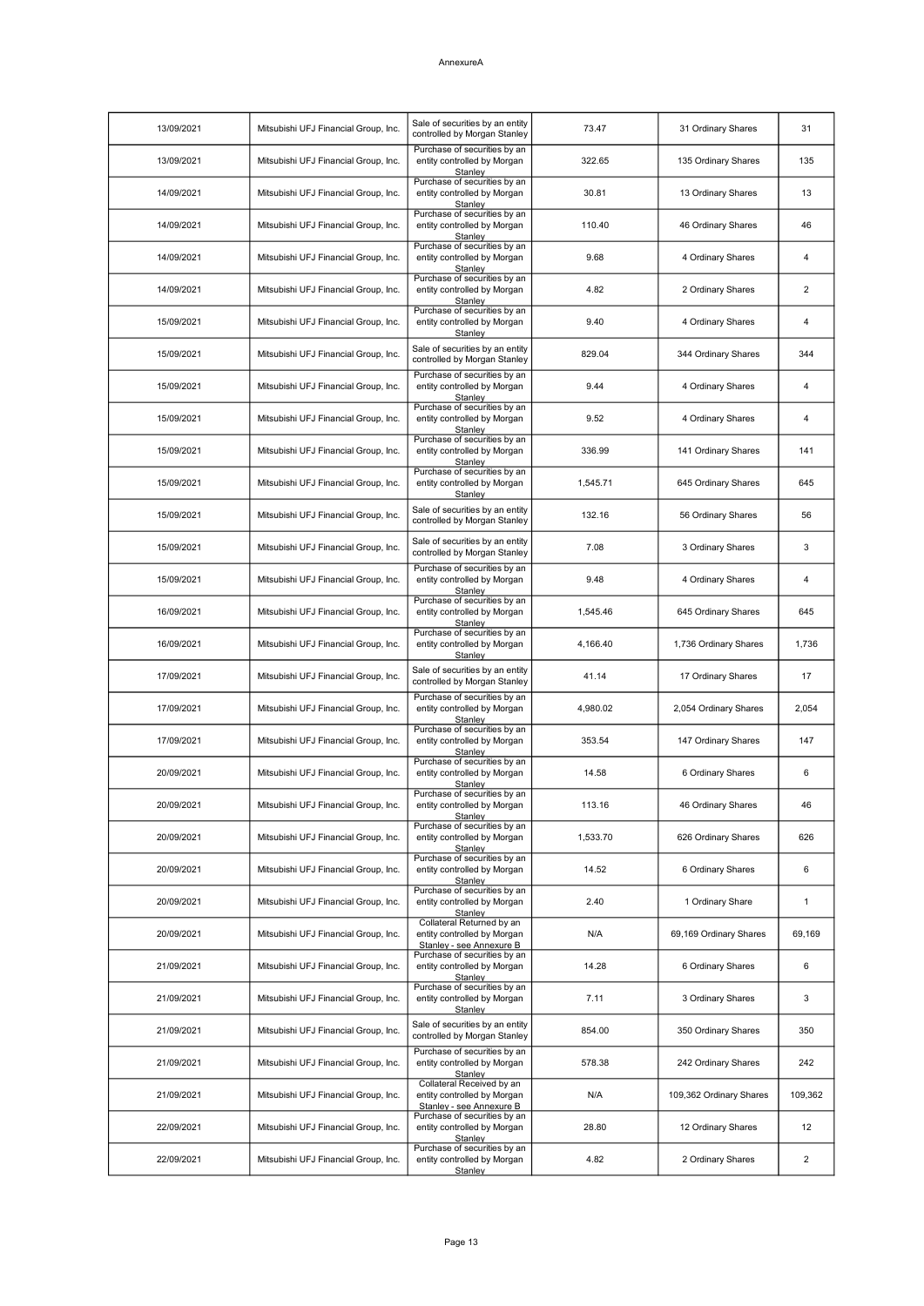| 13/09/2021 | Mitsubishi UFJ Financial Group, Inc. | Sale of securities by an entity<br>controlled by Morgan Stanley                      | 73.47    | 31 Ordinary Shares      | 31             |
|------------|--------------------------------------|--------------------------------------------------------------------------------------|----------|-------------------------|----------------|
| 13/09/2021 | Mitsubishi UFJ Financial Group, Inc. | Purchase of securities by an<br>entity controlled by Morgan<br>Stanley               | 322.65   | 135 Ordinary Shares     | 135            |
| 14/09/2021 | Mitsubishi UFJ Financial Group, Inc. | Purchase of securities by an<br>entity controlled by Morgan<br>Stanley               | 30.81    | 13 Ordinary Shares      | 13             |
| 14/09/2021 | Mitsubishi UFJ Financial Group, Inc. | Purchase of securities by an<br>entity controlled by Morgan<br>Stanley               | 110.40   | 46 Ordinary Shares      | 46             |
| 14/09/2021 | Mitsubishi UFJ Financial Group, Inc. | Purchase of securities by an<br>entity controlled by Morgan<br>Stanley               | 9.68     | 4 Ordinary Shares       | 4              |
| 14/09/2021 | Mitsubishi UFJ Financial Group, Inc. | Purchase of securities by an<br>entity controlled by Morgan<br>Stanley               | 4.82     | 2 Ordinary Shares       | $\overline{2}$ |
| 15/09/2021 | Mitsubishi UFJ Financial Group, Inc. | Purchase of securities by an<br>entity controlled by Morgan<br>Stanley               | 9.40     | 4 Ordinary Shares       | $\overline{4}$ |
| 15/09/2021 | Mitsubishi UFJ Financial Group, Inc. | Sale of securities by an entity<br>controlled by Morgan Stanley                      | 829.04   | 344 Ordinary Shares     | 344            |
| 15/09/2021 | Mitsubishi UFJ Financial Group, Inc. | Purchase of securities by an<br>entity controlled by Morgan<br>Stanley               | 9.44     | 4 Ordinary Shares       | 4              |
| 15/09/2021 | Mitsubishi UFJ Financial Group, Inc. | Purchase of securities by an<br>entity controlled by Morgan<br>Stanley               | 9.52     | 4 Ordinary Shares       | 4              |
| 15/09/2021 | Mitsubishi UFJ Financial Group, Inc. | Purchase of securities by an<br>entity controlled by Morgan<br>Stanley               | 336.99   | 141 Ordinary Shares     | 141            |
| 15/09/2021 | Mitsubishi UFJ Financial Group, Inc. | Purchase of securities by an<br>entity controlled by Morgan<br>Stanley               | 1,545.71 | 645 Ordinary Shares     | 645            |
| 15/09/2021 | Mitsubishi UFJ Financial Group, Inc. | Sale of securities by an entity<br>controlled by Morgan Stanley                      | 132.16   | 56 Ordinary Shares      | 56             |
| 15/09/2021 | Mitsubishi UFJ Financial Group, Inc. | Sale of securities by an entity<br>controlled by Morgan Stanley                      | 7.08     | 3 Ordinary Shares       | 3              |
| 15/09/2021 | Mitsubishi UFJ Financial Group, Inc. | Purchase of securities by an<br>entity controlled by Morgan<br>Stanley               | 9.48     | 4 Ordinary Shares       | 4              |
| 16/09/2021 | Mitsubishi UFJ Financial Group, Inc. | Purchase of securities by an<br>entity controlled by Morgan<br>Stanley               | 1,545.46 | 645 Ordinary Shares     | 645            |
| 16/09/2021 | Mitsubishi UFJ Financial Group, Inc. | Purchase of securities by an<br>entity controlled by Morgan<br>Stanlev               | 4,166.40 | 1,736 Ordinary Shares   | 1,736          |
| 17/09/2021 | Mitsubishi UFJ Financial Group, Inc. | Sale of securities by an entity<br>controlled by Morgan Stanley                      | 41.14    | 17 Ordinary Shares      | 17             |
| 17/09/2021 | Mitsubishi UFJ Financial Group, Inc. | Purchase of securities by an<br>entity controlled by Morgan<br>Stanlev               | 4,980.02 | 2,054 Ordinary Shares   | 2,054          |
| 17/09/2021 | Mitsubishi UFJ Financial Group, Inc. | Purchase of securities by an<br>entity controlled by Morgan<br>Stanley               | 353.54   | 147 Ordinary Shares     | 147            |
| 20/09/2021 | Mitsubishi UFJ Financial Group, Inc. | Purchase of securities by an<br>entity controlled by Morgan<br><b>Stanley</b>        | 14.58    | 6 Ordinary Shares       | 6              |
| 20/09/2021 | Mitsubishi UFJ Financial Group, Inc. | Purchase of securities by an<br>entity controlled by Morgan<br>Stanley               | 113.16   | 46 Ordinary Shares      | 46             |
| 20/09/2021 | Mitsubishi UFJ Financial Group, Inc. | Purchase of securities by an<br>entity controlled by Morgan<br>Stanley               | 1,533.70 | 626 Ordinary Shares     | 626            |
| 20/09/2021 | Mitsubishi UFJ Financial Group, Inc. | Purchase of securities by an<br>entity controlled by Morgan<br>Stanley               | 14.52    | 6 Ordinary Shares       | 6              |
| 20/09/2021 | Mitsubishi UFJ Financial Group, Inc. | Purchase of securities by an<br>entity controlled by Morgan<br>Stanley               | 2.40     | 1 Ordinary Share        | $\mathbf{1}$   |
| 20/09/2021 | Mitsubishi UFJ Financial Group, Inc. | Collateral Returned by an<br>entity controlled by Morgan<br>Stanley - see Annexure B | N/A      | 69,169 Ordinary Shares  | 69,169         |
| 21/09/2021 | Mitsubishi UFJ Financial Group, Inc. | Purchase of securities by an<br>entity controlled by Morgan<br>Stanley               | 14.28    | 6 Ordinary Shares       | 6              |
| 21/09/2021 | Mitsubishi UFJ Financial Group, Inc. | Purchase of securities by an<br>entity controlled by Morgan<br>Stanley               | 7.11     | 3 Ordinary Shares       | 3              |
| 21/09/2021 | Mitsubishi UFJ Financial Group, Inc. | Sale of securities by an entity<br>controlled by Morgan Stanley                      | 854.00   | 350 Ordinary Shares     | 350            |
| 21/09/2021 | Mitsubishi UFJ Financial Group, Inc. | Purchase of securities by an<br>entity controlled by Morgan<br>Stanley               | 578.38   | 242 Ordinary Shares     | 242            |
| 21/09/2021 | Mitsubishi UFJ Financial Group, Inc. | Collateral Received by an<br>entity controlled by Morgan<br>Stanley - see Annexure B | N/A      | 109,362 Ordinary Shares | 109,362        |
| 22/09/2021 | Mitsubishi UFJ Financial Group, Inc. | Purchase of securities by an<br>entity controlled by Morgan<br>Stanley               | 28.80    | 12 Ordinary Shares      | 12             |
| 22/09/2021 | Mitsubishi UFJ Financial Group, Inc. | Purchase of securities by an<br>entity controlled by Morgan<br>Stanley               | 4.82     | 2 Ordinary Shares       | 2              |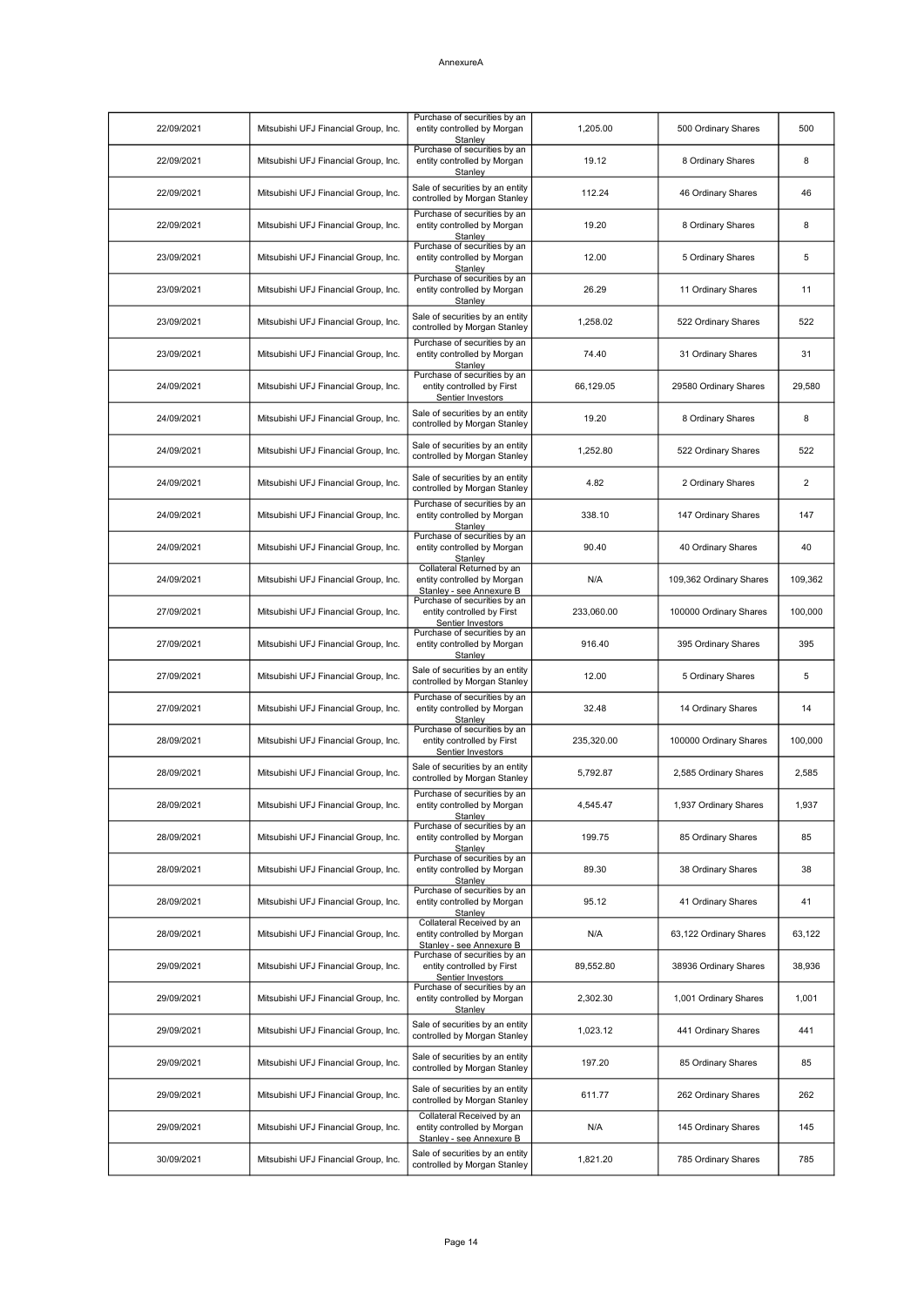| 22/09/2021 | Mitsubishi UFJ Financial Group, Inc. | Purchase of securities by an<br>entity controlled by Morgan<br>Stanley               | 1,205.00   | 500 Ordinary Shares     | 500     |
|------------|--------------------------------------|--------------------------------------------------------------------------------------|------------|-------------------------|---------|
| 22/09/2021 | Mitsubishi UFJ Financial Group, Inc. | Purchase of securities by an<br>entity controlled by Morgan<br>Stanley               | 19.12      | 8 Ordinary Shares       | 8       |
| 22/09/2021 | Mitsubishi UFJ Financial Group, Inc. | Sale of securities by an entity<br>controlled by Morgan Stanley                      | 112.24     | 46 Ordinary Shares      | 46      |
| 22/09/2021 | Mitsubishi UFJ Financial Group, Inc. | Purchase of securities by an<br>entity controlled by Morgan<br>Stanley               | 19.20      | 8 Ordinary Shares       | 8       |
| 23/09/2021 | Mitsubishi UFJ Financial Group, Inc. | Purchase of securities by an<br>entity controlled by Morgan<br>Stanley               | 12.00      | 5 Ordinary Shares       | 5       |
| 23/09/2021 | Mitsubishi UFJ Financial Group, Inc. | Purchase of securities by an<br>entity controlled by Morgan<br>Stanley               | 26.29      | 11 Ordinary Shares      | 11      |
| 23/09/2021 | Mitsubishi UFJ Financial Group, Inc. | Sale of securities by an entity<br>controlled by Morgan Stanley                      | 1,258.02   | 522 Ordinary Shares     | 522     |
| 23/09/2021 | Mitsubishi UFJ Financial Group, Inc. | Purchase of securities by an<br>entity controlled by Morgan<br>Stanley               | 74.40      | 31 Ordinary Shares      | 31      |
| 24/09/2021 | Mitsubishi UFJ Financial Group, Inc. | Purchase of securities by an<br>entity controlled by First<br>Sentier Investors      | 66,129.05  | 29580 Ordinary Shares   | 29,580  |
| 24/09/2021 | Mitsubishi UFJ Financial Group, Inc. | Sale of securities by an entity<br>controlled by Morgan Stanley                      | 19.20      | 8 Ordinary Shares       | 8       |
| 24/09/2021 | Mitsubishi UFJ Financial Group, Inc. | Sale of securities by an entity<br>controlled by Morgan Stanley                      | 1,252.80   | 522 Ordinary Shares     | 522     |
| 24/09/2021 | Mitsubishi UFJ Financial Group, Inc. | Sale of securities by an entity<br>controlled by Morgan Stanley                      | 4.82       | 2 Ordinary Shares       | 2       |
| 24/09/2021 | Mitsubishi UFJ Financial Group, Inc. | Purchase of securities by an<br>entity controlled by Morgan<br>Stanley               | 338.10     | 147 Ordinary Shares     | 147     |
| 24/09/2021 | Mitsubishi UFJ Financial Group, Inc. | Purchase of securities by an<br>entity controlled by Morgan<br>Stanley               | 90.40      | 40 Ordinary Shares      | 40      |
| 24/09/2021 | Mitsubishi UFJ Financial Group, Inc. | Collateral Returned by an<br>entity controlled by Morgan<br>Stanley - see Annexure B | N/A        | 109,362 Ordinary Shares | 109,362 |
| 27/09/2021 | Mitsubishi UFJ Financial Group, Inc. | Purchase of securities by an<br>entity controlled by First<br>Sentier Investors      | 233,060.00 | 100000 Ordinary Shares  | 100,000 |
| 27/09/2021 | Mitsubishi UFJ Financial Group, Inc. | Purchase of securities by an<br>entity controlled by Morgan<br>Stanlev               | 916.40     | 395 Ordinary Shares     | 395     |
| 27/09/2021 | Mitsubishi UFJ Financial Group, Inc. | Sale of securities by an entity<br>controlled by Morgan Stanley                      | 12.00      | 5 Ordinary Shares       | 5       |
| 27/09/2021 | Mitsubishi UFJ Financial Group, Inc. | Purchase of securities by an<br>entity controlled by Morgan<br>Stanley               | 32.48      | 14 Ordinary Shares      | 14      |
| 28/09/2021 | Mitsubishi UFJ Financial Group, Inc. | Purchase of securities by an<br>entity controlled by First<br>Sentier Investors      | 235,320.00 | 100000 Ordinary Shares  | 100,000 |
| 28/09/2021 | Mitsubishi UFJ Financial Group, Inc. | Sale of securities by an entity<br>controlled by Morgan Stanley                      | 5,792.87   | 2,585 Ordinary Shares   | 2,585   |
| 28/09/2021 | Mitsubishi UFJ Financial Group, Inc. | Purchase of securities by an<br>entity controlled by Morgan<br>Stanley               | 4,545.47   | 1,937 Ordinary Shares   | 1,937   |
| 28/09/2021 | Mitsubishi UFJ Financial Group, Inc. | Purchase of securities by an<br>entity controlled by Morgan<br>Stanley               | 199.75     | 85 Ordinary Shares      | 85      |
| 28/09/2021 | Mitsubishi UFJ Financial Group, Inc. | Purchase of securities by an<br>entity controlled by Morgan<br>Stanley               | 89.30      | 38 Ordinary Shares      | 38      |
| 28/09/2021 | Mitsubishi UFJ Financial Group, Inc. | Purchase of securities by an<br>entity controlled by Morgan<br>Stanley               | 95.12      | 41 Ordinary Shares      | 41      |
| 28/09/2021 | Mitsubishi UFJ Financial Group, Inc. | Collateral Received by an<br>entity controlled by Morgan<br>Stanley - see Annexure B | N/A        | 63,122 Ordinary Shares  | 63,122  |
| 29/09/2021 | Mitsubishi UFJ Financial Group, Inc. | Purchase of securities by an<br>entity controlled by First<br>Sentier Investors      | 89,552.80  | 38936 Ordinary Shares   | 38,936  |
| 29/09/2021 | Mitsubishi UFJ Financial Group, Inc. | Purchase of securities by an<br>entity controlled by Morgan<br>Stanley               | 2,302.30   | 1,001 Ordinary Shares   | 1,001   |
| 29/09/2021 | Mitsubishi UFJ Financial Group, Inc. | Sale of securities by an entity<br>controlled by Morgan Stanley                      | 1,023.12   | 441 Ordinary Shares     | 441     |
| 29/09/2021 | Mitsubishi UFJ Financial Group, Inc. | Sale of securities by an entity<br>controlled by Morgan Stanley                      | 197.20     | 85 Ordinary Shares      | 85      |
| 29/09/2021 | Mitsubishi UFJ Financial Group, Inc. | Sale of securities by an entity<br>controlled by Morgan Stanley                      | 611.77     | 262 Ordinary Shares     | 262     |
| 29/09/2021 | Mitsubishi UFJ Financial Group, Inc. | Collateral Received by an<br>entity controlled by Morgan<br>Stanley - see Annexure B | N/A        | 145 Ordinary Shares     | 145     |
| 30/09/2021 | Mitsubishi UFJ Financial Group, Inc. | Sale of securities by an entity<br>controlled by Morgan Stanley                      | 1,821.20   | 785 Ordinary Shares     | 785     |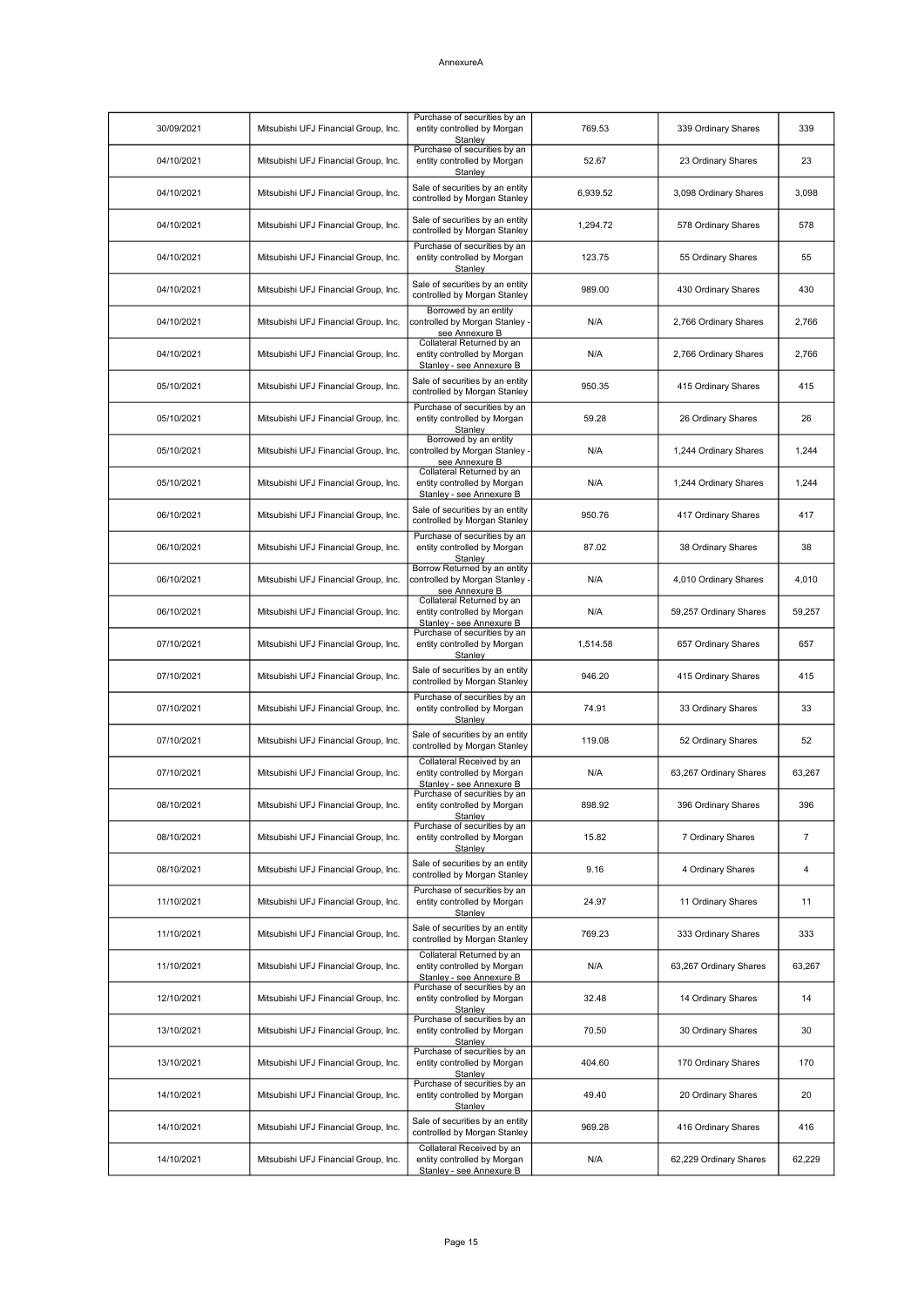| 30/09/2021 | Mitsubishi UFJ Financial Group, Inc. | Purchase of securities by an<br>entity controlled by Morgan<br>Stanley               | 769.53   | 339 Ordinary Shares    | 339            |
|------------|--------------------------------------|--------------------------------------------------------------------------------------|----------|------------------------|----------------|
| 04/10/2021 | Mitsubishi UFJ Financial Group, Inc. | Purchase of securities by an<br>entity controlled by Morgan<br>Stanley               | 52.67    | 23 Ordinary Shares     | 23             |
| 04/10/2021 | Mitsubishi UFJ Financial Group, Inc. | Sale of securities by an entity<br>controlled by Morgan Stanley                      | 6,939.52 | 3,098 Ordinary Shares  | 3,098          |
| 04/10/2021 | Mitsubishi UFJ Financial Group, Inc. | Sale of securities by an entity<br>controlled by Morgan Stanley                      | 1,294.72 | 578 Ordinary Shares    | 578            |
| 04/10/2021 | Mitsubishi UFJ Financial Group, Inc. | Purchase of securities by an<br>entity controlled by Morgan<br>Stanley               | 123.75   | 55 Ordinary Shares     | 55             |
| 04/10/2021 | Mitsubishi UFJ Financial Group, Inc. | Sale of securities by an entity<br>controlled by Morgan Stanley                      | 989.00   | 430 Ordinary Shares    | 430            |
| 04/10/2021 | Mitsubishi UFJ Financial Group, Inc. | Borrowed by an entity<br>controlled by Morgan Stanley -<br>see Annexure B            | N/A      | 2,766 Ordinary Shares  | 2,766          |
| 04/10/2021 | Mitsubishi UFJ Financial Group, Inc. | Collateral Returned by an<br>entity controlled by Morgan<br>Stanley - see Annexure B | N/A      | 2,766 Ordinary Shares  | 2,766          |
| 05/10/2021 | Mitsubishi UFJ Financial Group, Inc. | Sale of securities by an entity<br>controlled by Morgan Stanley                      | 950.35   | 415 Ordinary Shares    | 415            |
| 05/10/2021 | Mitsubishi UFJ Financial Group, Inc. | Purchase of securities by an<br>entity controlled by Morgan<br>Stanley               | 59.28    | 26 Ordinary Shares     | 26             |
| 05/10/2021 | Mitsubishi UFJ Financial Group, Inc. | Borrowed by an entity<br>controlled by Morgan Stanley -<br>see Annexure B            | N/A      | 1,244 Ordinary Shares  | 1,244          |
| 05/10/2021 | Mitsubishi UFJ Financial Group, Inc. | Collateral Returned by an<br>entity controlled by Morgan<br>Stanley - see Annexure B | N/A      | 1,244 Ordinary Shares  | 1,244          |
| 06/10/2021 | Mitsubishi UFJ Financial Group, Inc. | Sale of securities by an entity<br>controlled by Morgan Stanley                      | 950.76   | 417 Ordinary Shares    | 417            |
| 06/10/2021 | Mitsubishi UFJ Financial Group, Inc. | Purchase of securities by an<br>entity controlled by Morgan<br>Stanley               | 87.02    | 38 Ordinary Shares     | 38             |
| 06/10/2021 | Mitsubishi UFJ Financial Group, Inc. | Borrow Returned by an entity<br>controlled by Morgan Stanley -<br>see Annexure B     | N/A      | 4,010 Ordinary Shares  | 4,010          |
| 06/10/2021 | Mitsubishi UFJ Financial Group, Inc. | Collateral Returned by an<br>entity controlled by Morgan<br>Stanley - see Annexure B | N/A      | 59,257 Ordinary Shares | 59,257         |
| 07/10/2021 | Mitsubishi UFJ Financial Group, Inc. | Purchase of securities by an<br>entity controlled by Morgan<br>Stanley               | 1,514.58 | 657 Ordinary Shares    | 657            |
| 07/10/2021 | Mitsubishi UFJ Financial Group, Inc. | Sale of securities by an entity<br>controlled by Morgan Stanley                      | 946.20   | 415 Ordinary Shares    | 415            |
| 07/10/2021 | Mitsubishi UFJ Financial Group, Inc. | Purchase of securities by an<br>entity controlled by Morgan<br>Stanley               | 74.91    | 33 Ordinary Shares     | 33             |
| 07/10/2021 | Mitsubishi UFJ Financial Group, Inc. | Sale of securities by an entity<br>controlled by Morgan Stanley                      | 119.08   | 52 Ordinary Shares     | 52             |
| 07/10/2021 | Mitsubishi UFJ Financial Group, Inc. | Collateral Received by an<br>entity controlled by Morgan<br>Stanley - see Annexure B | N/A      | 63,267 Ordinary Shares | 63,267         |
| 08/10/2021 | Mitsubishi UFJ Financial Group, Inc. | Purchase of securities by an<br>entity controlled by Morgan<br>Stanley               | 898.92   | 396 Ordinary Shares    | 396            |
| 08/10/2021 | Mitsubishi UFJ Financial Group, Inc. | Purchase of securities by an<br>entity controlled by Morgan<br>Stanley               | 15.82    | 7 Ordinary Shares      | $\overline{7}$ |
| 08/10/2021 | Mitsubishi UFJ Financial Group, Inc. | Sale of securities by an entity<br>controlled by Morgan Stanley                      | 9.16     | 4 Ordinary Shares      | 4              |
| 11/10/2021 | Mitsubishi UFJ Financial Group, Inc. | Purchase of securities by an<br>entity controlled by Morgan<br>Stanley               | 24.97    | 11 Ordinary Shares     | 11             |
| 11/10/2021 | Mitsubishi UFJ Financial Group, Inc. | Sale of securities by an entity<br>controlled by Morgan Stanley                      | 769.23   | 333 Ordinary Shares    | 333            |
| 11/10/2021 | Mitsubishi UFJ Financial Group, Inc. | Collateral Returned by an<br>entity controlled by Morgan<br>Stanley - see Annexure B | N/A      | 63,267 Ordinary Shares | 63,267         |
| 12/10/2021 | Mitsubishi UFJ Financial Group, Inc. | Purchase of securities by an<br>entity controlled by Morgan<br>Stanley               | 32.48    | 14 Ordinary Shares     | 14             |
| 13/10/2021 | Mitsubishi UFJ Financial Group, Inc. | Purchase of securities by an<br>entity controlled by Morgan<br>Stanley               | 70.50    | 30 Ordinary Shares     | 30             |
| 13/10/2021 | Mitsubishi UFJ Financial Group, Inc. | Purchase of securities by an<br>entity controlled by Morgan<br>Stanley               | 404.60   | 170 Ordinary Shares    | 170            |
| 14/10/2021 | Mitsubishi UFJ Financial Group, Inc. | Purchase of securities by an<br>entity controlled by Morgan<br>Stanley               | 49.40    | 20 Ordinary Shares     | 20             |
| 14/10/2021 | Mitsubishi UFJ Financial Group, Inc. | Sale of securities by an entity<br>controlled by Morgan Stanley                      | 969.28   | 416 Ordinary Shares    | 416            |
| 14/10/2021 | Mitsubishi UFJ Financial Group, Inc. | Collateral Received by an<br>entity controlled by Morgan<br>Stanley - see Annexure B | N/A      | 62,229 Ordinary Shares | 62,229         |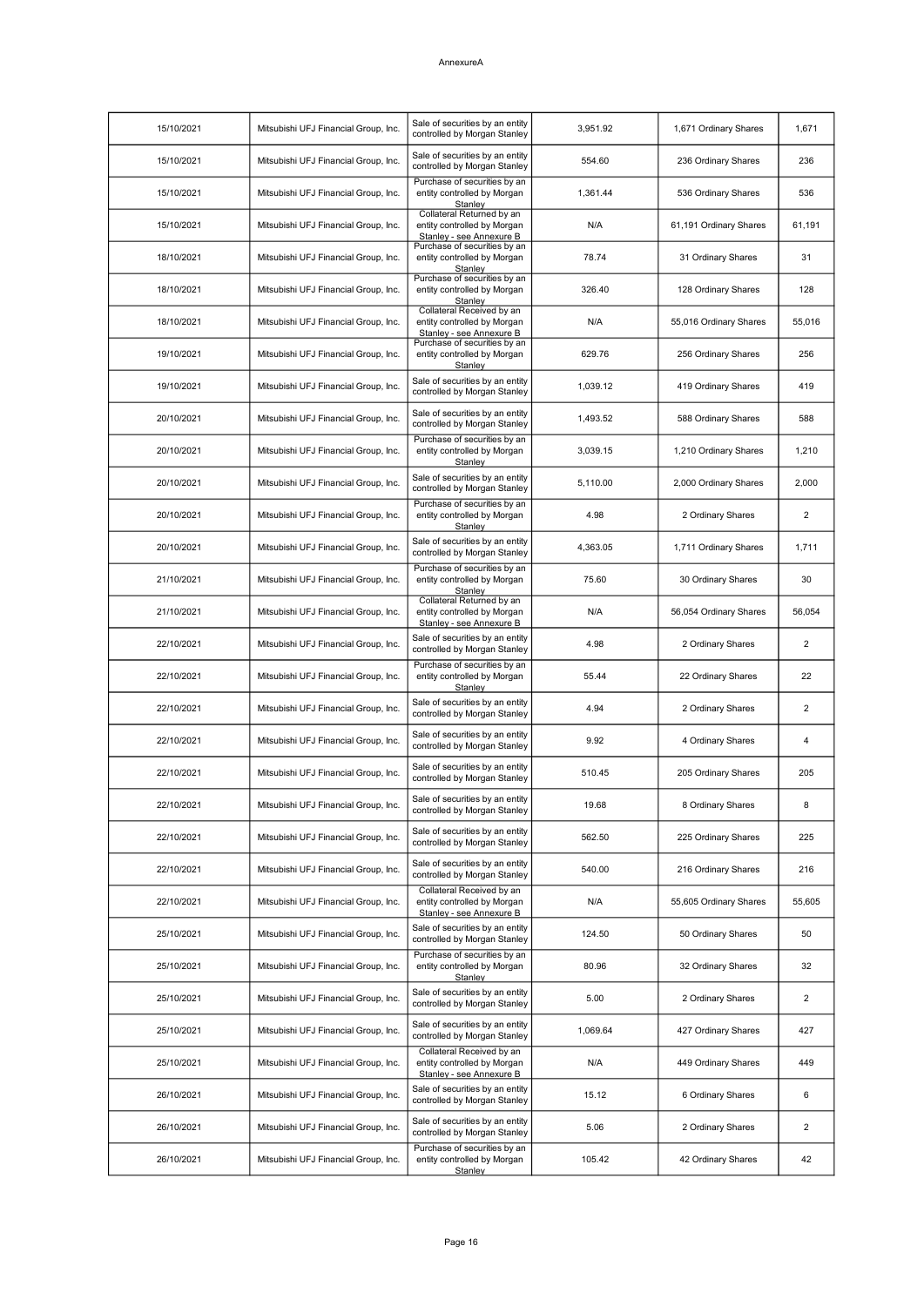| 15/10/2021 | Mitsubishi UFJ Financial Group, Inc. | Sale of securities by an entity<br>controlled by Morgan Stanley                      | 3,951.92 | 1,671 Ordinary Shares  | 1,671          |
|------------|--------------------------------------|--------------------------------------------------------------------------------------|----------|------------------------|----------------|
| 15/10/2021 | Mitsubishi UFJ Financial Group, Inc. | Sale of securities by an entity<br>controlled by Morgan Stanley                      | 554.60   | 236 Ordinary Shares    | 236            |
| 15/10/2021 | Mitsubishi UFJ Financial Group, Inc. | Purchase of securities by an<br>entity controlled by Morgan<br>Stanley               | 1,361.44 | 536 Ordinary Shares    | 536            |
| 15/10/2021 | Mitsubishi UFJ Financial Group, Inc. | Collateral Returned by an<br>entity controlled by Morgan<br>Stanley - see Annexure B | N/A      | 61,191 Ordinary Shares | 61,191         |
| 18/10/2021 | Mitsubishi UFJ Financial Group, Inc. | Purchase of securities by an<br>entity controlled by Morgan<br>Stanley               | 78.74    | 31 Ordinary Shares     | 31             |
| 18/10/2021 | Mitsubishi UFJ Financial Group, Inc. | Purchase of securities by an<br>entity controlled by Morgan<br>Stanley               | 326.40   | 128 Ordinary Shares    | 128            |
| 18/10/2021 | Mitsubishi UFJ Financial Group, Inc. | Collateral Received by an<br>entity controlled by Morgan<br>Stanley - see Annexure B | N/A      | 55,016 Ordinary Shares | 55,016         |
| 19/10/2021 | Mitsubishi UFJ Financial Group, Inc. | Purchase of securities by an<br>entity controlled by Morgan<br>Stanley               | 629.76   | 256 Ordinary Shares    | 256            |
| 19/10/2021 | Mitsubishi UFJ Financial Group, Inc. | Sale of securities by an entity<br>controlled by Morgan Stanley                      | 1,039.12 | 419 Ordinary Shares    | 419            |
| 20/10/2021 | Mitsubishi UFJ Financial Group, Inc. | Sale of securities by an entity<br>controlled by Morgan Stanley                      | 1,493.52 | 588 Ordinary Shares    | 588            |
| 20/10/2021 | Mitsubishi UFJ Financial Group, Inc. | Purchase of securities by an<br>entity controlled by Morgan<br>Stanley               | 3,039.15 | 1,210 Ordinary Shares  | 1,210          |
| 20/10/2021 | Mitsubishi UFJ Financial Group, Inc. | Sale of securities by an entity<br>controlled by Morgan Stanley                      | 5,110.00 | 2,000 Ordinary Shares  | 2,000          |
| 20/10/2021 | Mitsubishi UFJ Financial Group, Inc. | Purchase of securities by an<br>entity controlled by Morgan<br>Stanley               | 4.98     | 2 Ordinary Shares      | 2              |
| 20/10/2021 | Mitsubishi UFJ Financial Group, Inc. | Sale of securities by an entity<br>controlled by Morgan Stanley                      | 4,363.05 | 1,711 Ordinary Shares  | 1,711          |
| 21/10/2021 | Mitsubishi UFJ Financial Group, Inc. | Purchase of securities by an<br>entity controlled by Morgan<br>Stanley               | 75.60    | 30 Ordinary Shares     | 30             |
| 21/10/2021 | Mitsubishi UFJ Financial Group, Inc. | Collateral Returned by an<br>entity controlled by Morgan<br>Stanley - see Annexure B | N/A      | 56,054 Ordinary Shares | 56,054         |
| 22/10/2021 | Mitsubishi UFJ Financial Group, Inc. | Sale of securities by an entity<br>controlled by Morgan Stanley                      | 4.98     | 2 Ordinary Shares      | 2              |
| 22/10/2021 | Mitsubishi UFJ Financial Group, Inc. | Purchase of securities by an<br>entity controlled by Morgan<br>Stanley               | 55.44    | 22 Ordinary Shares     | 22             |
| 22/10/2021 | Mitsubishi UFJ Financial Group, Inc. | Sale of securities by an entity<br>controlled by Morgan Stanley                      | 4.94     | 2 Ordinary Shares      | 2              |
| 22/10/2021 | Mitsubishi UFJ Financial Group, Inc. | Sale of securities by an entity<br>controlled by Morgan Stanley                      | 9.92     | 4 Ordinary Shares      | 4              |
| 22/10/2021 | Mitsubishi UFJ Financial Group, Inc. | Sale of securities by an entity<br>controlled by Morgan Stanley                      | 510.45   | 205 Ordinary Shares    | 205            |
| 22/10/2021 | Mitsubishi UFJ Financial Group, Inc. | Sale of securities by an entity<br>controlled by Morgan Stanley                      | 19.68    | 8 Ordinary Shares      | 8              |
| 22/10/2021 | Mitsubishi UFJ Financial Group, Inc. | Sale of securities by an entity<br>controlled by Morgan Stanley                      | 562.50   | 225 Ordinary Shares    | 225            |
| 22/10/2021 | Mitsubishi UFJ Financial Group, Inc. | Sale of securities by an entity<br>controlled by Morgan Stanley                      | 540.00   | 216 Ordinary Shares    | 216            |
| 22/10/2021 | Mitsubishi UFJ Financial Group, Inc. | Collateral Received by an<br>entity controlled by Morgan<br>Stanley - see Annexure B | N/A      | 55,605 Ordinary Shares | 55,605         |
| 25/10/2021 | Mitsubishi UFJ Financial Group, Inc. | Sale of securities by an entity<br>controlled by Morgan Stanley                      | 124.50   | 50 Ordinary Shares     | 50             |
| 25/10/2021 | Mitsubishi UFJ Financial Group, Inc. | Purchase of securities by an<br>entity controlled by Morgan<br>Stanley               | 80.96    | 32 Ordinary Shares     | 32             |
| 25/10/2021 | Mitsubishi UFJ Financial Group, Inc. | Sale of securities by an entity<br>controlled by Morgan Stanley                      | 5.00     | 2 Ordinary Shares      | $\overline{2}$ |
| 25/10/2021 | Mitsubishi UFJ Financial Group, Inc. | Sale of securities by an entity<br>controlled by Morgan Stanley                      | 1,069.64 | 427 Ordinary Shares    | 427            |
| 25/10/2021 | Mitsubishi UFJ Financial Group, Inc. | Collateral Received by an<br>entity controlled by Morgan<br>Stanley - see Annexure B | N/A      | 449 Ordinary Shares    | 449            |
| 26/10/2021 | Mitsubishi UFJ Financial Group, Inc. | Sale of securities by an entity<br>controlled by Morgan Stanley                      | 15.12    | 6 Ordinary Shares      | 6              |
| 26/10/2021 | Mitsubishi UFJ Financial Group, Inc. | Sale of securities by an entity<br>controlled by Morgan Stanley                      | 5.06     | 2 Ordinary Shares      | 2              |
| 26/10/2021 | Mitsubishi UFJ Financial Group, Inc. | Purchase of securities by an<br>entity controlled by Morgan<br>Stanley               | 105.42   | 42 Ordinary Shares     | 42             |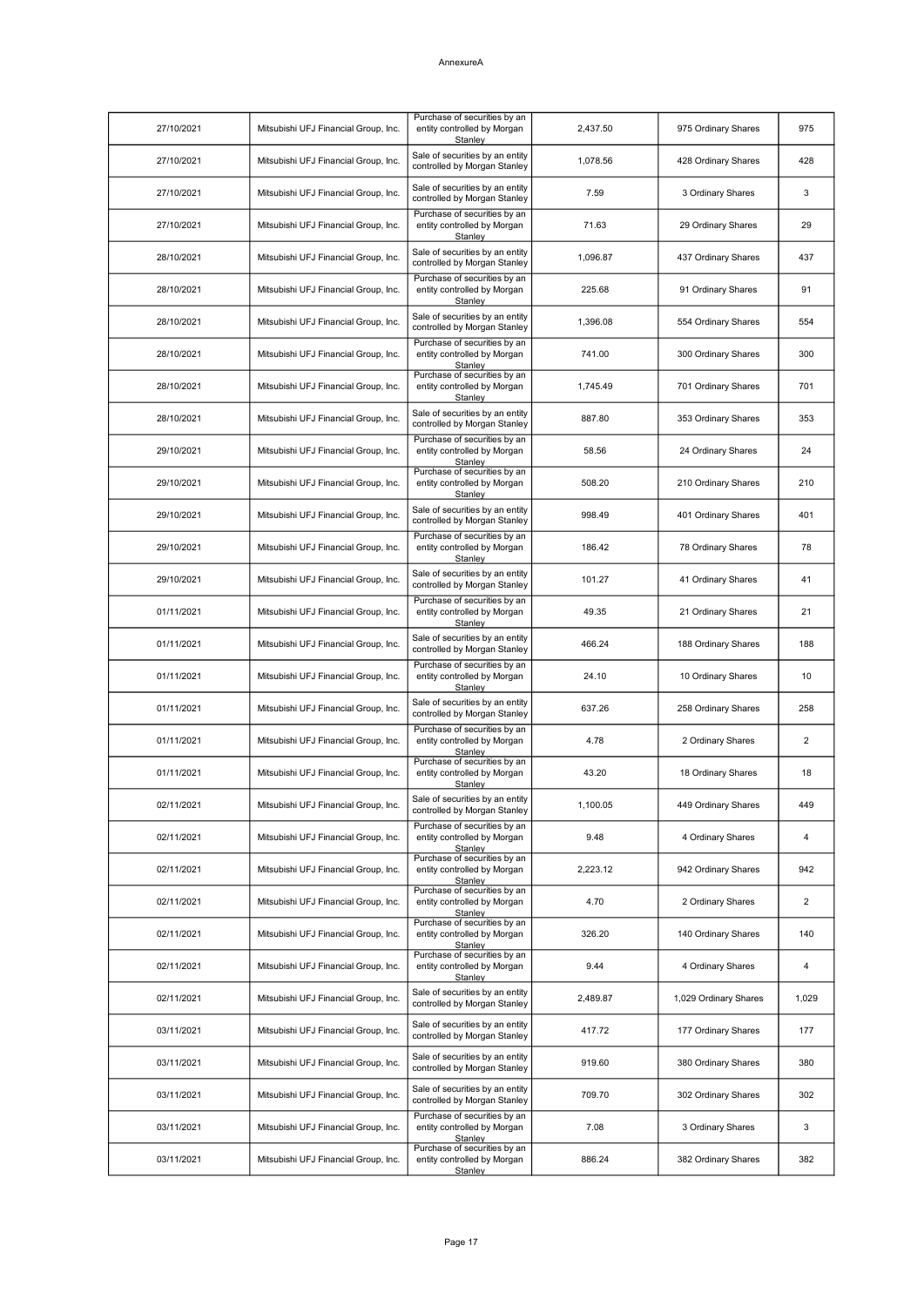| 27/10/2021 | Mitsubishi UFJ Financial Group, Inc. | Purchase of securities by an<br>entity controlled by Morgan<br>Stanley        | 2,437.50 | 975 Ordinary Shares   | 975   |
|------------|--------------------------------------|-------------------------------------------------------------------------------|----------|-----------------------|-------|
| 27/10/2021 | Mitsubishi UFJ Financial Group, Inc. | Sale of securities by an entity<br>controlled by Morgan Stanley               | 1,078.56 | 428 Ordinary Shares   | 428   |
| 27/10/2021 | Mitsubishi UFJ Financial Group, Inc. | Sale of securities by an entity<br>controlled by Morgan Stanley               | 7.59     | 3 Ordinary Shares     | 3     |
| 27/10/2021 | Mitsubishi UFJ Financial Group, Inc. | Purchase of securities by an<br>entity controlled by Morgan<br>Stanley        | 71.63    | 29 Ordinary Shares    | 29    |
| 28/10/2021 | Mitsubishi UFJ Financial Group, Inc. | Sale of securities by an entity<br>controlled by Morgan Stanley               | 1,096.87 | 437 Ordinary Shares   | 437   |
| 28/10/2021 | Mitsubishi UFJ Financial Group, Inc. | Purchase of securities by an<br>entity controlled by Morgan<br>Stanley        | 225.68   | 91 Ordinary Shares    | 91    |
| 28/10/2021 | Mitsubishi UFJ Financial Group, Inc. | Sale of securities by an entity<br>controlled by Morgan Stanley               | 1,396.08 | 554 Ordinary Shares   | 554   |
| 28/10/2021 | Mitsubishi UFJ Financial Group, Inc. | Purchase of securities by an<br>entity controlled by Morgan<br>Stanley        | 741.00   | 300 Ordinary Shares   | 300   |
| 28/10/2021 | Mitsubishi UFJ Financial Group, Inc. | Purchase of securities by an<br>entity controlled by Morgan<br>Stanley        | 1,745.49 | 701 Ordinary Shares   | 701   |
| 28/10/2021 | Mitsubishi UFJ Financial Group, Inc. | Sale of securities by an entity<br>controlled by Morgan Stanley               | 887.80   | 353 Ordinary Shares   | 353   |
| 29/10/2021 | Mitsubishi UFJ Financial Group, Inc. | Purchase of securities by an<br>entity controlled by Morgan<br>Stanley        | 58.56    | 24 Ordinary Shares    | 24    |
| 29/10/2021 | Mitsubishi UFJ Financial Group, Inc. | Purchase of securities by an<br>entity controlled by Morgan<br>Stanley        | 508.20   | 210 Ordinary Shares   | 210   |
| 29/10/2021 | Mitsubishi UFJ Financial Group, Inc. | Sale of securities by an entity<br>controlled by Morgan Stanley               | 998.49   | 401 Ordinary Shares   | 401   |
| 29/10/2021 | Mitsubishi UFJ Financial Group, Inc. | Purchase of securities by an<br>entity controlled by Morgan<br>Stanley        | 186.42   | 78 Ordinary Shares    | 78    |
| 29/10/2021 | Mitsubishi UFJ Financial Group, Inc. | Sale of securities by an entity<br>controlled by Morgan Stanley               | 101.27   | 41 Ordinary Shares    | 41    |
| 01/11/2021 | Mitsubishi UFJ Financial Group, Inc. | Purchase of securities by an<br>entity controlled by Morgan<br>Stanley        | 49.35    | 21 Ordinary Shares    | 21    |
| 01/11/2021 | Mitsubishi UFJ Financial Group, Inc. | Sale of securities by an entity<br>controlled by Morgan Stanley               | 466.24   | 188 Ordinary Shares   | 188   |
| 01/11/2021 | Mitsubishi UFJ Financial Group, Inc. | Purchase of securities by an<br>entity controlled by Morgan<br>Stanley        | 24.10    | 10 Ordinary Shares    | 10    |
| 01/11/2021 | Mitsubishi UFJ Financial Group, Inc. | Sale of securities by an entity<br>controlled by Morgan Stanley               | 637.26   | 258 Ordinary Shares   | 258   |
| 01/11/2021 | Mitsubishi UFJ Financial Group, Inc. | Purchase of securities by an<br>entity controlled by Morgan<br>Stanley        | 4.78     | 2 Ordinary Shares     | 2     |
| 01/11/2021 | Mitsubishi UFJ Financial Group, Inc. | Purchase of securities by an<br>entity controlled by Morgan<br><b>Stanley</b> | 43.20    | 18 Ordinary Shares    | 18    |
| 02/11/2021 | Mitsubishi UFJ Financial Group, Inc. | Sale of securities by an entity<br>controlled by Morgan Stanley               | 1,100.05 | 449 Ordinary Shares   | 449   |
| 02/11/2021 | Mitsubishi UFJ Financial Group, Inc. | Purchase of securities by an<br>entity controlled by Morgan<br>Stanley        | 9.48     | 4 Ordinary Shares     | 4     |
| 02/11/2021 | Mitsubishi UFJ Financial Group, Inc. | Purchase of securities by an<br>entity controlled by Morgan<br>Stanley        | 2,223.12 | 942 Ordinary Shares   | 942   |
| 02/11/2021 | Mitsubishi UFJ Financial Group, Inc. | Purchase of securities by an<br>entity controlled by Morgan<br>Stanley        | 4.70     | 2 Ordinary Shares     | 2     |
| 02/11/2021 | Mitsubishi UFJ Financial Group, Inc. | Purchase of securities by an<br>entity controlled by Morgan<br>Stanley        | 326.20   | 140 Ordinary Shares   | 140   |
| 02/11/2021 | Mitsubishi UFJ Financial Group, Inc. | Purchase of securities by an<br>entity controlled by Morgan<br>Stanley        | 9.44     | 4 Ordinary Shares     | 4     |
| 02/11/2021 | Mitsubishi UFJ Financial Group, Inc. | Sale of securities by an entity<br>controlled by Morgan Stanley               | 2,489.87 | 1,029 Ordinary Shares | 1,029 |
| 03/11/2021 | Mitsubishi UFJ Financial Group, Inc. | Sale of securities by an entity<br>controlled by Morgan Stanley               | 417.72   | 177 Ordinary Shares   | 177   |
| 03/11/2021 | Mitsubishi UFJ Financial Group, Inc. | Sale of securities by an entity<br>controlled by Morgan Stanley               | 919.60   | 380 Ordinary Shares   | 380   |
| 03/11/2021 | Mitsubishi UFJ Financial Group, Inc. | Sale of securities by an entity<br>controlled by Morgan Stanley               | 709.70   | 302 Ordinary Shares   | 302   |
| 03/11/2021 | Mitsubishi UFJ Financial Group, Inc. | Purchase of securities by an<br>entity controlled by Morgan<br>Stanley        | 7.08     | 3 Ordinary Shares     | 3     |
| 03/11/2021 | Mitsubishi UFJ Financial Group, Inc. | Purchase of securities by an<br>entity controlled by Morgan<br>Stanley        | 886.24   | 382 Ordinary Shares   | 382   |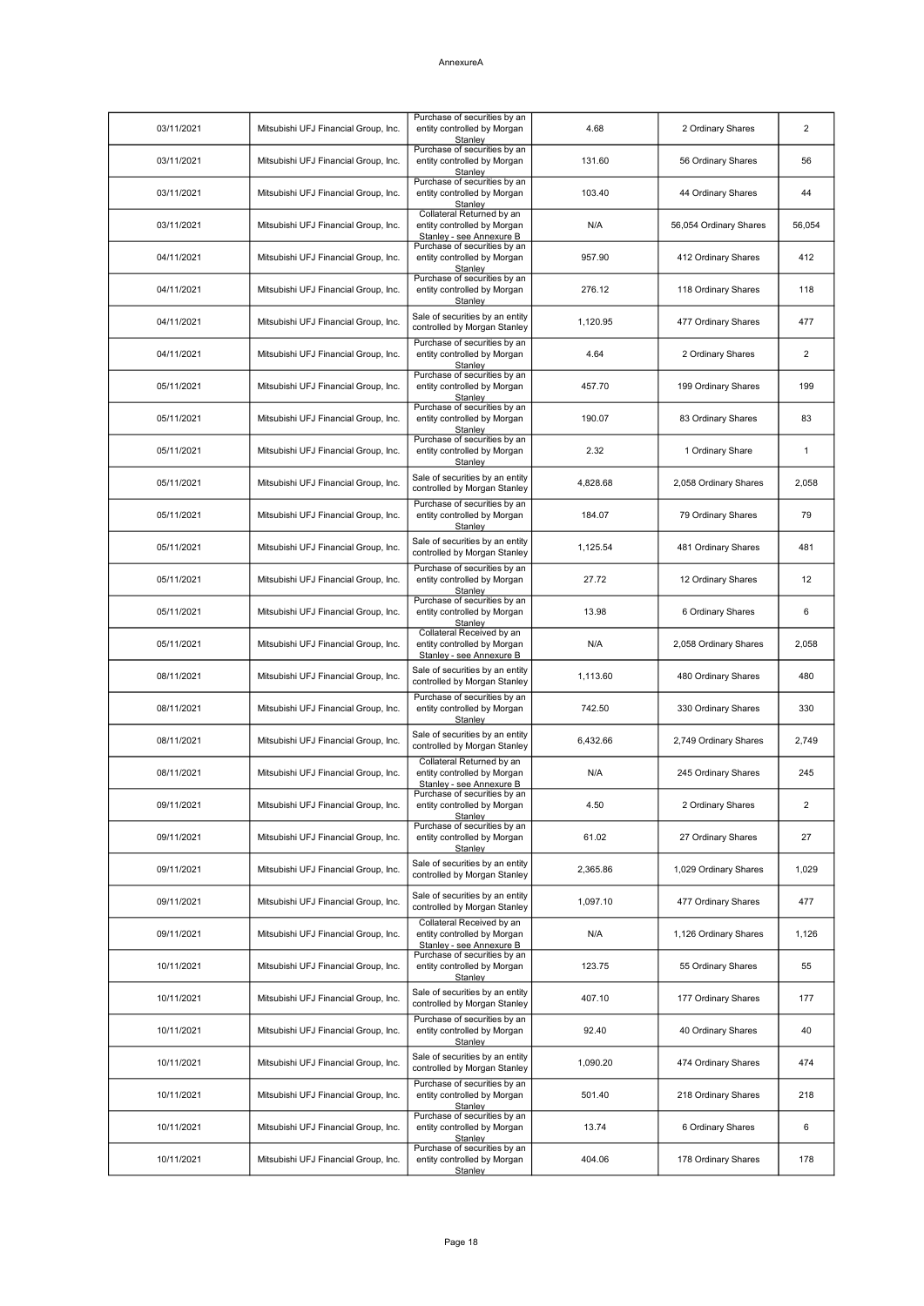| 03/11/2021 | Mitsubishi UFJ Financial Group, Inc. | Purchase of securities by an<br>entity controlled by Morgan<br>Stanley               | 4.68     | 2 Ordinary Shares      | $\overline{2}$ |
|------------|--------------------------------------|--------------------------------------------------------------------------------------|----------|------------------------|----------------|
| 03/11/2021 | Mitsubishi UFJ Financial Group, Inc. | Purchase of securities by an<br>entity controlled by Morgan<br>Stanley               | 131.60   | 56 Ordinary Shares     | 56             |
| 03/11/2021 | Mitsubishi UFJ Financial Group, Inc. | Purchase of securities by an<br>entity controlled by Morgan<br>Stanley               | 103.40   | 44 Ordinary Shares     | 44             |
| 03/11/2021 | Mitsubishi UFJ Financial Group, Inc. | Collateral Returned by an<br>entity controlled by Morgan<br>Stanley - see Annexure B | N/A      | 56,054 Ordinary Shares | 56,054         |
| 04/11/2021 | Mitsubishi UFJ Financial Group, Inc. | Purchase of securities by an<br>entity controlled by Morgan<br>Stanley               | 957.90   | 412 Ordinary Shares    | 412            |
| 04/11/2021 | Mitsubishi UFJ Financial Group, Inc. | Purchase of securities by an<br>entity controlled by Morgan<br>Stanley               | 276.12   | 118 Ordinary Shares    | 118            |
| 04/11/2021 | Mitsubishi UFJ Financial Group, Inc. | Sale of securities by an entity<br>controlled by Morgan Stanley                      | 1,120.95 | 477 Ordinary Shares    | 477            |
| 04/11/2021 | Mitsubishi UFJ Financial Group, Inc. | Purchase of securities by an<br>entity controlled by Morgan<br>Stanley               | 4.64     | 2 Ordinary Shares      | $\overline{2}$ |
| 05/11/2021 | Mitsubishi UFJ Financial Group, Inc. | Purchase of securities by an<br>entity controlled by Morgan<br>Stanley               | 457.70   | 199 Ordinary Shares    | 199            |
| 05/11/2021 | Mitsubishi UFJ Financial Group, Inc. | Purchase of securities by an<br>entity controlled by Morgan<br>Stanley               | 190.07   | 83 Ordinary Shares     | 83             |
| 05/11/2021 | Mitsubishi UFJ Financial Group, Inc. | Purchase of securities by an<br>entity controlled by Morgan<br>Stanley               | 2.32     | 1 Ordinary Share       | $\mathbf{1}$   |
| 05/11/2021 | Mitsubishi UFJ Financial Group, Inc. | Sale of securities by an entity<br>controlled by Morgan Stanley                      | 4.828.68 | 2,058 Ordinary Shares  | 2,058          |
| 05/11/2021 | Mitsubishi UFJ Financial Group, Inc. | Purchase of securities by an<br>entity controlled by Morgan<br>Stanley               | 184.07   | 79 Ordinary Shares     | 79             |
| 05/11/2021 | Mitsubishi UFJ Financial Group, Inc. | Sale of securities by an entity<br>controlled by Morgan Stanley                      | 1,125.54 | 481 Ordinary Shares    | 481            |
| 05/11/2021 | Mitsubishi UFJ Financial Group, Inc. | Purchase of securities by an<br>entity controlled by Morgan<br>Stanlev               | 27.72    | 12 Ordinary Shares     | 12             |
| 05/11/2021 | Mitsubishi UFJ Financial Group, Inc. | Purchase of securities by an<br>entity controlled by Morgan<br>Stanley               | 13.98    | 6 Ordinary Shares      | 6              |
| 05/11/2021 | Mitsubishi UFJ Financial Group, Inc. | Collateral Received by an<br>entity controlled by Morgan<br>Stanley - see Annexure B | N/A      | 2,058 Ordinary Shares  | 2,058          |
| 08/11/2021 | Mitsubishi UFJ Financial Group, Inc. | Sale of securities by an entity<br>controlled by Morgan Stanley                      | 1,113.60 | 480 Ordinary Shares    | 480            |
| 08/11/2021 | Mitsubishi UFJ Financial Group, Inc. | Purchase of securities by an<br>entity controlled by Morgan<br>Stanley               | 742.50   | 330 Ordinary Shares    | 330            |
| 08/11/2021 | Mitsubishi UFJ Financial Group, Inc. | Sale of securities by an entity<br>controlled by Morgan Stanley                      | 6,432.66 | 2,749 Ordinary Shares  | 2,749          |
| 08/11/2021 | Mitsubishi UFJ Financial Group, Inc. | Collateral Returned by an<br>entity controlled by Morgan<br>Stanley - see Annexure B | N/A      | 245 Ordinary Shares    | 245            |
| 09/11/2021 | Mitsubishi UFJ Financial Group, Inc. | Purchase of securities by an<br>entity controlled by Morgan<br>Stanley               | 4.50     | 2 Ordinary Shares      | 2              |
| 09/11/2021 | Mitsubishi UFJ Financial Group, Inc. | Purchase of securities by an<br>entity controlled by Morgan<br>Stanley               | 61.02    | 27 Ordinary Shares     | 27             |
| 09/11/2021 | Mitsubishi UFJ Financial Group, Inc. | Sale of securities by an entity<br>controlled by Morgan Stanley                      | 2,365.86 | 1,029 Ordinary Shares  | 1,029          |
| 09/11/2021 | Mitsubishi UFJ Financial Group, Inc. | Sale of securities by an entity<br>controlled by Morgan Stanley                      | 1,097.10 | 477 Ordinary Shares    | 477            |
| 09/11/2021 | Mitsubishi UFJ Financial Group, Inc. | Collateral Received by an<br>entity controlled by Morgan<br>Stanley - see Annexure B | N/A      | 1,126 Ordinary Shares  | 1,126          |
| 10/11/2021 | Mitsubishi UFJ Financial Group, Inc. | Purchase of securities by an<br>entity controlled by Morgan<br>Stanley               | 123.75   | 55 Ordinary Shares     | 55             |
| 10/11/2021 | Mitsubishi UFJ Financial Group, Inc. | Sale of securities by an entity<br>controlled by Morgan Stanley                      | 407.10   | 177 Ordinary Shares    | 177            |
| 10/11/2021 | Mitsubishi UFJ Financial Group, Inc. | Purchase of securities by an<br>entity controlled by Morgan<br>Stanley               | 92.40    | 40 Ordinary Shares     | 40             |
| 10/11/2021 | Mitsubishi UFJ Financial Group, Inc. | Sale of securities by an entity<br>controlled by Morgan Stanley                      | 1,090.20 | 474 Ordinary Shares    | 474            |
| 10/11/2021 | Mitsubishi UFJ Financial Group, Inc. | Purchase of securities by an<br>entity controlled by Morgan<br>Stanley               | 501.40   | 218 Ordinary Shares    | 218            |
| 10/11/2021 | Mitsubishi UFJ Financial Group, Inc. | Purchase of securities by an<br>entity controlled by Morgan<br>Stanley               | 13.74    | 6 Ordinary Shares      | 6              |
| 10/11/2021 | Mitsubishi UFJ Financial Group, Inc. | Purchase of securities by an<br>entity controlled by Morgan<br>Stanley               | 404.06   | 178 Ordinary Shares    | 178            |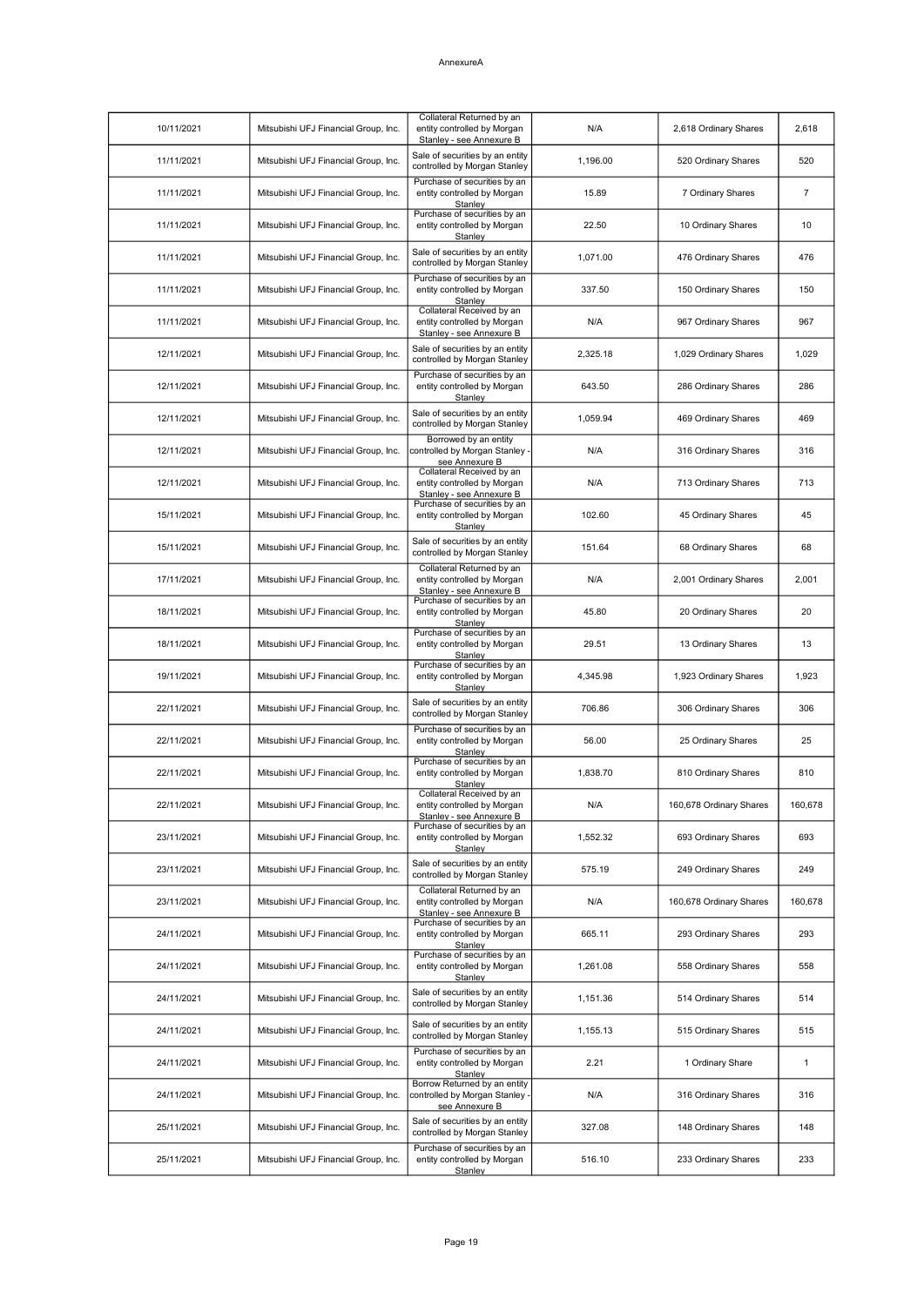| 10/11/2021 | Mitsubishi UFJ Financial Group, Inc. | Collateral Returned by an<br>entity controlled by Morgan<br>Stanley - see Annexure B | N/A      | 2,618 Ordinary Shares   | 2,618        |
|------------|--------------------------------------|--------------------------------------------------------------------------------------|----------|-------------------------|--------------|
| 11/11/2021 | Mitsubishi UFJ Financial Group, Inc. | Sale of securities by an entity<br>controlled by Morgan Stanley                      | 1,196.00 | 520 Ordinary Shares     | 520          |
| 11/11/2021 | Mitsubishi UFJ Financial Group, Inc. | Purchase of securities by an<br>entity controlled by Morgan<br>Stanley               | 15.89    | 7 Ordinary Shares       | 7            |
| 11/11/2021 | Mitsubishi UFJ Financial Group, Inc. | Purchase of securities by an<br>entity controlled by Morgan<br>Stanley               | 22.50    | 10 Ordinary Shares      | 10           |
| 11/11/2021 | Mitsubishi UFJ Financial Group, Inc. | Sale of securities by an entity<br>controlled by Morgan Stanley                      | 1,071.00 | 476 Ordinary Shares     | 476          |
| 11/11/2021 | Mitsubishi UFJ Financial Group, Inc. | Purchase of securities by an<br>entity controlled by Morgan<br>Stanley               | 337.50   | 150 Ordinary Shares     | 150          |
| 11/11/2021 | Mitsubishi UFJ Financial Group, Inc. | Collateral Received by an<br>entity controlled by Morgan<br>Stanley - see Annexure B | N/A      | 967 Ordinary Shares     | 967          |
| 12/11/2021 | Mitsubishi UFJ Financial Group, Inc. | Sale of securities by an entity<br>controlled by Morgan Stanley                      | 2,325.18 | 1,029 Ordinary Shares   | 1,029        |
| 12/11/2021 | Mitsubishi UFJ Financial Group, Inc. | Purchase of securities by an<br>entity controlled by Morgan<br>Stanley               | 643.50   | 286 Ordinary Shares     | 286          |
| 12/11/2021 | Mitsubishi UFJ Financial Group, Inc. | Sale of securities by an entity<br>controlled by Morgan Stanley                      | 1,059.94 | 469 Ordinary Shares     | 469          |
| 12/11/2021 | Mitsubishi UFJ Financial Group, Inc. | Borrowed by an entity<br>controlled by Morgan Stanley -<br>see Annexure B            | N/A      | 316 Ordinary Shares     | 316          |
| 12/11/2021 | Mitsubishi UFJ Financial Group, Inc. | Collateral Received by an<br>entity controlled by Morgan<br>Stanley - see Annexure B | N/A      | 713 Ordinary Shares     | 713          |
| 15/11/2021 | Mitsubishi UFJ Financial Group, Inc. | Purchase of securities by an<br>entity controlled by Morgan<br>Stanley               | 102.60   | 45 Ordinary Shares      | 45           |
| 15/11/2021 | Mitsubishi UFJ Financial Group, Inc. | Sale of securities by an entity<br>controlled by Morgan Stanley                      | 151.64   | 68 Ordinary Shares      | 68           |
| 17/11/2021 | Mitsubishi UFJ Financial Group, Inc. | Collateral Returned by an<br>entity controlled by Morgan<br>Stanley - see Annexure B | N/A      | 2,001 Ordinary Shares   | 2,001        |
| 18/11/2021 | Mitsubishi UFJ Financial Group, Inc. | Purchase of securities by an<br>entity controlled by Morgan<br>Stanley               | 45.80    | 20 Ordinary Shares      | 20           |
| 18/11/2021 | Mitsubishi UFJ Financial Group, Inc. | Purchase of securities by an<br>entity controlled by Morgan<br>Stanley               | 29.51    | 13 Ordinary Shares      | 13           |
| 19/11/2021 | Mitsubishi UFJ Financial Group, Inc. | Purchase of securities by an<br>entity controlled by Morgan<br>Stanley               | 4,345.98 | 1,923 Ordinary Shares   | 1,923        |
| 22/11/2021 | Mitsubishi UFJ Financial Group, Inc. | Sale of securities by an entity<br>controlled by Morgan Stanley                      | 706.86   | 306 Ordinary Shares     | 306          |
| 22/11/2021 | Mitsubishi UFJ Financial Group, Inc. | Purchase of securities by an<br>entity controlled by Morgan<br>Stanley               | 56.00    | 25 Ordinary Shares      | 25           |
| 22/11/2021 | Mitsubishi UFJ Financial Group, Inc. | Purchase of securities by an<br>entity controlled by Morgan<br>Stanley               | 1,838.70 | 810 Ordinary Shares     | 810          |
| 22/11/2021 | Mitsubishi UFJ Financial Group, Inc. | Collateral Received by an<br>entity controlled by Morgan<br>Stanley - see Annexure B | N/A      | 160,678 Ordinary Shares | 160,678      |
| 23/11/2021 | Mitsubishi UFJ Financial Group, Inc. | Purchase of securities by an<br>entity controlled by Morgan<br>Stanley               | 1,552.32 | 693 Ordinary Shares     | 693          |
| 23/11/2021 | Mitsubishi UFJ Financial Group, Inc. | Sale of securities by an entity<br>controlled by Morgan Stanley                      | 575.19   | 249 Ordinary Shares     | 249          |
| 23/11/2021 | Mitsubishi UFJ Financial Group, Inc. | Collateral Returned by an<br>entity controlled by Morgan<br>Stanley - see Annexure B | N/A      | 160,678 Ordinary Shares | 160,678      |
| 24/11/2021 | Mitsubishi UFJ Financial Group, Inc. | Purchase of securities by an<br>entity controlled by Morgan<br>Stanley               | 665.11   | 293 Ordinary Shares     | 293          |
| 24/11/2021 | Mitsubishi UFJ Financial Group, Inc. | Purchase of securities by an<br>entity controlled by Morgan<br>Stanley               | 1,261.08 | 558 Ordinary Shares     | 558          |
| 24/11/2021 | Mitsubishi UFJ Financial Group, Inc. | Sale of securities by an entity<br>controlled by Morgan Stanley                      | 1,151.36 | 514 Ordinary Shares     | 514          |
| 24/11/2021 | Mitsubishi UFJ Financial Group, Inc. | Sale of securities by an entity<br>controlled by Morgan Stanley                      | 1,155.13 | 515 Ordinary Shares     | 515          |
| 24/11/2021 | Mitsubishi UFJ Financial Group, Inc. | Purchase of securities by an<br>entity controlled by Morgan<br>Stanley               | 2.21     | 1 Ordinary Share        | $\mathbf{1}$ |
| 24/11/2021 | Mitsubishi UFJ Financial Group, Inc. | Borrow Returned by an entity<br>controlled by Morgan Stanley -<br>see Annexure B     | N/A      | 316 Ordinary Shares     | 316          |
| 25/11/2021 | Mitsubishi UFJ Financial Group, Inc. | Sale of securities by an entity<br>controlled by Morgan Stanley                      | 327.08   | 148 Ordinary Shares     | 148          |
| 25/11/2021 | Mitsubishi UFJ Financial Group, Inc. | Purchase of securities by an<br>entity controlled by Morgan<br>Stanley               | 516.10   | 233 Ordinary Shares     | 233          |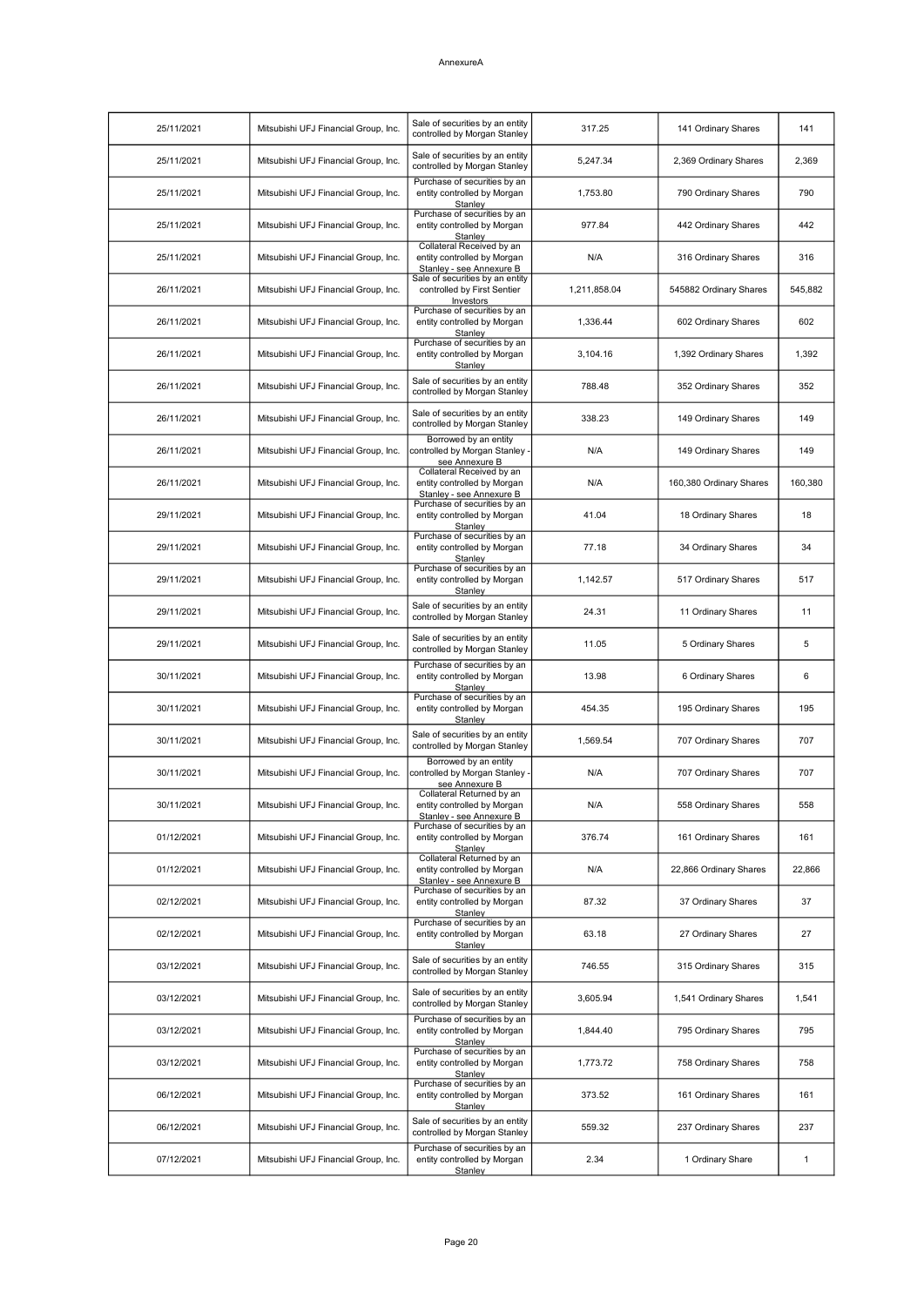| 25/11/2021 | Mitsubishi UFJ Financial Group, Inc. | Sale of securities by an entity<br>controlled by Morgan Stanley                      | 317.25       | 141 Ordinary Shares     | 141          |
|------------|--------------------------------------|--------------------------------------------------------------------------------------|--------------|-------------------------|--------------|
| 25/11/2021 | Mitsubishi UFJ Financial Group, Inc. | Sale of securities by an entity<br>controlled by Morgan Stanley                      | 5,247.34     | 2,369 Ordinary Shares   | 2,369        |
| 25/11/2021 | Mitsubishi UFJ Financial Group, Inc. | Purchase of securities by an<br>entity controlled by Morgan<br>Stanley               | 1,753.80     | 790 Ordinary Shares     | 790          |
| 25/11/2021 | Mitsubishi UFJ Financial Group, Inc. | Purchase of securities by an<br>entity controlled by Morgan<br>Stanley               | 977.84       | 442 Ordinary Shares     | 442          |
| 25/11/2021 | Mitsubishi UFJ Financial Group, Inc. | Collateral Received by an<br>entity controlled by Morgan<br>Stanley - see Annexure B | N/A          | 316 Ordinary Shares     | 316          |
| 26/11/2021 | Mitsubishi UFJ Financial Group, Inc. | Sale of securities by an entity<br>controlled by First Sentier<br>Investors          | 1,211,858.04 | 545882 Ordinary Shares  | 545,882      |
| 26/11/2021 | Mitsubishi UFJ Financial Group, Inc. | Purchase of securities by an<br>entity controlled by Morgan<br>Stanley               | 1,336.44     | 602 Ordinary Shares     | 602          |
| 26/11/2021 | Mitsubishi UFJ Financial Group, Inc. | Purchase of securities by an<br>entity controlled by Morgan<br>Stanley               | 3,104.16     | 1,392 Ordinary Shares   | 1,392        |
| 26/11/2021 | Mitsubishi UFJ Financial Group, Inc. | Sale of securities by an entity<br>controlled by Morgan Stanley                      | 788.48       | 352 Ordinary Shares     | 352          |
| 26/11/2021 | Mitsubishi UFJ Financial Group, Inc. | Sale of securities by an entity<br>controlled by Morgan Stanley                      | 338.23       | 149 Ordinary Shares     | 149          |
| 26/11/2021 | Mitsubishi UFJ Financial Group, Inc. | Borrowed by an entity<br>controlled by Morgan Stanley -<br>see Annexure B            | N/A          | 149 Ordinary Shares     | 149          |
| 26/11/2021 | Mitsubishi UFJ Financial Group, Inc. | Collateral Received by an<br>entity controlled by Morgan<br>Stanley - see Annexure B | N/A          | 160,380 Ordinary Shares | 160,380      |
| 29/11/2021 | Mitsubishi UFJ Financial Group, Inc. | Purchase of securities by an<br>entity controlled by Morgan<br>Stanley               | 41.04        | 18 Ordinary Shares      | 18           |
| 29/11/2021 | Mitsubishi UFJ Financial Group, Inc. | Purchase of securities by an<br>entity controlled by Morgan<br>Stanley               | 77.18        | 34 Ordinary Shares      | 34           |
| 29/11/2021 | Mitsubishi UFJ Financial Group, Inc. | Purchase of securities by an<br>entity controlled by Morgan<br>Stanley               | 1,142.57     | 517 Ordinary Shares     | 517          |
| 29/11/2021 | Mitsubishi UFJ Financial Group, Inc. | Sale of securities by an entity<br>controlled by Morgan Stanley                      | 24.31        | 11 Ordinary Shares      | 11           |
| 29/11/2021 | Mitsubishi UFJ Financial Group, Inc. | Sale of securities by an entity<br>controlled by Morgan Stanley                      | 11.05        | 5 Ordinary Shares       | 5            |
| 30/11/2021 | Mitsubishi UFJ Financial Group, Inc. | Purchase of securities by an<br>entity controlled by Morgan<br>Stanley               | 13.98        | 6 Ordinary Shares       | 6            |
| 30/11/2021 | Mitsubishi UFJ Financial Group, Inc. | Purchase of securities by an<br>entity controlled by Morgan<br>Stanley               | 454.35       | 195 Ordinary Shares     | 195          |
| 30/11/2021 | Mitsubishi UFJ Financial Group, Inc. | Sale of securities by an entity<br>controlled by Morgan Stanley                      | 1,569.54     | 707 Ordinary Shares     | 707          |
| 30/11/2021 | Mitsubishi UFJ Financial Group, Inc. | Borrowed by an entity<br>controlled by Morgan Stanley -<br>see Annexure B            | N/A          | 707 Ordinary Shares     | 707          |
| 30/11/2021 | Mitsubishi UFJ Financial Group, Inc. | Collateral Returned by an<br>entity controlled by Morgan<br>Stanley - see Annexure B | N/A          | 558 Ordinary Shares     | 558          |
| 01/12/2021 | Mitsubishi UFJ Financial Group, Inc. | Purchase of securities by an<br>entity controlled by Morgan<br>Stanley               | 376.74       | 161 Ordinary Shares     | 161          |
| 01/12/2021 | Mitsubishi UFJ Financial Group, Inc. | Collateral Returned by an<br>entity controlled by Morgan<br>Stanley - see Annexure B | N/A          | 22,866 Ordinary Shares  | 22,866       |
| 02/12/2021 | Mitsubishi UFJ Financial Group, Inc. | Purchase of securities by an<br>entity controlled by Morgan<br>Stanley               | 87.32        | 37 Ordinary Shares      | 37           |
| 02/12/2021 | Mitsubishi UFJ Financial Group, Inc. | Purchase of securities by an<br>entity controlled by Morgan<br>Stanley               | 63.18        | 27 Ordinary Shares      | 27           |
| 03/12/2021 | Mitsubishi UFJ Financial Group, Inc. | Sale of securities by an entity<br>controlled by Morgan Stanley                      | 746.55       | 315 Ordinary Shares     | 315          |
| 03/12/2021 | Mitsubishi UFJ Financial Group, Inc. | Sale of securities by an entity<br>controlled by Morgan Stanley                      | 3,605.94     | 1,541 Ordinary Shares   | 1,541        |
| 03/12/2021 | Mitsubishi UFJ Financial Group, Inc. | Purchase of securities by an<br>entity controlled by Morgan<br>Stanley               | 1,844.40     | 795 Ordinary Shares     | 795          |
| 03/12/2021 | Mitsubishi UFJ Financial Group, Inc. | Purchase of securities by an<br>entity controlled by Morgan<br>Stanley               | 1,773.72     | 758 Ordinary Shares     | 758          |
| 06/12/2021 | Mitsubishi UFJ Financial Group, Inc. | Purchase of securities by an<br>entity controlled by Morgan<br>Stanley               | 373.52       | 161 Ordinary Shares     | 161          |
| 06/12/2021 | Mitsubishi UFJ Financial Group, Inc. | Sale of securities by an entity<br>controlled by Morgan Stanley                      | 559.32       | 237 Ordinary Shares     | 237          |
| 07/12/2021 | Mitsubishi UFJ Financial Group, Inc. | Purchase of securities by an<br>entity controlled by Morgan<br>Stanley               | 2.34         | 1 Ordinary Share        | $\mathbf{1}$ |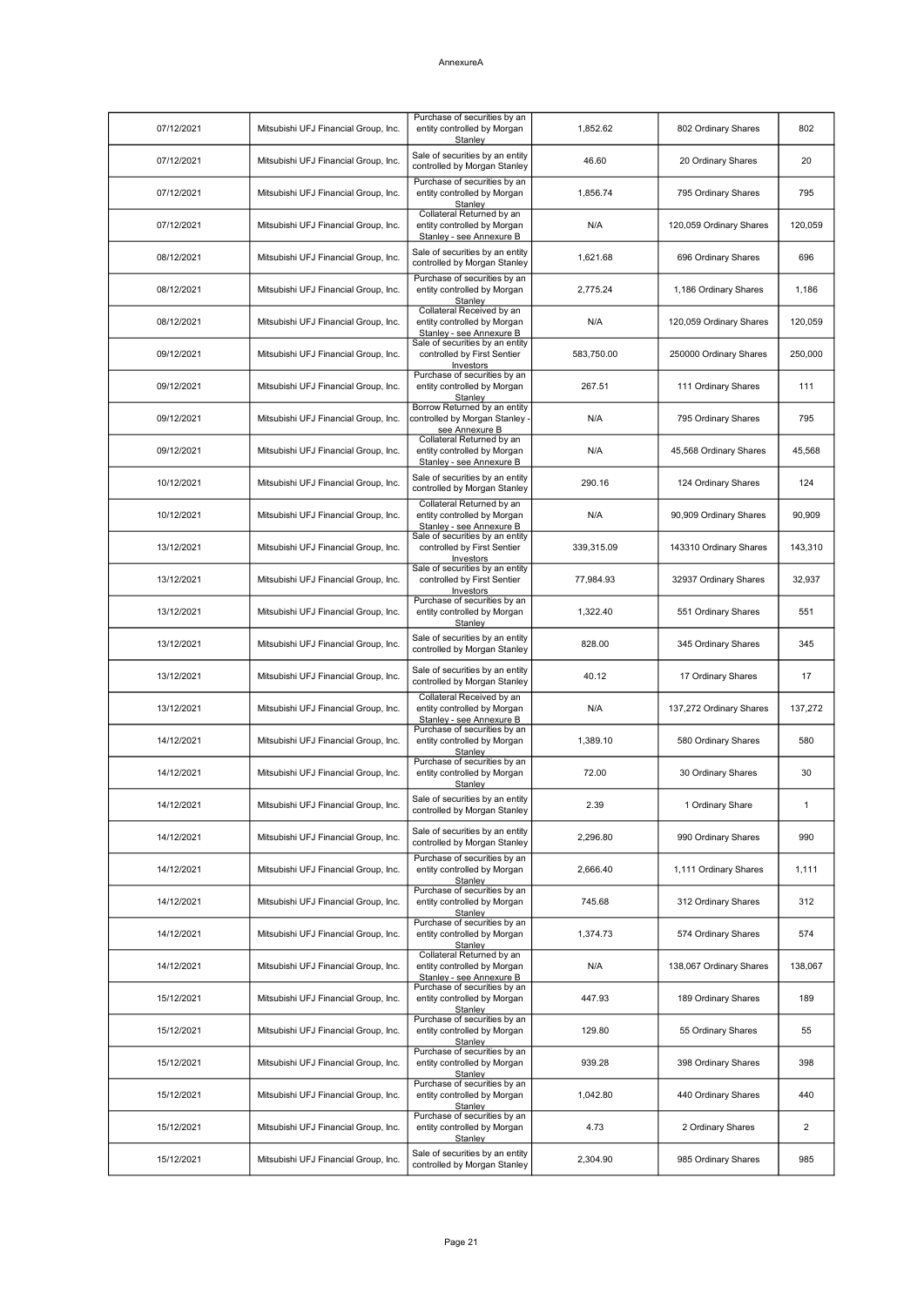| 07/12/2021 | Mitsubishi UFJ Financial Group, Inc. | Purchase of securities by an<br>entity controlled by Morgan<br>Stanley               | 1,852.62   | 802 Ordinary Shares     | 802            |
|------------|--------------------------------------|--------------------------------------------------------------------------------------|------------|-------------------------|----------------|
| 07/12/2021 | Mitsubishi UFJ Financial Group, Inc. | Sale of securities by an entity<br>controlled by Morgan Stanley                      | 46.60      | 20 Ordinary Shares      | 20             |
| 07/12/2021 | Mitsubishi UFJ Financial Group, Inc. | Purchase of securities by an<br>entity controlled by Morgan<br>Stanley               | 1,856.74   | 795 Ordinary Shares     | 795            |
| 07/12/2021 | Mitsubishi UFJ Financial Group, Inc. | Collateral Returned by an<br>entity controlled by Morgan<br>Stanley - see Annexure B | N/A        | 120,059 Ordinary Shares | 120,059        |
| 08/12/2021 | Mitsubishi UFJ Financial Group, Inc. | Sale of securities by an entity<br>controlled by Morgan Stanley                      | 1,621.68   | 696 Ordinary Shares     | 696            |
| 08/12/2021 | Mitsubishi UFJ Financial Group, Inc. | Purchase of securities by an<br>entity controlled by Morgan<br>Stanley               | 2,775.24   | 1,186 Ordinary Shares   | 1,186          |
| 08/12/2021 | Mitsubishi UFJ Financial Group, Inc. | Collateral Received by an<br>entity controlled by Morgan<br>Stanley - see Annexure B | N/A        | 120,059 Ordinary Shares | 120,059        |
| 09/12/2021 | Mitsubishi UFJ Financial Group, Inc. | Sale of securities by an entity<br>controlled by First Sentier<br>Investors          | 583,750.00 | 250000 Ordinary Shares  | 250,000        |
| 09/12/2021 | Mitsubishi UFJ Financial Group, Inc. | Purchase of securities by an<br>entity controlled by Morgan<br>Stanley               | 267.51     | 111 Ordinary Shares     | 111            |
| 09/12/2021 | Mitsubishi UFJ Financial Group, Inc. | Borrow Returned by an entity<br>controlled by Morgan Stanley -<br>see Annexure B     | N/A        | 795 Ordinary Shares     | 795            |
| 09/12/2021 | Mitsubishi UFJ Financial Group, Inc. | Collateral Returned by an<br>entity controlled by Morgan<br>Stanley - see Annexure B | N/A        | 45,568 Ordinary Shares  | 45,568         |
| 10/12/2021 | Mitsubishi UFJ Financial Group, Inc. | Sale of securities by an entity<br>controlled by Morgan Stanley                      | 290.16     | 124 Ordinary Shares     | 124            |
| 10/12/2021 | Mitsubishi UFJ Financial Group, Inc. | Collateral Returned by an<br>entity controlled by Morgan<br>Stanley - see Annexure B | N/A        | 90,909 Ordinary Shares  | 90,909         |
| 13/12/2021 | Mitsubishi UFJ Financial Group, Inc. | Sale of securities by an entity<br>controlled by First Sentier<br>Investors          | 339,315.09 | 143310 Ordinary Shares  | 143,310        |
| 13/12/2021 | Mitsubishi UFJ Financial Group, Inc. | Sale of securities by an entity<br>controlled by First Sentier<br>Investors          | 77,984.93  | 32937 Ordinary Shares   | 32,937         |
| 13/12/2021 | Mitsubishi UFJ Financial Group, Inc. | Purchase of securities by an<br>entity controlled by Morgan<br>Stanley               | 1,322.40   | 551 Ordinary Shares     | 551            |
| 13/12/2021 | Mitsubishi UFJ Financial Group, Inc. | Sale of securities by an entity<br>controlled by Morgan Stanley                      | 828.00     | 345 Ordinary Shares     | 345            |
| 13/12/2021 | Mitsubishi UFJ Financial Group, Inc. | Sale of securities by an entity<br>controlled by Morgan Stanley                      | 40.12      | 17 Ordinary Shares      | 17             |
| 13/12/2021 | Mitsubishi UFJ Financial Group, Inc. | Collateral Received by an<br>entity controlled by Morgan<br>Stanley - see Annexure B | N/A        | 137,272 Ordinary Shares | 137,272        |
| 14/12/2021 | Mitsubishi UFJ Financial Group, Inc. | Purchase of securities by an<br>entity controlled by Morgan<br>Stanley               | 1,389.10   | 580 Ordinary Shares     | 580            |
| 14/12/2021 | Mitsubishi UFJ Financial Group, Inc. | Purchase of securities by an<br>entity controlled by Morgan<br><b>Stanley</b>        | 72.00      | 30 Ordinary Shares      | 30             |
| 14/12/2021 | Mitsubishi UFJ Financial Group, Inc. | Sale of securities by an entity<br>controlled by Morgan Stanley                      | 2.39       | 1 Ordinary Share        |                |
| 14/12/2021 | Mitsubishi UFJ Financial Group, Inc. | Sale of securities by an entity<br>controlled by Morgan Stanley                      | 2,296.80   | 990 Ordinary Shares     | 990            |
| 14/12/2021 | Mitsubishi UFJ Financial Group, Inc. | Purchase of securities by an<br>entity controlled by Morgan<br>Stanley               | 2,666.40   | 1,111 Ordinary Shares   | 1,111          |
| 14/12/2021 | Mitsubishi UFJ Financial Group, Inc. | Purchase of securities by an<br>entity controlled by Morgan<br>Stanlev               | 745.68     | 312 Ordinary Shares     | 312            |
| 14/12/2021 | Mitsubishi UFJ Financial Group, Inc. | Purchase of securities by an<br>entity controlled by Morgan<br>Stanley               | 1,374.73   | 574 Ordinary Shares     | 574            |
| 14/12/2021 | Mitsubishi UFJ Financial Group, Inc. | Collateral Returned by an<br>entity controlled by Morgan<br>Stanley - see Annexure B | N/A        | 138,067 Ordinary Shares | 138,067        |
| 15/12/2021 | Mitsubishi UFJ Financial Group, Inc. | Purchase of securities by an<br>entity controlled by Morgan<br>Stanley               | 447.93     | 189 Ordinary Shares     | 189            |
| 15/12/2021 | Mitsubishi UFJ Financial Group, Inc. | Purchase of securities by an<br>entity controlled by Morgan<br>Stanley               | 129.80     | 55 Ordinary Shares      | 55             |
| 15/12/2021 | Mitsubishi UFJ Financial Group, Inc. | Purchase of securities by an<br>entity controlled by Morgan<br>Stanley               | 939.28     | 398 Ordinary Shares     | 398            |
| 15/12/2021 | Mitsubishi UFJ Financial Group, Inc. | Purchase of securities by an<br>entity controlled by Morgan<br>Stanley               | 1,042.80   | 440 Ordinary Shares     | 440            |
| 15/12/2021 | Mitsubishi UFJ Financial Group, Inc. | Purchase of securities by an<br>entity controlled by Morgan<br>Stanley               | 4.73       | 2 Ordinary Shares       | $\overline{2}$ |
| 15/12/2021 | Mitsubishi UFJ Financial Group, Inc. | Sale of securities by an entity<br>controlled by Morgan Stanley                      | 2,304.90   | 985 Ordinary Shares     | 985            |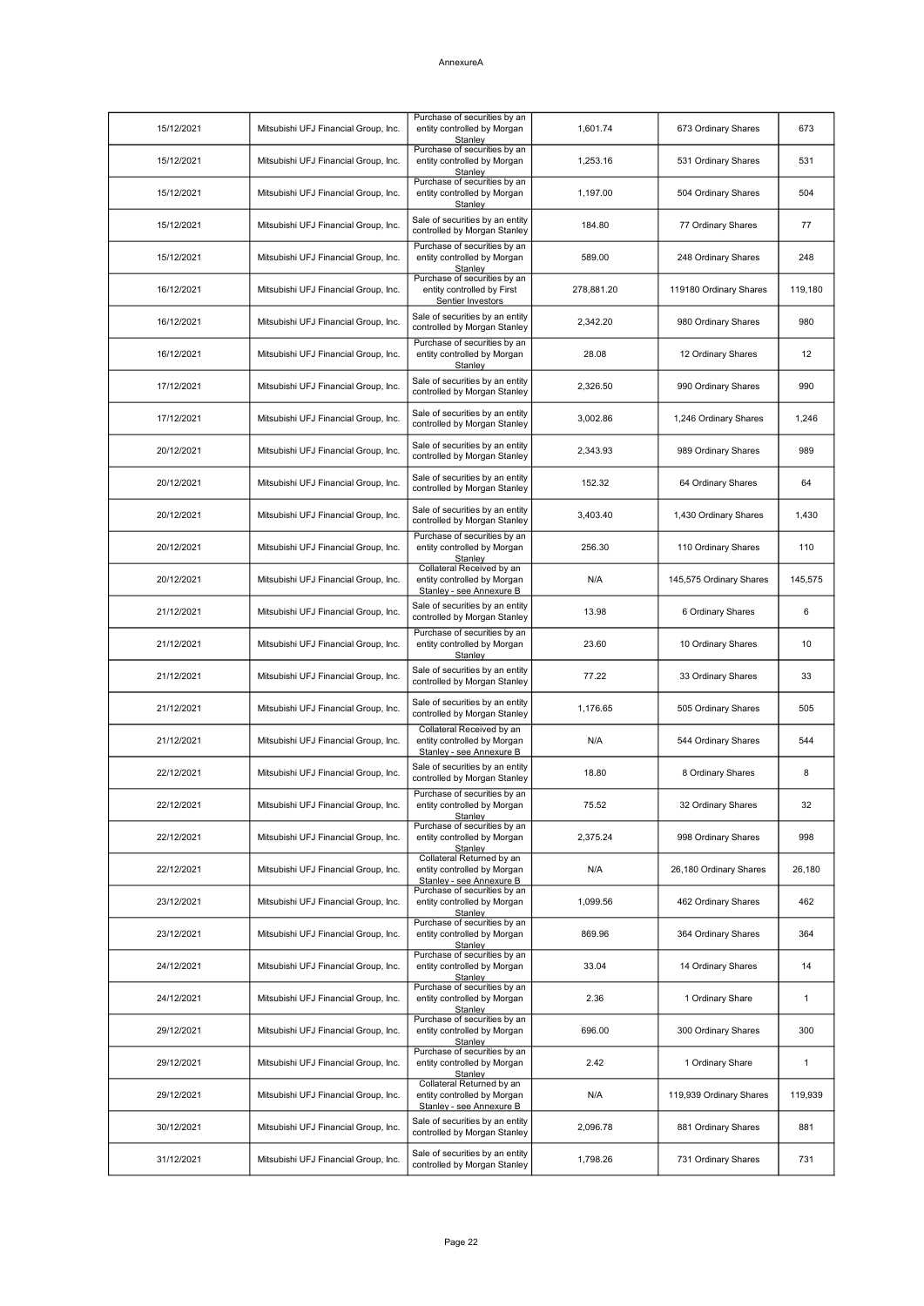| 15/12/2021 | Mitsubishi UFJ Financial Group, Inc. | Purchase of securities by an<br>entity controlled by Morgan<br>Stanley               | 1,601.74   | 673 Ordinary Shares     | 673          |
|------------|--------------------------------------|--------------------------------------------------------------------------------------|------------|-------------------------|--------------|
| 15/12/2021 | Mitsubishi UFJ Financial Group, Inc. | Purchase of securities by an<br>entity controlled by Morgan<br>Stanley               | 1,253.16   | 531 Ordinary Shares     | 531          |
| 15/12/2021 | Mitsubishi UFJ Financial Group, Inc. | Purchase of securities by an<br>entity controlled by Morgan<br>Stanley               | 1,197.00   | 504 Ordinary Shares     | 504          |
| 15/12/2021 | Mitsubishi UFJ Financial Group, Inc. | Sale of securities by an entity<br>controlled by Morgan Stanley                      | 184.80     | 77 Ordinary Shares      | 77           |
| 15/12/2021 | Mitsubishi UFJ Financial Group, Inc. | Purchase of securities by an<br>entity controlled by Morgan<br>Stanley               | 589.00     | 248 Ordinary Shares     | 248          |
| 16/12/2021 | Mitsubishi UFJ Financial Group, Inc. | Purchase of securities by an<br>entity controlled by First<br>Sentier Investors      | 278,881.20 | 119180 Ordinary Shares  | 119,180      |
| 16/12/2021 | Mitsubishi UFJ Financial Group, Inc. | Sale of securities by an entity<br>controlled by Morgan Stanley                      | 2,342.20   | 980 Ordinary Shares     | 980          |
| 16/12/2021 | Mitsubishi UFJ Financial Group, Inc. | Purchase of securities by an<br>entity controlled by Morgan<br>Stanley               | 28.08      | 12 Ordinary Shares      | 12           |
| 17/12/2021 | Mitsubishi UFJ Financial Group, Inc. | Sale of securities by an entity<br>controlled by Morgan Stanley                      | 2,326.50   | 990 Ordinary Shares     | 990          |
| 17/12/2021 | Mitsubishi UFJ Financial Group, Inc. | Sale of securities by an entity<br>controlled by Morgan Stanley                      | 3,002.86   | 1,246 Ordinary Shares   | 1,246        |
| 20/12/2021 | Mitsubishi UFJ Financial Group, Inc. | Sale of securities by an entity<br>controlled by Morgan Stanley                      | 2,343.93   | 989 Ordinary Shares     | 989          |
| 20/12/2021 | Mitsubishi UFJ Financial Group, Inc. | Sale of securities by an entity<br>controlled by Morgan Stanley                      | 152.32     | 64 Ordinary Shares      | 64           |
| 20/12/2021 | Mitsubishi UFJ Financial Group, Inc. | Sale of securities by an entity<br>controlled by Morgan Stanley                      | 3,403.40   | 1,430 Ordinary Shares   | 1,430        |
| 20/12/2021 | Mitsubishi UFJ Financial Group, Inc. | Purchase of securities by an<br>entity controlled by Morgan<br>Stanley               | 256.30     | 110 Ordinary Shares     | 110          |
| 20/12/2021 | Mitsubishi UFJ Financial Group, Inc. | Collateral Received by an<br>entity controlled by Morgan<br>Stanley - see Annexure B | N/A        | 145,575 Ordinary Shares | 145,575      |
| 21/12/2021 | Mitsubishi UFJ Financial Group, Inc. | Sale of securities by an entity<br>controlled by Morgan Stanley                      | 13.98      | 6 Ordinary Shares       | 6            |
| 21/12/2021 | Mitsubishi UFJ Financial Group, Inc. | Purchase of securities by an<br>entity controlled by Morgan<br>Stanley               | 23.60      | 10 Ordinary Shares      | 10           |
| 21/12/2021 | Mitsubishi UFJ Financial Group, Inc. | Sale of securities by an entity<br>controlled by Morgan Stanley                      | 77.22      | 33 Ordinary Shares      | 33           |
| 21/12/2021 | Mitsubishi UFJ Financial Group, Inc. | Sale of securities by an entity<br>controlled by Morgan Stanley                      | 1,176.65   | 505 Ordinary Shares     | 505          |
| 21/12/2021 | Mitsubishi UFJ Financial Group, Inc. | Collateral Received by an<br>entity controlled by Morgan<br>Stanley - see Annexure B | N/A        | 544 Ordinary Shares     | 544          |
| 22/12/2021 | Mitsubishi UFJ Financial Group, Inc. | Sale of securities by an entity<br>controlled by Morgan Stanley                      | 18.80      | 8 Ordinary Shares       | 8            |
| 22/12/2021 | Mitsubishi UFJ Financial Group, Inc. | Purchase of securities by an<br>entity controlled by Morgan<br><b>Stanley</b>        | 75.52      | 32 Ordinary Shares      | 32           |
| 22/12/2021 | Mitsubishi UFJ Financial Group, Inc. | Purchase of securities by an<br>entity controlled by Morgan<br>Stanley               | 2,375.24   | 998 Ordinary Shares     | 998          |
| 22/12/2021 | Mitsubishi UFJ Financial Group, Inc. | Collateral Returned by an<br>entity controlled by Morgan<br>Stanley - see Annexure B | N/A        | 26,180 Ordinary Shares  | 26,180       |
| 23/12/2021 | Mitsubishi UFJ Financial Group, Inc. | Purchase of securities by an<br>entity controlled by Morgan<br>Stanlev               | 1,099.56   | 462 Ordinary Shares     | 462          |
| 23/12/2021 | Mitsubishi UFJ Financial Group, Inc. | Purchase of securities by an<br>entity controlled by Morgan<br>Stanley               | 869.96     | 364 Ordinary Shares     | 364          |
| 24/12/2021 | Mitsubishi UFJ Financial Group, Inc. | Purchase of securities by an<br>entity controlled by Morgan<br>Stanley               | 33.04      | 14 Ordinary Shares      | 14           |
| 24/12/2021 | Mitsubishi UFJ Financial Group, Inc. | Purchase of securities by an<br>entity controlled by Morgan<br>Stanley               | 2.36       | 1 Ordinary Share        | $\mathbf{1}$ |
| 29/12/2021 | Mitsubishi UFJ Financial Group, Inc. | Purchase of securities by an<br>entity controlled by Morgan<br>Stanley               | 696.00     | 300 Ordinary Shares     | 300          |
| 29/12/2021 | Mitsubishi UFJ Financial Group, Inc. | Purchase of securities by an<br>entity controlled by Morgan<br>Stanley               | 2.42       | 1 Ordinary Share        | $\mathbf{1}$ |
| 29/12/2021 | Mitsubishi UFJ Financial Group, Inc. | Collateral Returned by an<br>entity controlled by Morgan<br>Stanley - see Annexure B | N/A        | 119,939 Ordinary Shares | 119,939      |
| 30/12/2021 | Mitsubishi UFJ Financial Group, Inc. | Sale of securities by an entity<br>controlled by Morgan Stanley                      | 2,096.78   | 881 Ordinary Shares     | 881          |
| 31/12/2021 | Mitsubishi UFJ Financial Group, Inc. | Sale of securities by an entity<br>controlled by Morgan Stanley                      | 1,798.26   | 731 Ordinary Shares     | 731          |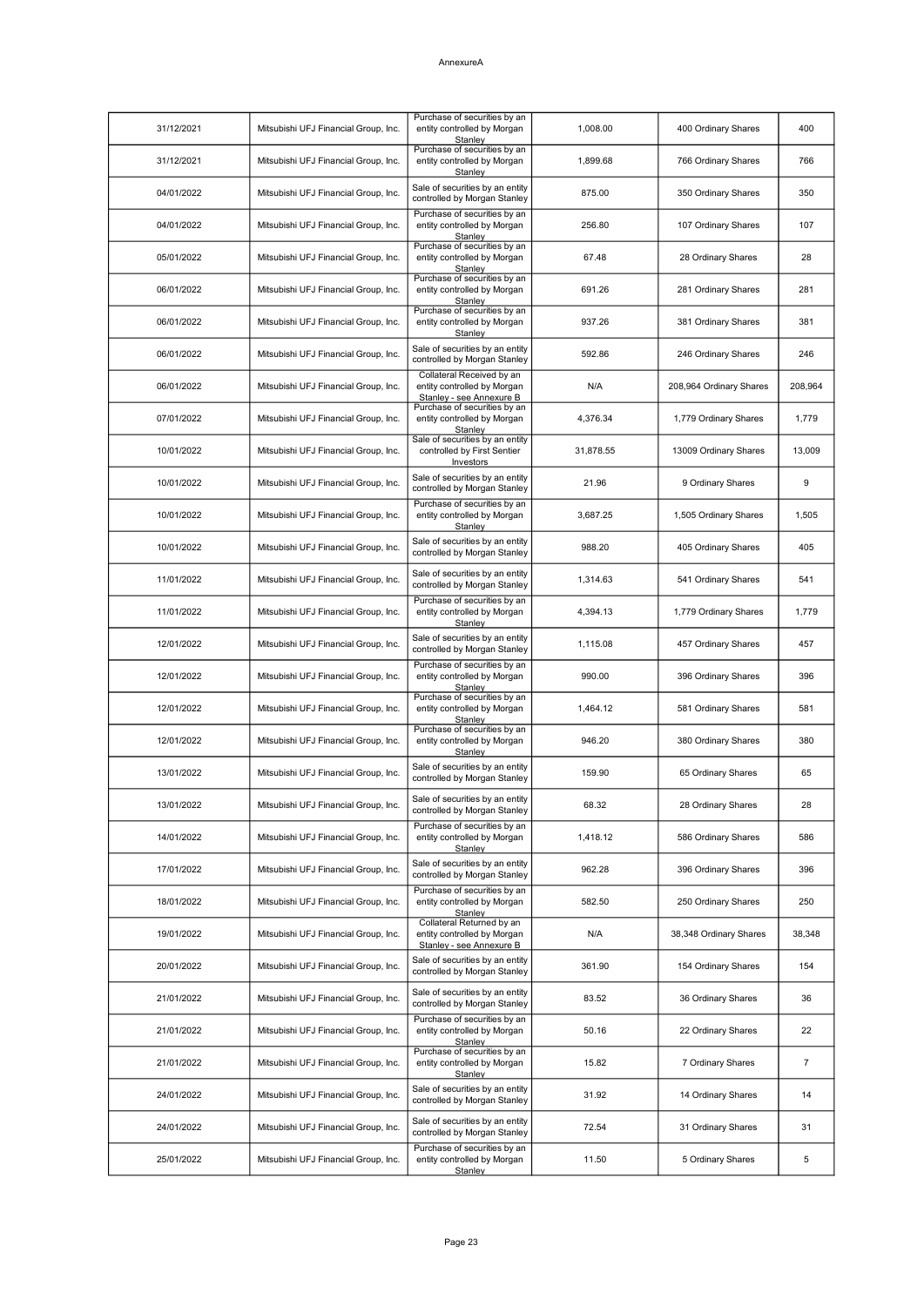| 31/12/2021 | Mitsubishi UFJ Financial Group, Inc. | Purchase of securities by an<br>entity controlled by Morgan<br>Stanley               | 1,008.00  | 400 Ordinary Shares     | 400            |
|------------|--------------------------------------|--------------------------------------------------------------------------------------|-----------|-------------------------|----------------|
| 31/12/2021 | Mitsubishi UFJ Financial Group, Inc. | Purchase of securities by an<br>entity controlled by Morgan<br>Stanley               | 1,899.68  | 766 Ordinary Shares     | 766            |
| 04/01/2022 | Mitsubishi UFJ Financial Group, Inc. | Sale of securities by an entity<br>controlled by Morgan Stanley                      | 875.00    | 350 Ordinary Shares     | 350            |
| 04/01/2022 | Mitsubishi UFJ Financial Group, Inc. | Purchase of securities by an<br>entity controlled by Morgan<br>Stanlev               | 256.80    | 107 Ordinary Shares     | 107            |
| 05/01/2022 | Mitsubishi UFJ Financial Group, Inc. | Purchase of securities by an<br>entity controlled by Morgan<br>Stanley               | 67.48     | 28 Ordinary Shares      | 28             |
| 06/01/2022 | Mitsubishi UFJ Financial Group, Inc. | Purchase of securities by an<br>entity controlled by Morgan<br>Stanley               | 691.26    | 281 Ordinary Shares     | 281            |
| 06/01/2022 | Mitsubishi UFJ Financial Group, Inc. | Purchase of securities by an<br>entity controlled by Morgan<br>Stanley               | 937.26    | 381 Ordinary Shares     | 381            |
| 06/01/2022 | Mitsubishi UFJ Financial Group, Inc. | Sale of securities by an entity<br>controlled by Morgan Stanley                      | 592.86    | 246 Ordinary Shares     | 246            |
| 06/01/2022 | Mitsubishi UFJ Financial Group, Inc. | Collateral Received by an<br>entity controlled by Morgan<br>Stanley - see Annexure B | N/A       | 208,964 Ordinary Shares | 208,964        |
| 07/01/2022 | Mitsubishi UFJ Financial Group, Inc. | Purchase of securities by an<br>entity controlled by Morgan<br>Stanley               | 4,376.34  | 1,779 Ordinary Shares   | 1,779          |
| 10/01/2022 | Mitsubishi UFJ Financial Group, Inc. | Sale of securities by an entity<br>controlled by First Sentier<br>Investors          | 31,878.55 | 13009 Ordinary Shares   | 13,009         |
| 10/01/2022 | Mitsubishi UFJ Financial Group, Inc. | Sale of securities by an entity<br>controlled by Morgan Stanley                      | 21.96     | 9 Ordinary Shares       | 9              |
| 10/01/2022 | Mitsubishi UFJ Financial Group, Inc. | Purchase of securities by an<br>entity controlled by Morgan<br>Stanley               | 3,687.25  | 1,505 Ordinary Shares   | 1,505          |
| 10/01/2022 | Mitsubishi UFJ Financial Group, Inc. | Sale of securities by an entity<br>controlled by Morgan Stanley                      | 988.20    | 405 Ordinary Shares     | 405            |
| 11/01/2022 | Mitsubishi UFJ Financial Group, Inc. | Sale of securities by an entity<br>controlled by Morgan Stanley                      | 1,314.63  | 541 Ordinary Shares     | 541            |
| 11/01/2022 | Mitsubishi UFJ Financial Group, Inc. | Purchase of securities by an<br>entity controlled by Morgan<br>Stanley               | 4,394.13  | 1,779 Ordinary Shares   | 1,779          |
| 12/01/2022 | Mitsubishi UFJ Financial Group, Inc. | Sale of securities by an entity<br>controlled by Morgan Stanley                      | 1,115.08  | 457 Ordinary Shares     | 457            |
| 12/01/2022 | Mitsubishi UFJ Financial Group, Inc. | Purchase of securities by an<br>entity controlled by Morgan<br>Stanley               | 990.00    | 396 Ordinary Shares     | 396            |
| 12/01/2022 | Mitsubishi UFJ Financial Group, Inc. | Purchase of securities by an<br>entity controlled by Morgan<br>Stanley               | 1,464.12  | 581 Ordinary Shares     | 581            |
| 12/01/2022 | Mitsubishi UFJ Financial Group, Inc. | Purchase of securities by an<br>entity controlled by Morgan<br>Stanley               | 946.20    | 380 Ordinary Shares     | 380            |
| 13/01/2022 | Mitsubishi UFJ Financial Group, Inc. | Sale of securities by an entity<br>controlled by Morgan Stanley                      | 159.90    | 65 Ordinary Shares      | 65             |
| 13/01/2022 | Mitsubishi UFJ Financial Group, Inc. | Sale of securities by an entity<br>controlled by Morgan Stanley                      | 68.32     | 28 Ordinary Shares      | 28             |
| 14/01/2022 | Mitsubishi UFJ Financial Group, Inc. | Purchase of securities by an<br>entity controlled by Morgan<br>Stanley               | 1,418.12  | 586 Ordinary Shares     | 586            |
| 17/01/2022 | Mitsubishi UFJ Financial Group, Inc. | Sale of securities by an entity<br>controlled by Morgan Stanley                      | 962.28    | 396 Ordinary Shares     | 396            |
| 18/01/2022 | Mitsubishi UFJ Financial Group, Inc. | Purchase of securities by an<br>entity controlled by Morgan<br>Stanley               | 582.50    | 250 Ordinary Shares     | 250            |
| 19/01/2022 | Mitsubishi UFJ Financial Group, Inc. | Collateral Returned by an<br>entity controlled by Morgan<br>Stanley - see Annexure B | N/A       | 38,348 Ordinary Shares  | 38,348         |
| 20/01/2022 | Mitsubishi UFJ Financial Group, Inc. | Sale of securities by an entity<br>controlled by Morgan Stanley                      | 361.90    | 154 Ordinary Shares     | 154            |
| 21/01/2022 | Mitsubishi UFJ Financial Group, Inc. | Sale of securities by an entity<br>controlled by Morgan Stanley                      | 83.52     | 36 Ordinary Shares      | 36             |
| 21/01/2022 | Mitsubishi UFJ Financial Group, Inc. | Purchase of securities by an<br>entity controlled by Morgan<br>Stanley               | 50.16     | 22 Ordinary Shares      | 22             |
| 21/01/2022 | Mitsubishi UFJ Financial Group, Inc. | Purchase of securities by an<br>entity controlled by Morgan<br>Stanley               | 15.82     | 7 Ordinary Shares       | $\overline{7}$ |
| 24/01/2022 | Mitsubishi UFJ Financial Group, Inc. | Sale of securities by an entity<br>controlled by Morgan Stanley                      | 31.92     | 14 Ordinary Shares      | 14             |
| 24/01/2022 | Mitsubishi UFJ Financial Group, Inc. | Sale of securities by an entity<br>controlled by Morgan Stanley                      | 72.54     | 31 Ordinary Shares      | 31             |
| 25/01/2022 | Mitsubishi UFJ Financial Group, Inc. | Purchase of securities by an<br>entity controlled by Morgan<br>Stanley               | 11.50     | 5 Ordinary Shares       | 5              |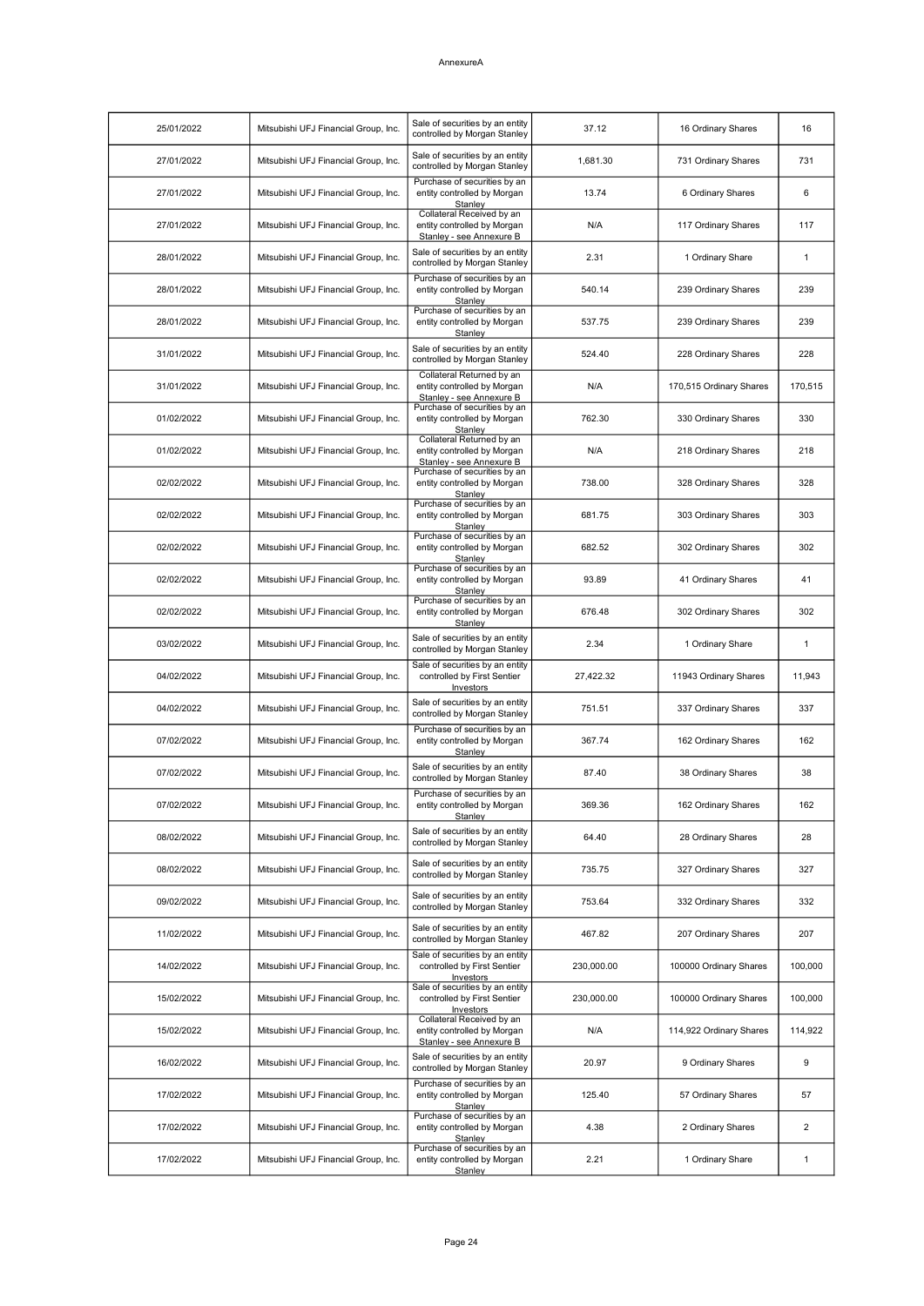| 25/01/2022 | Mitsubishi UFJ Financial Group, Inc. | Sale of securities by an entity<br>controlled by Morgan Stanley                      | 37.12      | 16 Ordinary Shares      | 16             |
|------------|--------------------------------------|--------------------------------------------------------------------------------------|------------|-------------------------|----------------|
| 27/01/2022 | Mitsubishi UFJ Financial Group, Inc. | Sale of securities by an entity<br>controlled by Morgan Stanley                      | 1,681.30   | 731 Ordinary Shares     | 731            |
| 27/01/2022 | Mitsubishi UFJ Financial Group, Inc. | Purchase of securities by an<br>entity controlled by Morgan<br>Stanley               | 13.74      | 6 Ordinary Shares       | 6              |
| 27/01/2022 | Mitsubishi UFJ Financial Group, Inc. | Collateral Received by an<br>entity controlled by Morgan<br>Stanley - see Annexure B | N/A        | 117 Ordinary Shares     | 117            |
| 28/01/2022 | Mitsubishi UFJ Financial Group, Inc. | Sale of securities by an entity<br>controlled by Morgan Stanley                      | 2.31       | 1 Ordinary Share        | $\mathbf{1}$   |
| 28/01/2022 | Mitsubishi UFJ Financial Group, Inc. | Purchase of securities by an<br>entity controlled by Morgan<br>Stanley               | 540.14     | 239 Ordinary Shares     | 239            |
| 28/01/2022 | Mitsubishi UFJ Financial Group, Inc. | Purchase of securities by an<br>entity controlled by Morgan<br>Stanley               | 537.75     | 239 Ordinary Shares     | 239            |
| 31/01/2022 | Mitsubishi UFJ Financial Group, Inc. | Sale of securities by an entity<br>controlled by Morgan Stanley                      | 524.40     | 228 Ordinary Shares     | 228            |
| 31/01/2022 | Mitsubishi UFJ Financial Group, Inc. | Collateral Returned by an<br>entity controlled by Morgan<br>Stanley - see Annexure B | N/A        | 170,515 Ordinary Shares | 170,515        |
| 01/02/2022 | Mitsubishi UFJ Financial Group, Inc. | Purchase of securities by an<br>entity controlled by Morgan<br>Stanley               | 762.30     | 330 Ordinary Shares     | 330            |
| 01/02/2022 | Mitsubishi UFJ Financial Group, Inc. | Collateral Returned by an<br>entity controlled by Morgan<br>Stanley - see Annexure B | N/A        | 218 Ordinary Shares     | 218            |
| 02/02/2022 | Mitsubishi UFJ Financial Group, Inc. | Purchase of securities by an<br>entity controlled by Morgan<br>Stanley               | 738.00     | 328 Ordinary Shares     | 328            |
| 02/02/2022 | Mitsubishi UFJ Financial Group, Inc. | Purchase of securities by an<br>entity controlled by Morgan<br>Stanley               | 681.75     | 303 Ordinary Shares     | 303            |
| 02/02/2022 | Mitsubishi UFJ Financial Group, Inc. | Purchase of securities by an<br>entity controlled by Morgan<br>Stanley               | 682.52     | 302 Ordinary Shares     | 302            |
| 02/02/2022 | Mitsubishi UFJ Financial Group, Inc. | Purchase of securities by an<br>entity controlled by Morgan<br>Stanley               | 93.89      | 41 Ordinary Shares      | 41             |
| 02/02/2022 | Mitsubishi UFJ Financial Group, Inc. | Purchase of securities by an<br>entity controlled by Morgan<br>Stanley               | 676.48     | 302 Ordinary Shares     | 302            |
| 03/02/2022 | Mitsubishi UFJ Financial Group, Inc. | Sale of securities by an entity<br>controlled by Morgan Stanley                      | 2.34       | 1 Ordinary Share        | 1              |
| 04/02/2022 | Mitsubishi UFJ Financial Group, Inc. | Sale of securities by an entity<br>controlled by First Sentier<br>Investors          | 27,422.32  | 11943 Ordinary Shares   | 11,943         |
| 04/02/2022 | Mitsubishi UFJ Financial Group, Inc. | Sale of securities by an entity<br>controlled by Morgan Stanley                      | 751.51     | 337 Ordinary Shares     | 337            |
| 07/02/2022 | Mitsubishi UFJ Financial Group, Inc. | Purchase of securities by an<br>entity controlled by Morgan<br>Stanley               | 367.74     | 162 Ordinary Shares     | 162            |
| 07/02/2022 | Mitsubishi UFJ Financial Group, Inc. | Sale of securities by an entity<br>controlled by Morgan Stanley                      | 87.40      | 38 Ordinary Shares      | 38             |
| 07/02/2022 | Mitsubishi UFJ Financial Group, Inc. | Purchase of securities by an<br>entity controlled by Morgan<br>Stanley               | 369.36     | 162 Ordinary Shares     | 162            |
| 08/02/2022 | Mitsubishi UFJ Financial Group, Inc. | Sale of securities by an entity<br>controlled by Morgan Stanley                      | 64.40      | 28 Ordinary Shares      | 28             |
| 08/02/2022 | Mitsubishi UFJ Financial Group, Inc. | Sale of securities by an entity<br>controlled by Morgan Stanley                      | 735.75     | 327 Ordinary Shares     | 327            |
| 09/02/2022 | Mitsubishi UFJ Financial Group, Inc. | Sale of securities by an entity<br>controlled by Morgan Stanley                      | 753.64     | 332 Ordinary Shares     | 332            |
| 11/02/2022 | Mitsubishi UFJ Financial Group, Inc. | Sale of securities by an entity<br>controlled by Morgan Stanley                      | 467.82     | 207 Ordinary Shares     | 207            |
| 14/02/2022 | Mitsubishi UFJ Financial Group, Inc. | Sale of securities by an entity<br>controlled by First Sentier<br>Investors          | 230,000.00 | 100000 Ordinary Shares  | 100,000        |
| 15/02/2022 | Mitsubishi UFJ Financial Group, Inc. | Sale of securities by an entity<br>controlled by First Sentier<br>Investors          | 230,000.00 | 100000 Ordinary Shares  | 100,000        |
| 15/02/2022 | Mitsubishi UFJ Financial Group, Inc. | Collateral Received by an<br>entity controlled by Morgan<br>Stanley - see Annexure B | N/A        | 114,922 Ordinary Shares | 114,922        |
| 16/02/2022 | Mitsubishi UFJ Financial Group, Inc. | Sale of securities by an entity<br>controlled by Morgan Stanley                      | 20.97      | 9 Ordinary Shares       | 9              |
| 17/02/2022 | Mitsubishi UFJ Financial Group, Inc. | Purchase of securities by an<br>entity controlled by Morgan<br>Stanley               | 125.40     | 57 Ordinary Shares      | 57             |
| 17/02/2022 | Mitsubishi UFJ Financial Group, Inc. | Purchase of securities by an<br>entity controlled by Morgan<br>Stanley               | 4.38       | 2 Ordinary Shares       | $\overline{2}$ |
| 17/02/2022 | Mitsubishi UFJ Financial Group, Inc. | Purchase of securities by an<br>entity controlled by Morgan<br>Stanley               | 2.21       | 1 Ordinary Share        | $\mathbf{1}$   |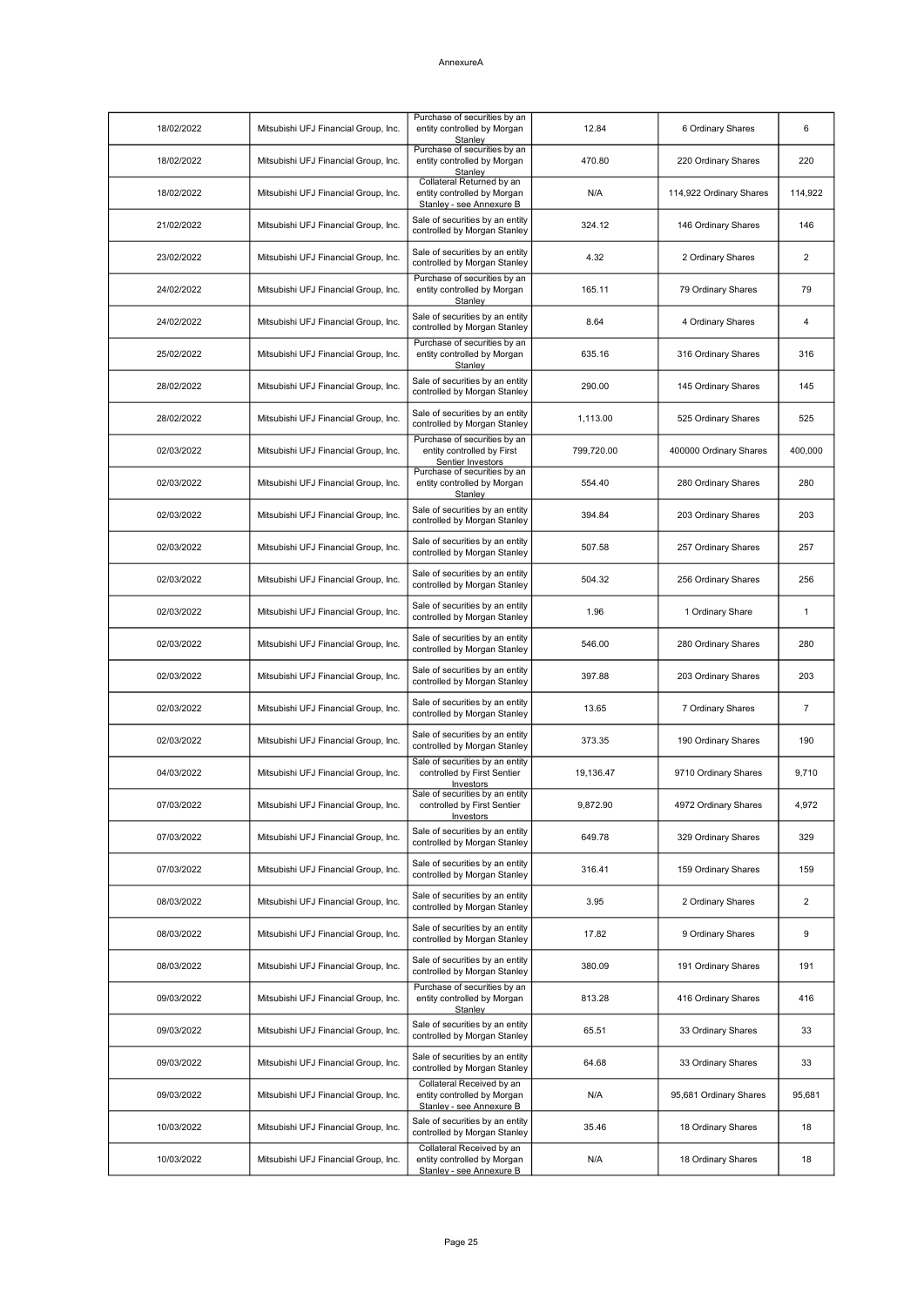| 18/02/2022 | Mitsubishi UFJ Financial Group, Inc. | Purchase of securities by an<br>entity controlled by Morgan<br>Stanley               | 12.84      | 6 Ordinary Shares       | 6              |
|------------|--------------------------------------|--------------------------------------------------------------------------------------|------------|-------------------------|----------------|
| 18/02/2022 | Mitsubishi UFJ Financial Group, Inc. | Purchase of securities by an<br>entity controlled by Morgan<br>Stanley               | 470.80     | 220 Ordinary Shares     | 220            |
| 18/02/2022 | Mitsubishi UFJ Financial Group, Inc. | Collateral Returned by an<br>entity controlled by Morgan<br>Stanley - see Annexure B | N/A        | 114,922 Ordinary Shares | 114,922        |
| 21/02/2022 | Mitsubishi UFJ Financial Group, Inc. | Sale of securities by an entity<br>controlled by Morgan Stanley                      | 324.12     | 146 Ordinary Shares     | 146            |
| 23/02/2022 | Mitsubishi UFJ Financial Group, Inc. | Sale of securities by an entity<br>controlled by Morgan Stanley                      | 4.32       | 2 Ordinary Shares       | 2              |
| 24/02/2022 | Mitsubishi UFJ Financial Group, Inc. | Purchase of securities by an<br>entity controlled by Morgan<br>Stanley               | 165.11     | 79 Ordinary Shares      | 79             |
| 24/02/2022 | Mitsubishi UFJ Financial Group, Inc. | Sale of securities by an entity<br>controlled by Morgan Stanley                      | 8.64       | 4 Ordinary Shares       | 4              |
| 25/02/2022 | Mitsubishi UFJ Financial Group, Inc. | Purchase of securities by an<br>entity controlled by Morgan<br>Stanley               | 635.16     | 316 Ordinary Shares     | 316            |
| 28/02/2022 | Mitsubishi UFJ Financial Group, Inc. | Sale of securities by an entity<br>controlled by Morgan Stanley                      | 290.00     | 145 Ordinary Shares     | 145            |
| 28/02/2022 | Mitsubishi UFJ Financial Group, Inc. | Sale of securities by an entity<br>controlled by Morgan Stanley                      | 1,113.00   | 525 Ordinary Shares     | 525            |
| 02/03/2022 | Mitsubishi UFJ Financial Group, Inc. | Purchase of securities by an<br>entity controlled by First<br>Sentier Investors      | 799,720.00 | 400000 Ordinary Shares  | 400,000        |
| 02/03/2022 | Mitsubishi UFJ Financial Group, Inc. | Purchase of securities by an<br>entity controlled by Morgan<br>Stanley               | 554.40     | 280 Ordinary Shares     | 280            |
| 02/03/2022 | Mitsubishi UFJ Financial Group, Inc. | Sale of securities by an entity<br>controlled by Morgan Stanley                      | 394.84     | 203 Ordinary Shares     | 203            |
| 02/03/2022 | Mitsubishi UFJ Financial Group, Inc. | Sale of securities by an entity<br>controlled by Morgan Stanley                      | 507.58     | 257 Ordinary Shares     | 257            |
| 02/03/2022 | Mitsubishi UFJ Financial Group, Inc. | Sale of securities by an entity<br>controlled by Morgan Stanley                      | 504.32     | 256 Ordinary Shares     | 256            |
| 02/03/2022 | Mitsubishi UFJ Financial Group, Inc. | Sale of securities by an entity<br>controlled by Morgan Stanley                      | 1.96       | 1 Ordinary Share        | 1              |
| 02/03/2022 | Mitsubishi UFJ Financial Group, Inc. | Sale of securities by an entity<br>controlled by Morgan Stanley                      | 546.00     | 280 Ordinary Shares     | 280            |
| 02/03/2022 | Mitsubishi UFJ Financial Group, Inc. | Sale of securities by an entity<br>controlled by Morgan Stanley                      | 397.88     | 203 Ordinary Shares     | 203            |
| 02/03/2022 | Mitsubishi UFJ Financial Group, Inc. | Sale of securities by an entity<br>controlled by Morgan Stanley                      | 13.65      | 7 Ordinary Shares       | $\overline{7}$ |
| 02/03/2022 | Mitsubishi UFJ Financial Group, Inc. | Sale of securities by an entity<br>controlled by Morgan Stanley                      | 373.35     | 190 Ordinary Shares     | 190            |
| 04/03/2022 | Mitsubishi UFJ Financial Group, Inc. | Sale of securities by an entity<br>controlled by First Sentier<br>Investors          | 19,136.47  | 9710 Ordinary Shares    | 9,710          |
| 07/03/2022 | Mitsubishi UFJ Financial Group, Inc. | Sale of securities by an entity<br>controlled by First Sentier<br>Investors          | 9,872.90   | 4972 Ordinary Shares    | 4,972          |
| 07/03/2022 | Mitsubishi UFJ Financial Group, Inc. | Sale of securities by an entity<br>controlled by Morgan Stanley                      | 649.78     | 329 Ordinary Shares     | 329            |
| 07/03/2022 | Mitsubishi UFJ Financial Group, Inc. | Sale of securities by an entity<br>controlled by Morgan Stanley                      | 316.41     | 159 Ordinary Shares     | 159            |
| 08/03/2022 | Mitsubishi UFJ Financial Group, Inc. | Sale of securities by an entity<br>controlled by Morgan Stanley                      | 3.95       | 2 Ordinary Shares       | 2              |
| 08/03/2022 | Mitsubishi UFJ Financial Group, Inc. | Sale of securities by an entity<br>controlled by Morgan Stanley                      | 17.82      | 9 Ordinary Shares       | 9              |
| 08/03/2022 | Mitsubishi UFJ Financial Group, Inc. | Sale of securities by an entity<br>controlled by Morgan Stanley                      | 380.09     | 191 Ordinary Shares     | 191            |
| 09/03/2022 | Mitsubishi UFJ Financial Group, Inc. | Purchase of securities by an<br>entity controlled by Morgan<br>Stanley               | 813.28     | 416 Ordinary Shares     | 416            |
| 09/03/2022 | Mitsubishi UFJ Financial Group, Inc. | Sale of securities by an entity<br>controlled by Morgan Stanley                      | 65.51      | 33 Ordinary Shares      | 33             |
| 09/03/2022 | Mitsubishi UFJ Financial Group, Inc. | Sale of securities by an entity<br>controlled by Morgan Stanley                      | 64.68      | 33 Ordinary Shares      | 33             |
| 09/03/2022 | Mitsubishi UFJ Financial Group, Inc. | Collateral Received by an<br>entity controlled by Morgan<br>Stanley - see Annexure B | N/A        | 95,681 Ordinary Shares  | 95,681         |
| 10/03/2022 | Mitsubishi UFJ Financial Group, Inc. | Sale of securities by an entity<br>controlled by Morgan Stanley                      | 35.46      | 18 Ordinary Shares      | 18             |
| 10/03/2022 | Mitsubishi UFJ Financial Group, Inc. | Collateral Received by an<br>entity controlled by Morgan<br>Stanley - see Annexure B | N/A        | 18 Ordinary Shares      | 18             |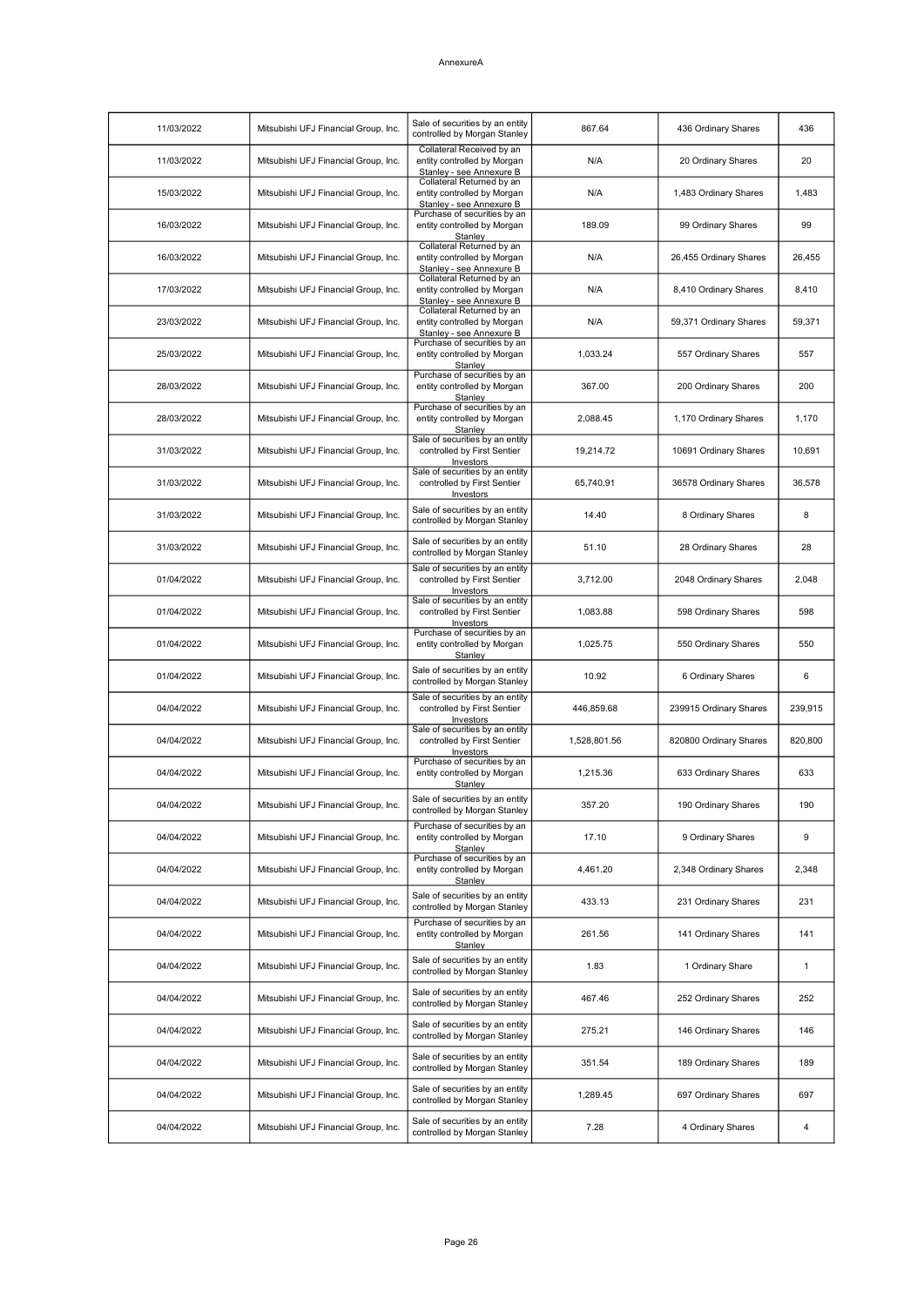| 11/03/2022 | Mitsubishi UFJ Financial Group, Inc. | Sale of securities by an entity<br>controlled by Morgan Stanley                      | 867.64       | 436 Ordinary Shares    | 436          |
|------------|--------------------------------------|--------------------------------------------------------------------------------------|--------------|------------------------|--------------|
| 11/03/2022 | Mitsubishi UFJ Financial Group, Inc. | Collateral Received by an<br>entity controlled by Morgan<br>Stanley - see Annexure B | N/A          | 20 Ordinary Shares     | 20           |
| 15/03/2022 | Mitsubishi UFJ Financial Group, Inc. | Collateral Returned by an<br>entity controlled by Morgan<br>Stanley - see Annexure B | N/A          | 1,483 Ordinary Shares  | 1,483        |
| 16/03/2022 | Mitsubishi UFJ Financial Group, Inc. | Purchase of securities by an<br>entity controlled by Morgan<br>Stanley               | 189.09       | 99 Ordinary Shares     | 99           |
| 16/03/2022 | Mitsubishi UFJ Financial Group, Inc. | Collateral Returned by an<br>entity controlled by Morgan<br>Stanley - see Annexure B | N/A          | 26,455 Ordinary Shares | 26,455       |
| 17/03/2022 | Mitsubishi UFJ Financial Group, Inc. | Collateral Returned by an<br>entity controlled by Morgan<br>Stanley - see Annexure B | N/A          | 8,410 Ordinary Shares  | 8,410        |
| 23/03/2022 | Mitsubishi UFJ Financial Group, Inc. | Collateral Returned by an<br>entity controlled by Morgan<br>Stanley - see Annexure B | N/A          | 59,371 Ordinary Shares | 59.371       |
| 25/03/2022 | Mitsubishi UFJ Financial Group, Inc. | Purchase of securities by an<br>entity controlled by Morgan<br>Stanley               | 1,033.24     | 557 Ordinary Shares    | 557          |
| 28/03/2022 | Mitsubishi UFJ Financial Group, Inc. | Purchase of securities by an<br>entity controlled by Morgan<br>Stanley               | 367.00       | 200 Ordinary Shares    | 200          |
| 28/03/2022 | Mitsubishi UFJ Financial Group, Inc. | Purchase of securities by an<br>entity controlled by Morgan<br>Stanley               | 2,088.45     | 1,170 Ordinary Shares  | 1,170        |
| 31/03/2022 | Mitsubishi UFJ Financial Group, Inc. | Sale of securities by an entity<br>controlled by First Sentier<br>Investors          | 19,214.72    | 10691 Ordinary Shares  | 10,691       |
| 31/03/2022 | Mitsubishi UFJ Financial Group, Inc. | Sale of securities by an entity<br>controlled by First Sentier<br>Investors          | 65,740.91    | 36578 Ordinary Shares  | 36,578       |
| 31/03/2022 | Mitsubishi UFJ Financial Group, Inc. | Sale of securities by an entity<br>controlled by Morgan Stanley                      | 14.40        | 8 Ordinary Shares      | 8            |
| 31/03/2022 | Mitsubishi UFJ Financial Group, Inc. | Sale of securities by an entity<br>controlled by Morgan Stanley                      | 51.10        | 28 Ordinary Shares     | 28           |
| 01/04/2022 | Mitsubishi UFJ Financial Group, Inc. | Sale of securities by an entity<br>controlled by First Sentier<br>Investors          | 3,712.00     | 2048 Ordinary Shares   | 2,048        |
| 01/04/2022 | Mitsubishi UFJ Financial Group, Inc. | Sale of securities by an entity<br>controlled by First Sentier<br>Investors          | 1,083.88     | 598 Ordinary Shares    | 598          |
| 01/04/2022 | Mitsubishi UFJ Financial Group, Inc. | Purchase of securities by an<br>entity controlled by Morgan<br>Stanley               | 1,025.75     | 550 Ordinary Shares    | 550          |
| 01/04/2022 | Mitsubishi UFJ Financial Group, Inc. | Sale of securities by an entity<br>controlled by Morgan Stanley                      | 10.92        | 6 Ordinary Shares      | 6            |
| 04/04/2022 | Mitsubishi UFJ Financial Group, Inc. | Sale of securities by an entity<br>controlled by First Sentier<br>Investors          | 446.859.68   | 239915 Ordinary Shares | 239,915      |
| 04/04/2022 | Mitsubishi UFJ Financial Group, Inc. | Sale of securities by an entity<br>controlled by First Sentier<br>Investors          | 1,528,801.56 | 820800 Ordinary Shares | 820,800      |
| 04/04/2022 | Mitsubishi UFJ Financial Group, Inc. | Purchase of securities by an<br>entity controlled by Morgan<br>Stanley               | 1.215.36     | 633 Ordinary Shares    | 633          |
| 04/04/2022 | Mitsubishi UFJ Financial Group, Inc. | Sale of securities by an entity<br>controlled by Morgan Stanley                      | 357.20       | 190 Ordinary Shares    | 190          |
| 04/04/2022 | Mitsubishi UFJ Financial Group, Inc. | Purchase of securities by an<br>entity controlled by Morgan<br>Stanley               | 17.10        | 9 Ordinary Shares      | 9            |
| 04/04/2022 | Mitsubishi UFJ Financial Group, Inc. | Purchase of securities by an<br>entity controlled by Morgan<br>Stanley               | 4,461.20     | 2,348 Ordinary Shares  | 2,348        |
| 04/04/2022 | Mitsubishi UFJ Financial Group, Inc. | Sale of securities by an entity<br>controlled by Morgan Stanley                      | 433.13       | 231 Ordinary Shares    | 231          |
| 04/04/2022 | Mitsubishi UFJ Financial Group, Inc. | Purchase of securities by an<br>entity controlled by Morgan<br>Stanley               | 261.56       | 141 Ordinary Shares    | 141          |
| 04/04/2022 | Mitsubishi UFJ Financial Group, Inc. | Sale of securities by an entity<br>controlled by Morgan Stanley                      | 1.83         | 1 Ordinary Share       | $\mathbf{1}$ |
| 04/04/2022 | Mitsubishi UFJ Financial Group, Inc. | Sale of securities by an entity<br>controlled by Morgan Stanley                      | 467.46       | 252 Ordinary Shares    | 252          |
| 04/04/2022 | Mitsubishi UFJ Financial Group, Inc. | Sale of securities by an entity<br>controlled by Morgan Stanley                      | 275.21       | 146 Ordinary Shares    | 146          |
| 04/04/2022 | Mitsubishi UFJ Financial Group, Inc. | Sale of securities by an entity<br>controlled by Morgan Stanley                      | 351.54       | 189 Ordinary Shares    | 189          |
| 04/04/2022 | Mitsubishi UFJ Financial Group, Inc. | Sale of securities by an entity<br>controlled by Morgan Stanley                      | 1,289.45     | 697 Ordinary Shares    | 697          |
| 04/04/2022 | Mitsubishi UFJ Financial Group, Inc. | Sale of securities by an entity<br>controlled by Morgan Stanley                      | 7.28         | 4 Ordinary Shares      | 4            |